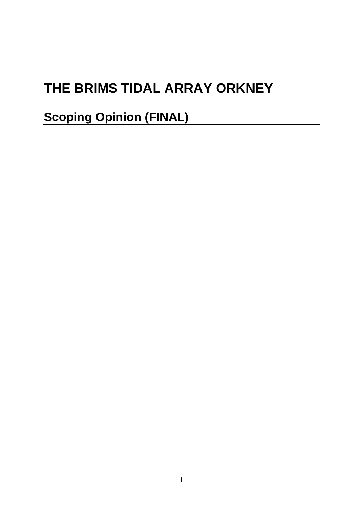# **THE BRIMS TIDAL ARRAY ORKNEY**

**Scoping Opinion (FINAL)**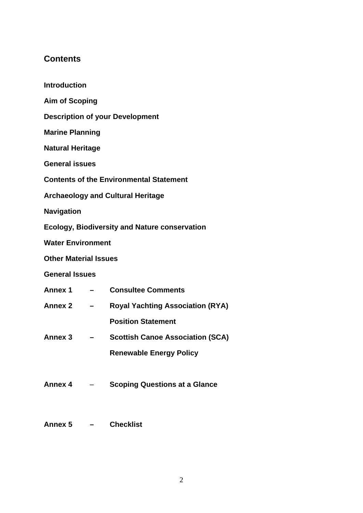# **Contents**

**Introduction Aim of Scoping Description of your Development Marine Planning Natural Heritage General issues Contents of the Environmental Statement Archaeology and Cultural Heritage Navigation Ecology, Biodiversity and Nature conservation Water Environment Other Material Issues General Issues Annex 1 – Consultee Comments Annex 2 – Royal Yachting Association (RYA) Position Statement Annex 3 – Scottish Canoe Association (SCA) Renewable Energy Policy Annex 4** – **Scoping Questions at a Glance Annex 5 – Checklist**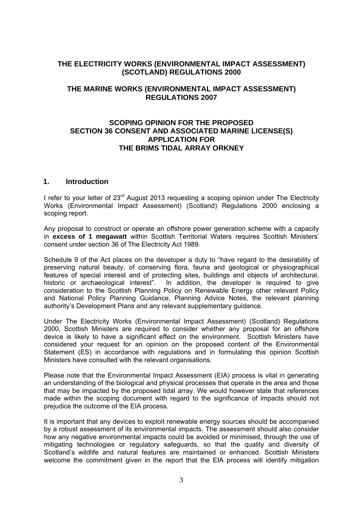# **THE ELECTRICITY WORKS (ENVIRONMENTAL IMPACT ASSESSMENT) (SCOTLAND) REGULATIONS 2000**

# **THE MARINE WORKS (ENVIRONMENTAL IMPACT ASSESSMENT) REGULATIONS 2007**

# **SCOPING OPINION FOR THE PROPOSED SECTION 36 CONSENT AND ASSOCIATED MARINE LICENSE(S) APPLICATION FOR THE BRIMS TIDAL ARRAY ORKNEY**

# **1. Introduction**

I refer to your letter of 23<sup>rd</sup> August 2013 requesting a scoping opinion under The Electricity Works (Environmental Impact Assessment) (Scotland) Regulations 2000 enclosing a scoping report.

Any proposal to construct or operate an offshore power generation scheme with a capacity in **excess of 1 megawatt** within Scottish Territorial Waters requires Scottish Ministers' consent under section 36 of The Electricity Act 1989.

Schedule 9 of the Act places on the developer a duty to "have regard to the desirability of preserving natural beauty, of conserving flora, fauna and geological or physiographical features of special interest and of protecting sites, buildings and objects of architectural, historic or archaeological interest". In addition, the developer is required to give consideration to the Scottish Planning Policy on Renewable Energy other relevant Policy and National Policy Planning Guidance, Planning Advice Notes, the relevant planning authority's Development Plans and any relevant supplementary guidance.

Under The Electricity Works (Environmental Impact Assessment) (Scotland) Regulations 2000, Scottish Ministers are required to consider whether any proposal for an offshore device is likely to have a significant effect on the environment. Scottish Ministers have considered your request for an opinion on the proposed content of the Environmental Statement (ES) in accordance with regulations and in formulating this opinion Scottish Ministers have consulted with the relevant organisations.

Please note that the Environmental Impact Assessment (EIA) process is vital in generating an understanding of the biological and physical processes that operate in the area and those that may be impacted by the proposed tidal array. We would however state that references made within the scoping document with regard to the significance of impacts should not prejudice the outcome of the EIA process.

It is important that any devices to exploit renewable energy sources should be accompanied by a robust assessment of its environmental impacts. The assessment should also consider how any negative environmental impacts could be avoided or minimised, through the use of mitigating technologies or regulatory safeguards, so that the quality and diversity of Scotland's wildlife and natural features are maintained or enhanced. Scottish Ministers welcome the commitment given in the report that the EIA process will identify mitigation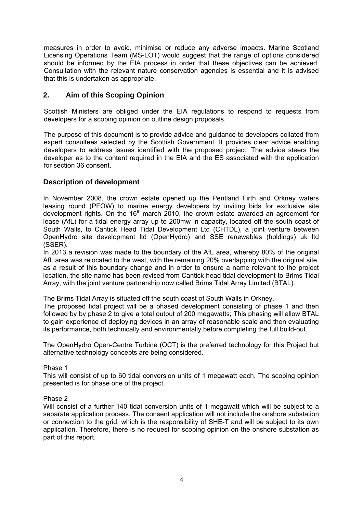measures in order to avoid, minimise or reduce any adverse impacts. Marine Scotland Licensing Operations Team (MS-LOT) would suggest that the range of options considered should be informed by the EIA process in order that these objectives can be achieved. Consultation with the relevant nature conservation agencies is essential and it is advised that this is undertaken as appropriate.

# **2. Aim of this Scoping Opinion**

Scottish Ministers are obliged under the EIA regulations to respond to requests from developers for a scoping opinion on outline design proposals.

The purpose of this document is to provide advice and guidance to developers collated from expert consultees selected by the Scottish Government. It provides clear advice enabling developers to address issues identified with the proposed project. The advice steers the developer as to the content required in the EIA and the ES associated with the application for section 36 consent.

# **Description of development**

In November 2008, the crown estate opened up the Pentland Firth and Orkney waters leasing round (PFOW) to marine energy developers by inviting bids for exclusive site development rights. On the  $16<sup>th</sup>$  march 2010, the crown estate awarded an agreement for lease (AfL) for a tidal energy array up to 200mw in capacity, located off the south coast of South Walls, to Cantick Head Tidal Development Ltd (CHTDL), a joint venture between OpenHydro site development ltd (OpenHydro) and SSE renewables (holdings) uk ltd (SSER).

In 2013 a revision was made to the boundary of the AfL area, whereby 80% of the original AfL area was relocated to the west, with the remaining 20% overlapping with the original site. as a result of this boundary change and in order to ensure a name relevant to the project location, the site name has been revised from Cantick head tidal development to Brims Tidal Array, with the joint venture partnership now called Brims Tidal Array Limited (BTAL).

The Brims Tidal Array is situated off the south coast of South Walls in Orkney.

The proposed tidal project will be a phased development consisting of phase 1 and then followed by by phase 2 to give a total output of 200 megawatts; This phasing will allow BTAL to gain experience of deploying devices in an array of reasonable scale and then evaluating its performance, both technically and environmentally before completing the full build-out.

The OpenHydro Open-Centre Turbine (OCT) is the preferred technology for this Project but alternative technology concepts are being considered.

Phase 1

This will consist of up to 60 tidal conversion units of 1 megawatt each. The scoping opinion presented is for phase one of the project.

#### Phase 2

Will consist of a further 140 tidal conversion units of 1 megawatt which will be subject to a separate application process. The consent application will not include the onshore substation or connection to the grid, which is the responsibility of SHE-T and will be subject to its own application. Therefore, there is no request for scoping opinion on the onshore substation as part of this report.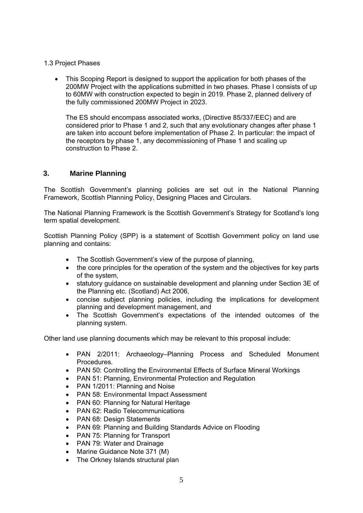- 1.3 Project Phases
	- This Scoping Report is designed to support the application for both phases of the 200MW Project with the applications submitted in two phases. Phase I consists of up to 60MW with construction expected to begin in 2019. Phase 2, planned delivery of the fully commissioned 200MW Project in 2023.

The ES should encompass associated works, (Directive 85/337/EEC) and are considered prior to Phase 1 and 2, such that any evolutionary changes after phase 1 are taken into account before implementation of Phase 2. In particular: the impact of the receptors by phase 1, any decommissioning of Phase 1 and scaling up construction to Phase 2.

# **3. Marine Planning**

The Scottish Government's planning policies are set out in the National Planning Framework, Scottish Planning Policy, Designing Places and Circulars.

The National Planning Framework is the Scottish Government's Strategy for Scotland's long term spatial development.

Scottish Planning Policy (SPP) is a statement of Scottish Government policy on land use planning and contains:

- The Scottish Government's view of the purpose of planning,
- the core principles for the operation of the system and the objectives for key parts of the system,
- statutory guidance on sustainable development and planning under Section 3E of the Planning etc. (Scotland) Act 2006,
- concise subject planning policies, including the implications for development planning and development management, and
- The Scottish Government's expectations of the intended outcomes of the planning system.

Other land use planning documents which may be relevant to this proposal include:

- PAN 2/2011: Archaeology–Planning Process and Scheduled Monument Procedures.
- PAN 50: Controlling the Environmental Effects of Surface Mineral Workings
- PAN 51: Planning, Environmental Protection and Regulation
- PAN 1/2011: Planning and Noise
- PAN 58: Environmental Impact Assessment
- PAN 60: Planning for Natural Heritage
- PAN 62: Radio Telecommunications
- PAN 68: Design Statements
- PAN 69: Planning and Building Standards Advice on Flooding
- PAN 75: Planning for Transport
- PAN 79: Water and Drainage
- Marine Guidance Note 371 (M)
- The Orkney Islands structural plan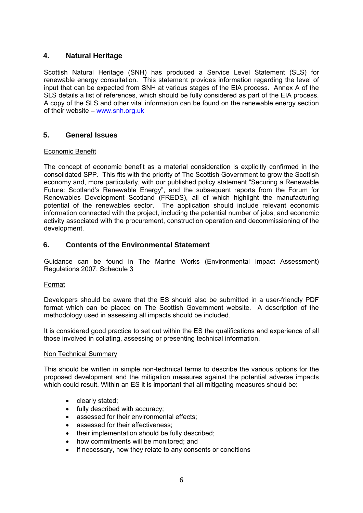# **4. Natural Heritage**

Scottish Natural Heritage (SNH) has produced a Service Level Statement (SLS) for renewable energy consultation. This statement provides information regarding the level of input that can be expected from SNH at various stages of the EIA process. Annex A of the SLS details a list of references, which should be fully considered as part of the EIA process. A copy of the SLS and other vital information can be found on the renewable energy section of their website – www.snh.org.uk

# **5. General Issues**

# Economic Benefit

The concept of economic benefit as a material consideration is explicitly confirmed in the consolidated SPP. This fits with the priority of The Scottish Government to grow the Scottish economy and, more particularly, with our published policy statement "Securing a Renewable Future: Scotland's Renewable Energy", and the subsequent reports from the Forum for Renewables Development Scotland (FREDS), all of which highlight the manufacturing potential of the renewables sector. The application should include relevant economic information connected with the project, including the potential number of jobs, and economic activity associated with the procurement, construction operation and decommissioning of the development.

# **6. Contents of the Environmental Statement**

Guidance can be found in The Marine Works (Environmental Impact Assessment) Regulations 2007, Schedule 3

# Format

Developers should be aware that the ES should also be submitted in a user-friendly PDF format which can be placed on The Scottish Government website. A description of the methodology used in assessing all impacts should be included.

It is considered good practice to set out within the ES the qualifications and experience of all those involved in collating, assessing or presenting technical information.

# Non Technical Summary

This should be written in simple non-technical terms to describe the various options for the proposed development and the mitigation measures against the potential adverse impacts which could result. Within an ES it is important that all mitigating measures should be:

- clearly stated;
- fully described with accuracy;
- assessed for their environmental effects;
- assessed for their effectiveness:
- their implementation should be fully described;
- how commitments will be monitored; and
- if necessary, how they relate to any consents or conditions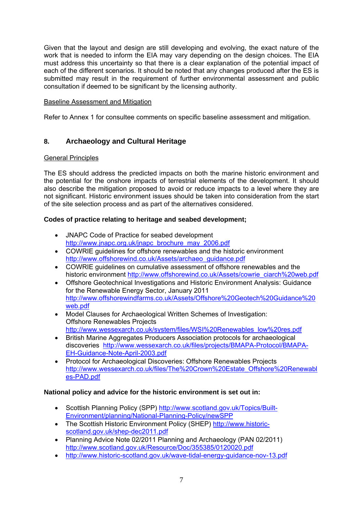Given that the layout and design are still developing and evolving, the exact nature of the work that is needed to inform the EIA may vary depending on the design choices. The EIA must address this uncertainty so that there is a clear explanation of the potential impact of each of the different scenarios. It should be noted that any changes produced after the ES is submitted may result in the requirement of further environmental assessment and public consultation if deemed to be significant by the licensing authority.

# Baseline Assessment and Mitigation

Refer to Annex 1 for consultee comments on specific baseline assessment and mitigation.

# **8. Archaeology and Cultural Heritage**

# General Principles

The ES should address the predicted impacts on both the marine historic environment and the potential for the onshore impacts of terrestrial elements of the development. It should also describe the mitigation proposed to avoid or reduce impacts to a level where they are not significant. Historic environment issues should be taken into consideration from the start of the site selection process and as part of the alternatives considered.

# **Codes of practice relating to heritage and seabed development;**

- JNAPC Code of Practice for seabed development http://www.jnapc.org.uk/jnapc\_brochure\_may\_2006.pdf
- COWRIE guidelines for offshore renewables and the historic environment http://www.offshorewind.co.uk/Assets/archaeo\_guidance.pdf
- COWRIE guidelines on cumulative assessment of offshore renewables and the historic environment http://www.offshorewind.co.uk/Assets/cowrie\_ciarch%20web.pdf
- Offshore Geotechnical Investigations and Historic Environment Analysis: Guidance for the Renewable Energy Sector, January 2011 http://www.offshorewindfarms.co.uk/Assets/Offshore%20Geotech%20Guidance%20 web.pdf
- Model Clauses for Archaeological Written Schemes of Investigation: Offshore Renewables Projects http://www.wessexarch.co.uk/system/files/WSI%20Renewables\_low%20res.pdf
- British Marine Aggregates Producers Association protocols for archaeological discoveries http://www.wessexarch.co.uk/files/projects/BMAPA-Protocol/BMAPA-EH-Guidance-Note-April-2003.pdf
- Protocol for Archaeological Discoveries: Offshore Renewables Projects http://www.wessexarch.co.uk/files/The%20Crown%20Estate\_Offshore%20Renewabl es-PAD.pdf

# **National policy and advice for the historic environment is set out in:**

- Scottish Planning Policy (SPP) http://www.scotland.gov.uk/Topics/Built-Environment/planning/National-Planning-Policy/newSPP
- The Scottish Historic Environment Policy (SHEP) http://www.historicscotland.gov.uk/shep-dec2011.pdf
- Planning Advice Note 02/2011 Planning and Archaeology (PAN 02/2011) http://www.scotland.gov.uk/Resource/Doc/355385/0120020.pdf
- http://www.historic-scotland.gov.uk/wave-tidal-energy-guidance-nov-13.pdf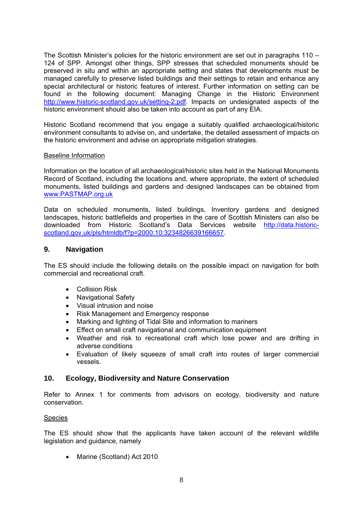The Scottish Minister's policies for the historic environment are set out in paragraphs 110 – 124 of SPP. Amongst other things, SPP stresses that scheduled monuments should be preserved in situ and within an appropriate setting and states that developments must be managed carefully to preserve listed buildings and their settings to retain and enhance any special architectural or historic features of interest. Further information on setting can be found in the following document: Managing Change in the Historic Environment http://www.historic-scotland.gov.uk/setting-2.pdf. Impacts on undesignated aspects of the historic environment should also be taken into account as part of any EIA.

Historic Scotland recommend that you engage a suitably qualified archaeological/historic environment consultants to advise on, and undertake, the detailed assessment of impacts on the historic environment and advise on appropriate mitigation strategies.

## Baseline Information

Information on the location of all archaeological/historic sites held in the National Monuments Record of Scotland, including the locations and, where appropriate, the extent of scheduled monuments, listed buildings and gardens and designed landscapes can be obtained from www.PASTMAP.org.uk

Data on scheduled monuments, listed buildings, Inventory gardens and designed landscapes, historic battlefields and properties in the care of Scottish Ministers can also be downloaded from Historic Scotland's Data Services website http://data.historicscotland.gov.uk/pls/htmldb/f?p=2000:10:3234826639166657.

# **9. Navigation**

The ES should include the following details on the possible impact on navigation for both commercial and recreational craft.

- Collision Risk
- Navigational Safety
- Visual intrusion and noise
- Risk Management and Emergency response
- Marking and lighting of Tidal Site and information to mariners
- Effect on small craft navigational and communication equipment
- Weather and risk to recreational craft which lose power and are drifting in adverse conditions
- Evaluation of likely squeeze of small craft into routes of larger commercial vessels.

# **10. Ecology, Biodiversity and Nature Conservation**

Refer to Annex 1 for comments from advisors on ecology, biodiversity and nature conservation.

# Species

The ES should show that the applicants have taken account of the relevant wildlife legislation and guidance, namely

• Marine (Scotland) Act 2010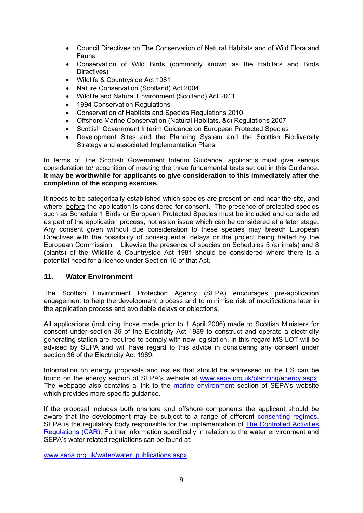- Council Directives on The Conservation of Natural Habitats and of Wild Flora and Fauna
- Conservation of Wild Birds (commonly known as the Habitats and Birds Directives)
- Wildlife & Countryside Act 1981
- Nature Conservation (Scotland) Act 2004
- Wildlife and Natural Environment (Scotland) Act 2011
- 1994 Conservation Regulations
- Conservation of Habitats and Species Regulations 2010
- Offshore Marine Conservation (Natural Habitats, &c) Regulations 2007
- Scottish Government Interim Guidance on European Protected Species
- Development Sites and the Planning System and the Scottish Biodiversity Strategy and associated Implementation Plans

In terms of The Scottish Government Interim Guidance, applicants must give serious consideration to/recognition of meeting the three fundamental tests set out in this Guidance. **It may be worthwhile for applicants to give consideration to this immediately after the completion of the scoping exercise.** 

It needs to be categorically established which species are present on and near the site, and where, before the application is considered for consent. The presence of protected species such as Schedule 1 Birds or European Protected Species must be included and considered as part of the application process, not as an issue which can be considered at a later stage. Any consent given without due consideration to these species may breach European Directives with the possibility of consequential delays or the project being halted by the European Commission. Likewise the presence of species on Schedules 5 (animals) and 8 (plants) of the Wildlife & Countryside Act 1981 should be considered where there is a potential need for a licence under Section 16 of that Act.

# **11. Water Environment**

The Scottish Environment Protection Agency (SEPA) encourages pre-application engagement to help the development process and to minimise risk of modifications later in the application process and avoidable delays or objections.

All applications (including those made prior to 1 April 2006) made to Scottish Ministers for consent under section 36 of the Electricity Act 1989 to construct and operate a electricity generating station are required to comply with new legislation. In this regard MS-LOT will be advised by SEPA and will have regard to this advice in considering any consent under section 36 of the Electricity Act 1989.

Information on energy proposals and issues that should be addressed in the ES can be found on the energy section of SEPA's website at www.sepa.org.uk/planning/energy.aspx. The webpage also contains a link to the marine environment section of SEPA's website which provides more specific guidance.

If the proposal includes both onshore and offshore components the applicant should be aware that the development may be subject to a range of different consenting regimes. SEPA is the regulatory body responsible for the implementation of The Controlled Activities Regulations (CAR). Further information specifically in relation to the water environment and SEPA's water related regulations can be found at;

www.sepa.org.uk/water/water\_publications.aspx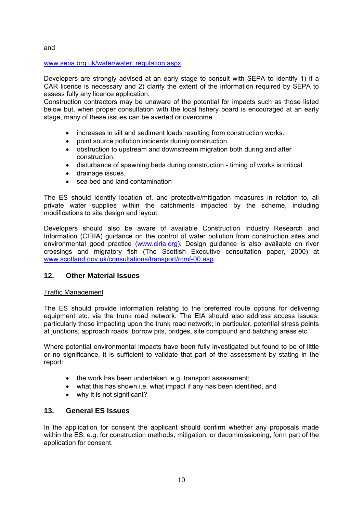and

# www.sepa.org.uk/water/water\_regulation.aspx.

Developers are strongly advised at an early stage to consult with SEPA to identify 1) if a CAR licence is necessary and 2) clarify the extent of the information required by SEPA to assess fully any licence application.

Construction contractors may be unaware of the potential for impacts such as those listed below but, when proper consultation with the local fishery board is encouraged at an early stage, many of these issues can be averted or overcome.

- increases in silt and sediment loads resulting from construction works.
- point source pollution incidents during construction.
- obstruction to upstream and downstream migration both during and after construction.
- disturbance of spawning beds during construction timing of works is critical.
- drainage issues.
- sea bed and land contamination

The ES should identify location of, and protective/mitigation measures in relation to, all private water supplies within the catchments impacted by the scheme, including modifications to site design and layout.

Developers should also be aware of available Construction Industry Research and Information (CIRIA) guidance on the control of water pollution from construction sites and environmental good practice (www.ciria.org). Design guidance is also available on river crossings and migratory fish (The Scottish Executive consultation paper, 2000) at www.scotland.gov.uk/consultations/transport/rcmf-00.asp.

# **12. Other Material Issues**

# Traffic Management

The ES should provide information relating to the preferred route options for delivering equipment etc. via the trunk road network. The EIA should also address access issues, particularly those impacting upon the trunk road network; in particular, potential stress points at junctions, approach roads, borrow pits, bridges, site compound and batching areas etc.

Where potential environmental impacts have been fully investigated but found to be of little or no significance, it is sufficient to validate that part of the assessment by stating in the report:

- the work has been undertaken, e.g. transport assessment;
- what this has shown i.e. what impact if any has been identified, and
- why it is not significant?

# **13. General ES Issues**

In the application for consent the applicant should confirm whether any proposals made within the ES, e.g. for construction methods, mitigation, or decommissioning, form part of the application for consent.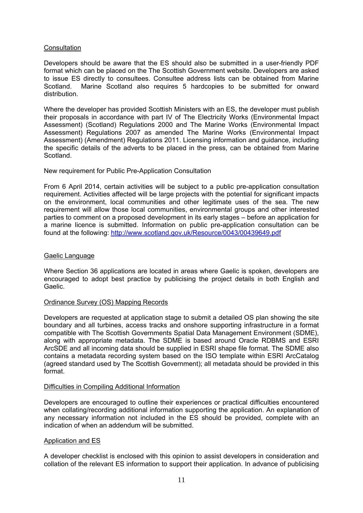## **Consultation**

Developers should be aware that the ES should also be submitted in a user-friendly PDF format which can be placed on the The Scottish Government website. Developers are asked to issue ES directly to consultees. Consultee address lists can be obtained from Marine Scotland. Marine Scotland also requires 5 hardcopies to be submitted for onward distribution.

Where the developer has provided Scottish Ministers with an ES, the developer must publish their proposals in accordance with part IV of The Electricity Works (Environmental Impact Assessment) (Scotland) Regulations 2000 and The Marine Works (Environmental Impact Assessment) Regulations 2007 as amended The Marine Works (Environmental Impact Assessment) (Amendment) Regulations 2011. Licensing information and guidance, including the specific details of the adverts to be placed in the press, can be obtained from Marine Scotland.

## New requirement for Public Pre-Application Consultation

From 6 April 2014, certain activities will be subject to a public pre-application consultation requirement. Activities affected will be large projects with the potential for significant impacts on the environment, local communities and other legitimate uses of the sea. The new requirement will allow those local communities, environmental groups and other interested parties to comment on a proposed development in its early stages – before an application for a marine licence is submitted. Information on public pre-application consultation can be found at the following: http://www.scotland.gov.uk/Resource/0043/00439649.pdf

#### Gaelic Language

Where Section 36 applications are located in areas where Gaelic is spoken, developers are encouraged to adopt best practice by publicising the project details in both English and Gaelic.

#### Ordinance Survey (OS) Mapping Records

Developers are requested at application stage to submit a detailed OS plan showing the site boundary and all turbines, access tracks and onshore supporting infrastructure in a format compatible with The Scottish Governments Spatial Data Management Environment (SDME), along with appropriate metadata. The SDME is based around Oracle RDBMS and ESRI ArcSDE and all incoming data should be supplied in ESRI shape file format. The SDME also contains a metadata recording system based on the ISO template within ESRI ArcCatalog (agreed standard used by The Scottish Government); all metadata should be provided in this format.

#### Difficulties in Compiling Additional Information

Developers are encouraged to outline their experiences or practical difficulties encountered when collating/recording additional information supporting the application. An explanation of any necessary information not included in the ES should be provided, complete with an indication of when an addendum will be submitted.

#### Application and ES

A developer checklist is enclosed with this opinion to assist developers in consideration and collation of the relevant ES information to support their application. In advance of publicising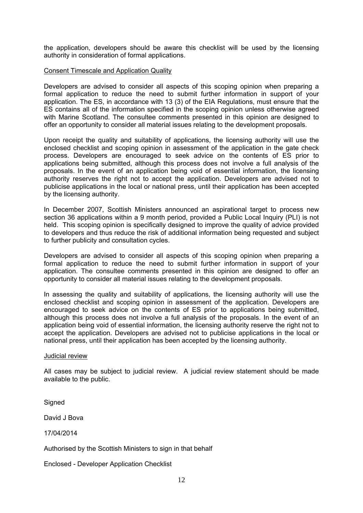the application, developers should be aware this checklist will be used by the licensing authority in consideration of formal applications.

#### Consent Timescale and Application Quality

Developers are advised to consider all aspects of this scoping opinion when preparing a formal application to reduce the need to submit further information in support of your application. The ES, in accordance with 13 (3) of the EIA Regulations, must ensure that the ES contains all of the information specified in the scoping opinion unless otherwise agreed with Marine Scotland. The consultee comments presented in this opinion are designed to offer an opportunity to consider all material issues relating to the development proposals.

Upon receipt the quality and suitability of applications, the licensing authority will use the enclosed checklist and scoping opinion in assessment of the application in the gate check process. Developers are encouraged to seek advice on the contents of ES prior to applications being submitted, although this process does not involve a full analysis of the proposals. In the event of an application being void of essential information, the licensing authority reserves the right not to accept the application. Developers are advised not to publicise applications in the local or national press, until their application has been accepted by the licensing authority.

In December 2007, Scottish Ministers announced an aspirational target to process new section 36 applications within a 9 month period, provided a Public Local Inquiry (PLI) is not held. This scoping opinion is specifically designed to improve the quality of advice provided to developers and thus reduce the risk of additional information being requested and subject to further publicity and consultation cycles.

Developers are advised to consider all aspects of this scoping opinion when preparing a formal application to reduce the need to submit further information in support of your application. The consultee comments presented in this opinion are designed to offer an opportunity to consider all material issues relating to the development proposals.

In assessing the quality and suitability of applications, the licensing authority will use the enclosed checklist and scoping opinion in assessment of the application. Developers are encouraged to seek advice on the contents of ES prior to applications being submitted, although this process does not involve a full analysis of the proposals. In the event of an application being void of essential information, the licensing authority reserve the right not to accept the application. Developers are advised not to publicise applications in the local or national press, until their application has been accepted by the licensing authority.

#### Judicial review

All cases may be subject to judicial review. A judicial review statement should be made available to the public.

**Signed** 

David J Bova

17/04/2014

Authorised by the Scottish Ministers to sign in that behalf

Enclosed - Developer Application Checklist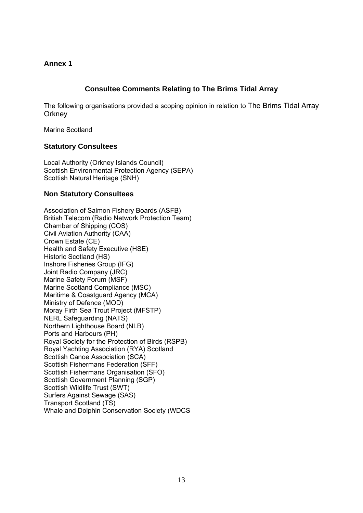# **Annex 1**

# **Consultee Comments Relating to The Brims Tidal Array**

The following organisations provided a scoping opinion in relation to The Brims Tidal Array **Orkney** 

Marine Scotland

# **Statutory Consultees**

Local Authority (Orkney Islands Council) Scottish Environmental Protection Agency (SEPA) Scottish Natural Heritage (SNH)

# **Non Statutory Consultees**

Association of Salmon Fishery Boards (ASFB) British Telecom (Radio Network Protection Team) Chamber of Shipping (COS) Civil Aviation Authority (CAA) Crown Estate (CE) Health and Safety Executive (HSE) Historic Scotland (HS) Inshore Fisheries Group (IFG) Joint Radio Company (JRC) Marine Safety Forum (MSF) Marine Scotland Compliance (MSC) Maritime & Coastguard Agency (MCA) Ministry of Defence (MOD) Moray Firth Sea Trout Project (MFSTP) NERL Safeguarding (NATS) Northern Lighthouse Board (NLB) Ports and Harbours (PH) Royal Society for the Protection of Birds (RSPB) Royal Yachting Association (RYA) Scotland Scottish Canoe Association (SCA) Scottish Fishermans Federation (SFF) Scottish Fishermans Organisation (SFO) Scottish Government Planning (SGP) Scottish Wildlife Trust (SWT) Surfers Against Sewage (SAS) Transport Scotland (TS) Whale and Dolphin Conservation Society (WDCS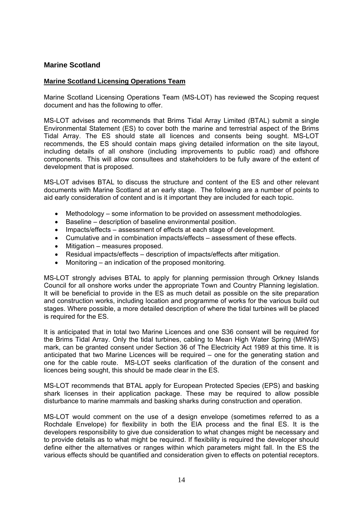# **Marine Scotland**

## **Marine Scotland Licensing Operations Team**

Marine Scotland Licensing Operations Team (MS-LOT) has reviewed the Scoping request document and has the following to offer.

MS-LOT advises and recommends that Brims Tidal Array Limited (BTAL) submit a single Environmental Statement (ES) to cover both the marine and terrestrial aspect of the Brims Tidal Array. The ES should state all licences and consents being sought. MS-LOT recommends, the ES should contain maps giving detailed information on the site layout, including details of all onshore (including improvements to public road) and offshore components. This will allow consultees and stakeholders to be fully aware of the extent of development that is proposed.

MS-LOT advises BTAL to discuss the structure and content of the ES and other relevant documents with Marine Scotland at an early stage. The following are a number of points to aid early consideration of content and is it important they are included for each topic.

- Methodology some information to be provided on assessment methodologies.
- Baseline description of baseline environmental position.
- Impacts/effects assessment of effects at each stage of development.
- Cumulative and in combination impacts/effects assessment of these effects.
- Mitigation measures proposed.
- Residual impacts/effects description of impacts/effects after mitigation.
- Monitoring an indication of the proposed monitoring.

MS-LOT strongly advises BTAL to apply for planning permission through Orkney Islands Council for all onshore works under the appropriate Town and Country Planning legislation. It will be beneficial to provide in the ES as much detail as possible on the site preparation and construction works, including location and programme of works for the various build out stages. Where possible, a more detailed description of where the tidal turbines will be placed is required for the ES.

It is anticipated that in total two Marine Licences and one S36 consent will be required for the Brims Tidal Array. Only the tidal turbines, cabling to Mean High Water Spring (MHWS) mark, can be granted consent under Section 36 of The Electricity Act 1989 at this time. It is anticipated that two Marine Licences will be required – one for the generating station and one for the cable route. MS-LOT seeks clarification of the duration of the consent and licences being sought, this should be made clear in the ES.

MS-LOT recommends that BTAL apply for European Protected Species (EPS) and basking shark licenses in their application package. These may be required to allow possible disturbance to marine mammals and basking sharks during construction and operation.

MS-LOT would comment on the use of a design envelope (sometimes referred to as a Rochdale Envelope) for flexibility in both the EIA process and the final ES. It is the developers responsibility to give due consideration to what changes might be necessary and to provide details as to what might be required. If flexibility is required the developer should define either the alternatives or ranges within which parameters might fall. In the ES the various effects should be quantified and consideration given to effects on potential receptors.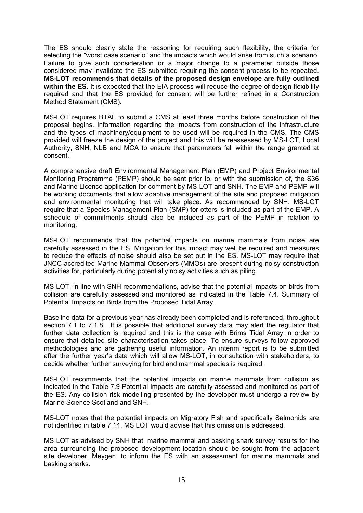The ES should clearly state the reasoning for requiring such flexibility, the criteria for selecting the "worst case scenario" and the impacts which would arise from such a scenario. Failure to give such consideration or a major change to a parameter outside those considered may invalidate the ES submitted requiring the consent process to be repeated. **MS-LOT recommends that details of the proposed design envelope are fully outlined within the ES**. It is expected that the EIA process will reduce the degree of design flexibility required and that the ES provided for consent will be further refined in a Construction Method Statement (CMS).

MS-LOT requires BTAL to submit a CMS at least three months before construction of the proposal begins. Information regarding the impacts from construction of the infrastructure and the types of machinery/equipment to be used will be required in the CMS. The CMS provided will freeze the design of the project and this will be reassessed by MS-LOT, Local Authority, SNH, NLB and MCA to ensure that parameters fall within the range granted at consent.

A comprehensive draft Environmental Management Plan (EMP) and Project Environmental Monitoring Programme (PEMP) should be sent prior to, or with the submission of, the S36 and Marine Licence application for comment by MS-LOT and SNH. The EMP and PEMP will be working documents that allow adaptive management of the site and proposed mitigation and environmental monitoring that will take place. As recommended by SNH, MS-LOT require that a Species Management Plan (SMP) for otters is included as part of the EMP. A schedule of commitments should also be included as part of the PEMP in relation to monitoring.

MS-LOT recommends that the potential impacts on marine mammals from noise are carefully assessed in the ES. Mitigation for this impact may well be required and measures to reduce the effects of noise should also be set out in the ES. MS-LOT may require that JNCC accredited Marine Mammal Observers (MMOs) are present during noisy construction activities for, particularly during potentially noisy activities such as piling.

MS-LOT, in line with SNH recommendations, advise that the potential impacts on birds from collision are carefully assessed and monitored as indicated in the Table 7.4. Summary of Potential Impacts on Birds from the Proposed Tidal Array.

Baseline data for a previous year has already been completed and is referenced, throughout section 7.1 to 7.1.8. It is possible that additional survey data may alert the regulator that further data collection is required and this is the case with Brims Tidal Array in order to ensure that detailed site characterisation takes place. To ensure surveys follow approved methodologies and are gathering useful information. An interim report is to be submitted after the further year's data which will allow MS-LOT, in consultation with stakeholders, to decide whether further surveying for bird and mammal species is required.

MS-LOT recommends that the potential impacts on marine mammals from collision as indicated in the Table 7.9 Potential Impacts are carefully assessed and monitored as part of the ES. Any collision risk modelling presented by the developer must undergo a review by Marine Science Scotland and SNH.

MS-LOT notes that the potential impacts on Migratory Fish and specifically Salmonids are not identified in table 7.14. MS LOT would advise that this omission is addressed.

MS LOT as advised by SNH that, marine mammal and basking shark survey results for the area surrounding the proposed development location should be sought from the adjacent site developer, Meygen, to inform the ES with an assessment for marine mammals and basking sharks.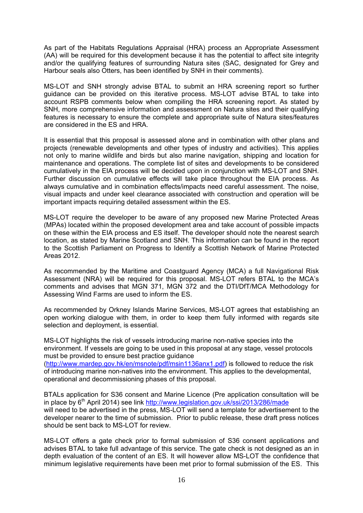As part of the Habitats Regulations Appraisal (HRA) process an Appropriate Assessment (AA) will be required for this development because it has the potential to affect site integrity and/or the qualifying features of surrounding Natura sites (SAC, designated for Grey and Harbour seals also Otters, has been identified by SNH in their comments).

MS-LOT and SNH strongly advise BTAL to submit an HRA screening report so further guidance can be provided on this iterative process. MS-LOT advise BTAL to take into account RSPB comments below when compiling the HRA screening report. As stated by SNH, more comprehensive information and assessment on Natura sites and their qualifying features is necessary to ensure the complete and appropriate suite of Natura sites/features are considered in the ES and HRA.

It is essential that this proposal is assessed alone and in combination with other plans and projects (renewable developments and other types of industry and activities). This applies not only to marine wildlife and birds but also marine navigation, shipping and location for maintenance and operations. The complete list of sites and developments to be considered cumulatively in the EIA process will be decided upon in conjunction with MS-LOT and SNH. Further discussion on cumulative effects will take place throughout the EIA process. As always cumulative and in combination effects/impacts need careful assessment. The noise, visual impacts and under keel clearance associated with construction and operation will be important impacts requiring detailed assessment within the ES.

MS-LOT require the developer to be aware of any proposed new Marine Protected Areas (MPAs) located within the proposed development area and take account of possible impacts on these within the EIA process and ES itself. The developer should note the nearest search location, as stated by Marine Scotland and SNH. This information can be found in the report to the Scottish Parliament on Progress to Identify a Scottish Network of Marine Protected Areas 2012.

As recommended by the Maritime and Coastguard Agency (MCA) a full Navigational Risk Assessment (NRA) will be required for this proposal. MS-LOT refers BTAL to the MCA's comments and advises that MGN 371, MGN 372 and the DTI/DfT/MCA Methodology for Assessing Wind Farms are used to inform the ES.

As recommended by Orkney Islands Marine Services, MS-LOT agrees that establishing an open working dialogue with them, in order to keep them fully informed with regards site selection and deployment, is essential.

MS-LOT highlights the risk of vessels introducing marine non-native species into the environment. If vessels are going to be used in this proposal at any stage, vessel protocols must be provided to ensure best practice guidance (http://www.mardep.gov.hk/en/msnote/pdf/msin1136anx1.pdf) is followed to reduce the risk

of introducing marine non-natives into the environment. This applies to the developmental, operational and decommissioning phases of this proposal.

BTALs application for S36 consent and Marine Licence (Pre application consultation will be in place by 6<sup>th</sup> April 2014) see link http://www.legislation.gov.uk/ssi/2013/286/made will need to be advertised in the press, MS-LOT will send a template for advertisement to the developer nearer to the time of submission. Prior to public release, these draft press notices should be sent back to MS-LOT for review.

MS-LOT offers a gate check prior to formal submission of S36 consent applications and advises BTAL to take full advantage of this service. The gate check is not designed as an in depth evaluation of the content of an ES. It will however allow MS-LOT the confidence that minimum legislative requirements have been met prior to formal submission of the ES. This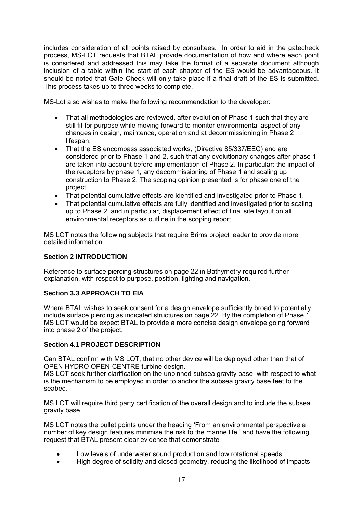includes consideration of all points raised by consultees. In order to aid in the gatecheck process, MS-LOT requests that BTAL provide documentation of how and where each point is considered and addressed this may take the format of a separate document although inclusion of a table within the start of each chapter of the ES would be advantageous. It should be noted that Gate Check will only take place if a final draft of the ES is submitted. This process takes up to three weeks to complete.

MS-Lot also wishes to make the following recommendation to the developer:

- That all methodologies are reviewed, after evolution of Phase 1 such that they are still fit for purpose while moving forward to monitor environmental aspect of any changes in design, maintence, operation and at decommissioning in Phase 2 lifespan.
- That the ES encompass associated works, (Directive 85/337/EEC) and are considered prior to Phase 1 and 2, such that any evolutionary changes after phase 1 are taken into account before implementation of Phase 2. In particular: the impact of the receptors by phase 1, any decommissioning of Phase 1 and scaling up construction to Phase 2. The scoping opinion presented is for phase one of the project.
- That potential cumulative effects are identified and investigated prior to Phase 1.
- That potential cumulative effects are fully identified and investigated prior to scaling up to Phase 2, and in particular, displacement effect of final site layout on all environmental receptors as outline in the scoping report.

MS LOT notes the following subjects that require Brims project leader to provide more detailed information.

# **Section 2 INTRODUCTION**

Reference to surface piercing structures on page 22 in Bathymetry required further explanation, with respect to purpose, position, lighting and navigation.

# **Section 3.3 APPROACH TO EIA**

Where BTAL wishes to seek consent for a design envelope sufficiently broad to potentially include surface piercing as indicated structures on page 22. By the completion of Phase 1 MS LOT would be expect BTAL to provide a more concise design envelope going forward into phase 2 of the project.

# **Section 4.1 PROJECT DESCRIPTION**

Can BTAL confirm with MS LOT, that no other device will be deployed other than that of OPEN HYDRO OPEN-CENTRE turbine design.

MS LOT seek further clarification on the unpinned subsea gravity base, with respect to what is the mechanism to be employed in order to anchor the subsea gravity base feet to the seabed.

MS LOT will require third party certification of the overall design and to include the subsea gravity base.

MS LOT notes the bullet points under the heading 'From an environmental perspective a number of key design features minimise the risk to the marine life.' and have the following request that BTAL present clear evidence that demonstrate

- Low levels of underwater sound production and low rotational speeds
- High degree of solidity and closed geometry, reducing the likelihood of impacts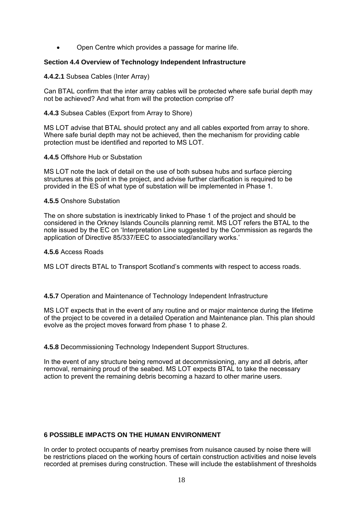Open Centre which provides a passage for marine life.

## **Section 4.4 Overview of Technology Independent Infrastructure**

#### **4.4.2.1** Subsea Cables (Inter Array)

Can BTAL confirm that the inter array cables will be protected where safe burial depth may not be achieved? And what from will the protection comprise of?

#### **4.4.3** Subsea Cables (Export from Array to Shore)

MS LOT advise that BTAL should protect any and all cables exported from array to shore. Where safe burial depth may not be achieved, then the mechanism for providing cable protection must be identified and reported to MS LOT.

#### **4.4.5** Offshore Hub or Substation

MS LOT note the lack of detail on the use of both subsea hubs and surface piercing structures at this point in the project, and advise further clarification is required to be provided in the ES of what type of substation will be implemented in Phase 1.

## **4.5.5** Onshore Substation

The on shore substation is inextricably linked to Phase 1 of the project and should be considered in the Orkney Islands Councils planning remit. MS LOT refers the BTAL to the note issued by the EC on 'Interpretation Line suggested by the Commission as regards the application of Directive 85/337/EEC to associated/ancillary works.'

#### **4.5.6** Access Roads

MS LOT directs BTAL to Transport Scotland's comments with respect to access roads.

#### **4.5.7** Operation and Maintenance of Technology Independent Infrastructure

MS LOT expects that in the event of any routine and or major maintence during the lifetime of the project to be covered in a detailed Operation and Maintenance plan. This plan should evolve as the project moves forward from phase 1 to phase 2.

**4.5.8** Decommissioning Technology Independent Support Structures.

In the event of any structure being removed at decommissioning, any and all debris, after removal, remaining proud of the seabed. MS LOT expects BTAL to take the necessary action to prevent the remaining debris becoming a hazard to other marine users.

# **6 POSSIBLE IMPACTS ON THE HUMAN ENVIRONMENT**

In order to protect occupants of nearby premises from nuisance caused by noise there will be restrictions placed on the working hours of certain construction activities and noise levels recorded at premises during construction. These will include the establishment of thresholds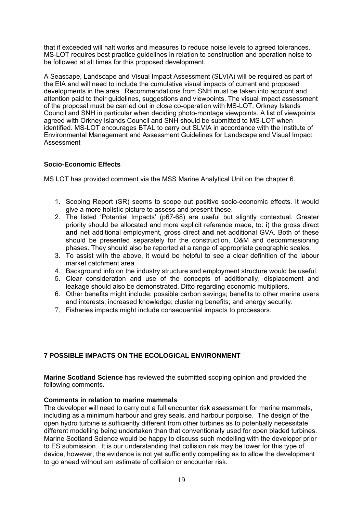that if exceeded will halt works and measures to reduce noise levels to agreed tolerances. MS-LOT requires best practice guidelines in relation to construction and operation noise to be followed at all times for this proposed development.

A Seascape, Landscape and Visual Impact Assessment (SLVIA) will be required as part of the EIA and will need to include the cumulative visual impacts of current and proposed developments in the area. Recommendations from SNH must be taken into account and attention paid to their guidelines, suggestions and viewpoints. The visual impact assessment of the proposal must be carried out in close co-operation with MS-LOT, Orkney Islands Council and SNH in particular when deciding photo-montage viewpoints. A list of viewpoints agreed with Orkney Islands Council and SNH should be submitted to MS-LOT when identified. MS-LOT encourages BTAL to carry out SLVIA in accordance with the Institute of Environmental Management and Assessment Guidelines for Landscape and Visual Impact Assessment

# **Socio-Economic Effects**

MS LOT has provided comment via the MSS Marine Analytical Unit on the chapter 6.

- 1. Scoping Report (SR) seems to scope out positive socio-economic effects. It would give a more holistic picture to assess and present these.
- 2. The listed 'Potential Impacts' (p67-68) are useful but slightly contextual. Greater priority should be allocated and more explicit reference made, to: i) the gross direct **and** net additional employment, gross direct **and** net additional GVA. Both of these should be presented separately for the construction, O&M and decommissioning phases. They should also be reported at a range of appropriate geographic scales.
- 3. To assist with the above, it would be helpful to see a clear definition of the labour market catchment area.
- 4. Background info on the industry structure and employment structure would be useful.
- 5. Clear consideration and use of the concepts of additionally, displacement and leakage should also be demonstrated. Ditto regarding economic multipliers.
- 6. Other benefits might include: possible carbon savings; benefits to other marine users and interests; increased knowledge; clustering benefits; and energy security.
- 7. Fisheries impacts might include consequential impacts to processors.

# **7 POSSIBLE IMPACTS ON THE ECOLOGICAL ENVIRONMENT**

**Marine Scotland Science** has reviewed the submitted scoping opinion and provided the following comments.

# **Comments in relation to marine mammals**

The developer will need to carry out a full encounter risk assessment for marine mammals, including as a minimum harbour and grey seals, and harbour porpoise. The design of the open hydro turbine is sufficiently different from other turbines as to potentially necessitate different modelling being undertaken than that conventionally used for open bladed turbines. Marine Scotland Science would be happy to discuss such modelling with the developer prior to ES submission. It is our understanding that collision risk may be lower for this type of device, however, the evidence is not yet sufficiently compelling as to allow the development to go ahead without am estimate of collision or encounter risk.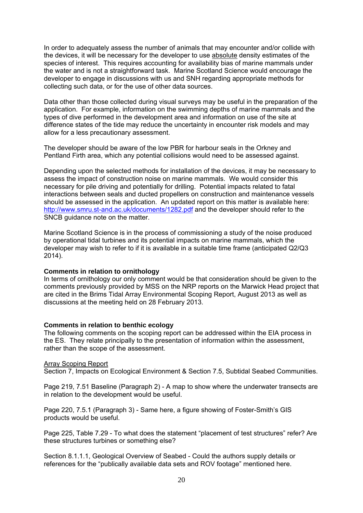In order to adequately assess the number of animals that may encounter and/or collide with the devices, it will be necessary for the developer to use absolute density estimates of the species of interest. This requires accounting for availability bias of marine mammals under the water and is not a straightforward task. Marine Scotland Science would encourage the developer to engage in discussions with us and SNH regarding appropriate methods for collecting such data, or for the use of other data sources.

Data other than those collected during visual surveys may be useful in the preparation of the application. For example, information on the swimming depths of marine mammals and the types of dive performed in the development area and information on use of the site at difference states of the tide may reduce the uncertainty in encounter risk models and may allow for a less precautionary assessment.

The developer should be aware of the low PBR for harbour seals in the Orkney and Pentland Firth area, which any potential collisions would need to be assessed against.

Depending upon the selected methods for installation of the devices, it may be necessary to assess the impact of construction noise on marine mammals. We would consider this necessary for pile driving and potentially for drilling. Potential impacts related to fatal interactions between seals and ducted propellers on construction and maintenance vessels should be assessed in the application. An updated report on this matter is available here: http://www.smru.st-and.ac.uk/documents/1282.pdf and the developer should refer to the SNCB guidance note on the matter.

Marine Scotland Science is in the process of commissioning a study of the noise produced by operational tidal turbines and its potential impacts on marine mammals, which the developer may wish to refer to if it is available in a suitable time frame (anticipated Q2/Q3 2014).

#### **Comments in relation to ornithology**

In terms of ornithology our only comment would be that consideration should be given to the comments previously provided by MSS on the NRP reports on the Marwick Head project that are cited in the Brims Tidal Array Environmental Scoping Report, August 2013 as well as discussions at the meeting held on 28 February 2013.

#### **Comments in relation to benthic ecology**

The following comments on the scoping report can be addressed within the EIA process in the ES. They relate principally to the presentation of information within the assessment, rather than the scope of the assessment.

#### Array Scoping Report

Section 7, Impacts on Ecological Environment & Section 7.5, Subtidal Seabed Communities.

Page 219, 7.51 Baseline (Paragraph 2) - A map to show where the underwater transects are in relation to the development would be useful.

Page 220, 7.5.1 (Paragraph 3) - Same here, a figure showing of Foster-Smith's GIS products would be useful.

Page 225, Table 7.29 - To what does the statement "placement of test structures" refer? Are these structures turbines or something else?

Section 8.1.1.1, Geological Overview of Seabed - Could the authors supply details or references for the "publically available data sets and ROV footage" mentioned here.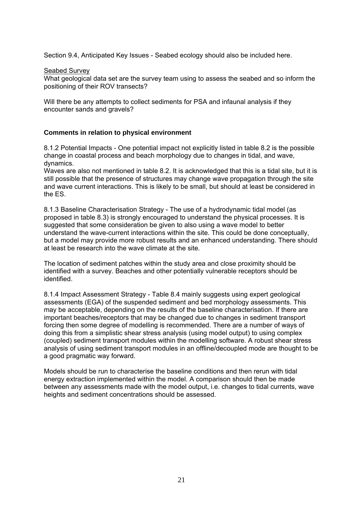Section 9.4, Anticipated Key Issues - Seabed ecology should also be included here.

#### Seabed Survey

What geological data set are the survey team using to assess the seabed and so inform the positioning of their ROV transects?

Will there be any attempts to collect sediments for PSA and infaunal analysis if they encounter sands and gravels?

## **Comments in relation to physical environment**

8.1.2 Potential Impacts - One potential impact not explicitly listed in table 8.2 is the possible change in coastal process and beach morphology due to changes in tidal, and wave, dynamics.

Waves are also not mentioned in table 8.2. It is acknowledged that this is a tidal site, but it is still possible that the presence of structures may change wave propagation through the site and wave current interactions. This is likely to be small, but should at least be considered in the ES.

8.1.3 Baseline Characterisation Strategy - The use of a hydrodynamic tidal model (as proposed in table 8.3) is strongly encouraged to understand the physical processes. It is suggested that some consideration be given to also using a wave model to better understand the wave-current interactions within the site. This could be done conceptually, but a model may provide more robust results and an enhanced understanding. There should at least be research into the wave climate at the site.

The location of sediment patches within the study area and close proximity should be identified with a survey. Beaches and other potentially vulnerable receptors should be identified.

8.1.4 Impact Assessment Strategy - Table 8.4 mainly suggests using expert geological assessments (EGA) of the suspended sediment and bed morphology assessments. This may be acceptable, depending on the results of the baseline characterisation. If there are important beaches/receptors that may be changed due to changes in sediment transport forcing then some degree of modelling is recommended. There are a number of ways of doing this from a simplistic shear stress analysis (using model output) to using complex (coupled) sediment transport modules within the modelling software. A robust shear stress analysis of using sediment transport modules in an offline/decoupled mode are thought to be a good pragmatic way forward.

Models should be run to characterise the baseline conditions and then rerun with tidal energy extraction implemented within the model. A comparison should then be made between any assessments made with the model output, i.e. changes to tidal currents, wave heights and sediment concentrations should be assessed.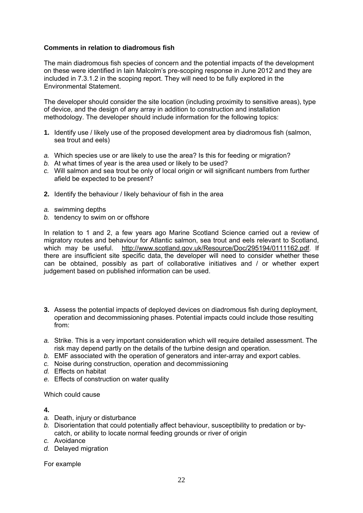# **Comments in relation to diadromous fish**

The main diadromous fish species of concern and the potential impacts of the development on these were identified in Iain Malcolm's pre-scoping response in June 2012 and they are included in 7.3.1.2 in the scoping report. They will need to be fully explored in the Environmental Statement.

The developer should consider the site location (including proximity to sensitive areas), type of device, and the design of any array in addition to construction and installation methodology. The developer should include information for the following topics:

- **1.** Identify use / likely use of the proposed development area by diadromous fish (salmon, sea trout and eels)
- *a.* Which species use or are likely to use the area? Is this for feeding or migration?
- *b.* At what times of year is the area used or likely to be used?
- *c.* Will salmon and sea trout be only of local origin or will significant numbers from further afield be expected to be present?
- **2.** Identify the behaviour / likely behaviour of fish in the area
- *a.* swimming depths
- *b.* tendency to swim on or offshore

In relation to 1 and 2, a few years ago Marine Scotland Science carried out a review of migratory routes and behaviour for Atlantic salmon, sea trout and eels relevant to Scotland, which may be useful. http://www.scotland.gov.uk/Resource/Doc/295194/0111162.pdf. If there are insufficient site specific data, the developer will need to consider whether these can be obtained, possibly as part of collaborative initiatives and / or whether expert judgement based on published information can be used.

- **3.** Assess the potential impacts of deployed devices on diadromous fish during deployment, operation and decommissioning phases. Potential impacts could include those resulting from:
- *a.* Strike. This is a very important consideration which will require detailed assessment. The risk may depend partly on the details of the turbine design and operation.
- *b.* EMF associated with the operation of generators and inter-array and export cables.
- *c.* Noise during construction, operation and decommissioning
- *d.* Effects on habitat
- *e.* Effects of construction on water quality

Which could cause

#### **4.**

- *a.* Death, injury or disturbance
- *b.* Disorientation that could potentially affect behaviour, susceptibility to predation or bycatch, or ability to locate normal feeding grounds or river of origin
- *c.* Avoidance
- *d.* Delayed migration

For example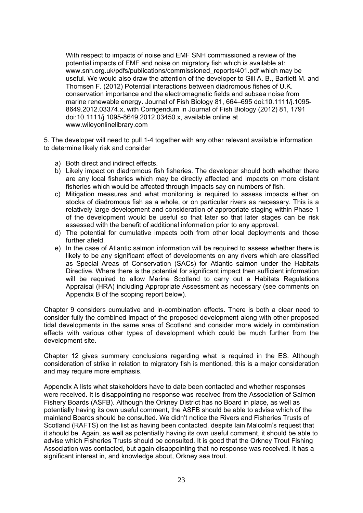With respect to impacts of noise and EMF SNH commissioned a review of the potential impacts of EMF and noise on migratory fish which is available at: www.snh.org.uk/pdfs/publications/commissioned\_reports/401.pdf which may be useful. We would also draw the attention of the developer to Gill A. B., Bartlett M. and Thomsen F. (2012) Potential interactions between diadromous fishes of U.K. conservation importance and the electromagnetic fields and subsea noise from marine renewable energy. Journal of Fish Biology 81, 664–695 doi:10.1111/j.1095- 8649.2012.03374.x, with Corrigendum in Journal of Fish Biology (2012) 81, 1791 doi:10.1111/j.1095-8649.2012.03450.x, available online at www.wileyonlinelibrary.com

5. The developer will need to pull 1-4 together with any other relevant available information to determine likely risk and consider

- a) Both direct and indirect effects.
- b) Likely impact on diadromous fish fisheries. The developer should both whether there are any local fisheries which may be directly affected and impacts on more distant fisheries which would be affected through impacts say on numbers of fish.
- c) Mitigation measures and what monitoring is required to assess impacts either on stocks of diadromous fish as a whole, or on particular rivers as necessary. This is a relatively large development and consideration of appropriate staging within Phase 1 of the development would be useful so that later so that later stages can be risk assessed with the benefit of additional information prior to any approval.
- d) The potential for cumulative impacts both from other local deployments and those further afield.
- e) In the case of Atlantic salmon information will be required to assess whether there is likely to be any significant effect of developments on any rivers which are classified as Special Areas of Conservation (SACs) for Atlantic salmon under the Habitats Directive. Where there is the potential for significant impact then sufficient information will be required to allow Marine Scotland to carry out a Habitats Regulations Appraisal (HRA) including Appropriate Assessment as necessary (see comments on Appendix B of the scoping report below).

Chapter 9 considers cumulative and in-combination effects. There is both a clear need to consider fully the combined impact of the proposed development along with other proposed tidal developments in the same area of Scotland and consider more widely in combination effects with various other types of development which could be much further from the development site.

Chapter 12 gives summary conclusions regarding what is required in the ES. Although consideration of strike in relation to migratory fish is mentioned, this is a major consideration and may require more emphasis.

Appendix A lists what stakeholders have to date been contacted and whether responses were received. It is disappointing no response was received from the Association of Salmon Fishery Boards (ASFB). Although the Orkney District has no Board in place, as well as potentially having its own useful comment, the ASFB should be able to advise which of the mainland Boards should be consulted. We didn't notice the Rivers and Fisheries Trusts of Scotland (RAFTS) on the list as having been contacted, despite Iain Malcolm's request that it should be. Again, as well as potentially having its own useful comment, it should be able to advise which Fisheries Trusts should be consulted. It is good that the Orkney Trout Fishing Association was contacted, but again disappointing that no response was received. It has a significant interest in, and knowledge about, Orkney sea trout.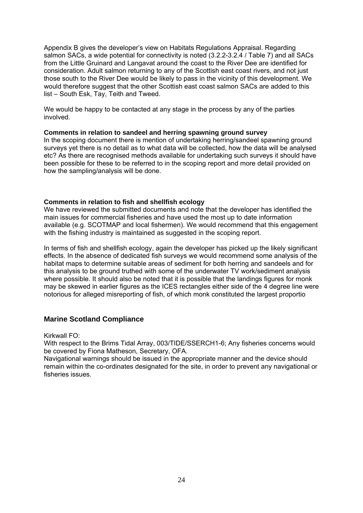Appendix B gives the developer's view on Habitats Regulations Appraisal. Regarding salmon SACs, a wide potential for connectivity is noted (3.2.2-3.2.4 / Table 7) and all SACs from the Little Gruinard and Langavat around the coast to the River Dee are identified for consideration. Adult salmon returning to any of the Scottish east coast rivers, and not just those south to the River Dee would be likely to pass in the vicinity of this development. We would therefore suggest that the other Scottish east coast salmon SACs are added to this list – South Esk, Tay, Teith and Tweed.

We would be happy to be contacted at any stage in the process by any of the parties involved.

## **Comments in relation to sandeel and herring spawning ground survey**

In the scoping document there is mention of undertaking herring/sandeel spawning ground surveys yet there is no detail as to what data will be collected, how the data will be analysed etc? As there are recognised methods available for undertaking such surveys it should have been possible for these to be referred to in the scoping report and more detail provided on how the sampling/analysis will be done.

## **Comments in relation to fish and shellfish ecology**

We have reviewed the submitted documents and note that the developer has identified the main issues for commercial fisheries and have used the most up to date information available (e.g. SCOTMAP and local fishermen). We would recommend that this engagement with the fishing industry is maintained as suggested in the scoping report.

In terms of fish and shellfish ecology, again the developer has picked up the likely significant effects. In the absence of dedicated fish surveys we would recommend some analysis of the habitat maps to determine suitable areas of sediment for both herring and sandeels and for this analysis to be ground truthed with some of the underwater TV work/sediment analysis where possible. It should also be noted that it is possible that the landings figures for monk may be skewed in earlier figures as the ICES rectangles either side of the 4 degree line were notorious for alleged misreporting of fish, of which monk constituted the largest proportio

# **Marine Scotland Compliance**

Kirkwall FO:

With respect to the Brims Tidal Array, 003/TIDE/SSERCH1-6; Any fisheries concerns would be covered by Fiona Matheson, Secretary, OFA.

Navigational warnings should be issued in the appropriate manner and the device should remain within the co-ordinates designated for the site, in order to prevent any navigational or fisheries issues.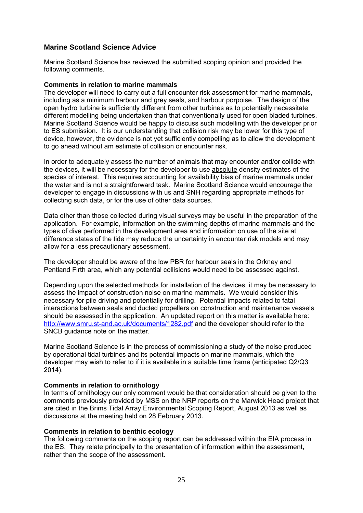# **Marine Scotland Science Advice**

Marine Scotland Science has reviewed the submitted scoping opinion and provided the following comments.

## **Comments in relation to marine mammals**

The developer will need to carry out a full encounter risk assessment for marine mammals, including as a minimum harbour and grey seals, and harbour porpoise. The design of the open hydro turbine is sufficiently different from other turbines as to potentially necessitate different modelling being undertaken than that conventionally used for open bladed turbines. Marine Scotland Science would be happy to discuss such modelling with the developer prior to ES submission. It is our understanding that collision risk may be lower for this type of device, however, the evidence is not yet sufficiently compelling as to allow the development to go ahead without am estimate of collision or encounter risk.

In order to adequately assess the number of animals that may encounter and/or collide with the devices, it will be necessary for the developer to use absolute density estimates of the species of interest. This requires accounting for availability bias of marine mammals under the water and is not a straightforward task. Marine Scotland Science would encourage the developer to engage in discussions with us and SNH regarding appropriate methods for collecting such data, or for the use of other data sources.

Data other than those collected during visual surveys may be useful in the preparation of the application. For example, information on the swimming depths of marine mammals and the types of dive performed in the development area and information on use of the site at difference states of the tide may reduce the uncertainty in encounter risk models and may allow for a less precautionary assessment.

The developer should be aware of the low PBR for harbour seals in the Orkney and Pentland Firth area, which any potential collisions would need to be assessed against.

Depending upon the selected methods for installation of the devices, it may be necessary to assess the impact of construction noise on marine mammals. We would consider this necessary for pile driving and potentially for drilling. Potential impacts related to fatal interactions between seals and ducted propellers on construction and maintenance vessels should be assessed in the application. An updated report on this matter is available here: http://www.smru.st-and.ac.uk/documents/1282.pdf and the developer should refer to the SNCB guidance note on the matter.

Marine Scotland Science is in the process of commissioning a study of the noise produced by operational tidal turbines and its potential impacts on marine mammals, which the developer may wish to refer to if it is available in a suitable time frame (anticipated Q2/Q3 2014).

#### **Comments in relation to ornithology**

In terms of ornithology our only comment would be that consideration should be given to the comments previously provided by MSS on the NRP reports on the Marwick Head project that are cited in the Brims Tidal Array Environmental Scoping Report, August 2013 as well as discussions at the meeting held on 28 February 2013.

#### **Comments in relation to benthic ecology**

The following comments on the scoping report can be addressed within the EIA process in the ES. They relate principally to the presentation of information within the assessment, rather than the scope of the assessment.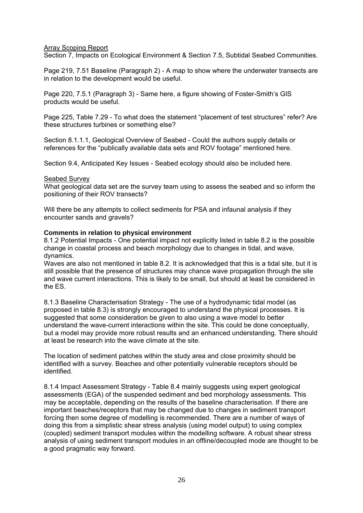# Array Scoping Report

Section 7, Impacts on Ecological Environment & Section 7.5, Subtidal Seabed Communities.

Page 219, 7.51 Baseline (Paragraph 2) - A map to show where the underwater transects are in relation to the development would be useful.

Page 220, 7.5.1 (Paragraph 3) - Same here, a figure showing of Foster-Smith's GIS products would be useful.

Page 225, Table 7.29 - To what does the statement "placement of test structures" refer? Are these structures turbines or something else?

Section 8.1.1.1, Geological Overview of Seabed - Could the authors supply details or references for the "publically available data sets and ROV footage" mentioned here.

Section 9.4, Anticipated Key Issues - Seabed ecology should also be included here.

## Seabed Survey

What geological data set are the survey team using to assess the seabed and so inform the positioning of their ROV transects?

Will there be any attempts to collect sediments for PSA and infaunal analysis if they encounter sands and gravels?

## **Comments in relation to physical environment**

8.1.2 Potential Impacts - One potential impact not explicitly listed in table 8.2 is the possible change in coastal process and beach morphology due to changes in tidal, and wave, dynamics.

Waves are also not mentioned in table 8.2. It is acknowledged that this is a tidal site, but it is still possible that the presence of structures may chance wave propagation through the site and wave current interactions. This is likely to be small, but should at least be considered in the ES.

8.1.3 Baseline Characterisation Strategy - The use of a hydrodynamic tidal model (as proposed in table 8.3) is strongly encouraged to understand the physical processes. It is suggested that some consideration be given to also using a wave model to better understand the wave-current interactions within the site. This could be done conceptually, but a model may provide more robust results and an enhanced understanding. There should at least be research into the wave climate at the site.

The location of sediment patches within the study area and close proximity should be identified with a survey. Beaches and other potentially vulnerable receptors should be identified.

8.1.4 Impact Assessment Strategy - Table 8.4 mainly suggests using expert geological assessments (EGA) of the suspended sediment and bed morphology assessments. This may be acceptable, depending on the results of the baseline characterisation. If there are important beaches/receptors that may be changed due to changes in sediment transport forcing then some degree of modelling is recommended. There are a number of ways of doing this from a simplistic shear stress analysis (using model output) to using complex (coupled) sediment transport modules within the modelling software. A robust shear stress analysis of using sediment transport modules in an offline/decoupled mode are thought to be a good pragmatic way forward.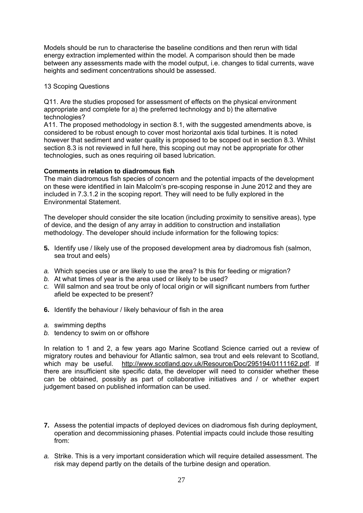Models should be run to characterise the baseline conditions and then rerun with tidal energy extraction implemented within the model. A comparison should then be made between any assessments made with the model output, i.e. changes to tidal currents, wave heights and sediment concentrations should be assessed.

# 13 Scoping Questions

Q11. Are the studies proposed for assessment of effects on the physical environment appropriate and complete for a) the preferred technology and b) the alternative technologies?

A11. The proposed methodology in section 8.1, with the suggested amendments above, is considered to be robust enough to cover most horizontal axis tidal turbines. It is noted however that sediment and water quality is proposed to be scoped out in section 8.3. Whilst section 8.3 is not reviewed in full here, this scoping out may not be appropriate for other technologies, such as ones requiring oil based lubrication.

## **Comments in relation to diadromous fish**

The main diadromous fish species of concern and the potential impacts of the development on these were identified in Iain Malcolm's pre-scoping response in June 2012 and they are included in 7.3.1.2 in the scoping report. They will need to be fully explored in the Environmental Statement.

The developer should consider the site location (including proximity to sensitive areas), type of device, and the design of any array in addition to construction and installation methodology. The developer should include information for the following topics:

- **5.** Identify use / likely use of the proposed development area by diadromous fish (salmon, sea trout and eels)
- *a.* Which species use or are likely to use the area? Is this for feeding or migration?
- *b.* At what times of year is the area used or likely to be used?
- *c.* Will salmon and sea trout be only of local origin or will significant numbers from further afield be expected to be present?
- **6.** Identify the behaviour / likely behaviour of fish in the area
- *a.* swimming depths
- *b.* tendency to swim on or offshore

In relation to 1 and 2, a few years ago Marine Scotland Science carried out a review of migratory routes and behaviour for Atlantic salmon, sea trout and eels relevant to Scotland, which may be useful. http://www.scotland.gov.uk/Resource/Doc/295194/0111162.pdf. If there are insufficient site specific data, the developer will need to consider whether these can be obtained, possibly as part of collaborative initiatives and / or whether expert judgement based on published information can be used.

- **7.** Assess the potential impacts of deployed devices on diadromous fish during deployment, operation and decommissioning phases. Potential impacts could include those resulting from:
- *a.* Strike. This is a very important consideration which will require detailed assessment. The risk may depend partly on the details of the turbine design and operation.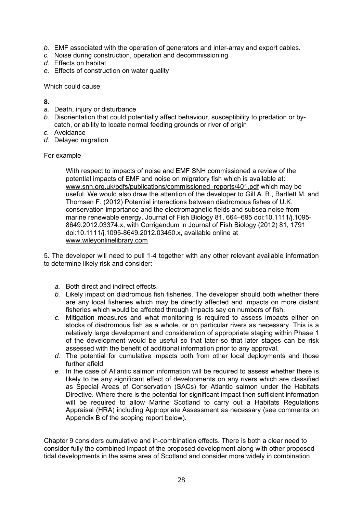- *b.* EMF associated with the operation of generators and inter-array and export cables.
- *c.* Noise during construction, operation and decommissioning
- *d.* Effects on habitat
- *e.* Effects of construction on water quality

Which could cause

**8.** 

- *a.* Death, injury or disturbance
- *b.* Disorientation that could potentially affect behaviour, susceptibility to predation or bycatch, or ability to locate normal feeding grounds or river of origin
- *c.* Avoidance
- *d.* Delayed migration

For example

With respect to impacts of noise and EMF SNH commissioned a review of the potential impacts of EMF and noise on migratory fish which is available at: www.snh.org.uk/pdfs/publications/commissioned\_reports/401.pdf which may be useful. We would also draw the attention of the developer to Gill A. B., Bartlett M. and Thomsen F. (2012) Potential interactions between diadromous fishes of U.K. conservation importance and the electromagnetic fields and subsea noise from marine renewable energy. Journal of Fish Biology 81, 664–695 doi:10.1111/j.1095- 8649.2012.03374.x, with Corrigendum in Journal of Fish Biology (2012) 81, 1791 doi:10.1111/j.1095-8649.2012.03450.x, available online at www.wileyonlinelibrary.com

5. The developer will need to pull 1-4 together with any other relevant available information to determine likely risk and consider:

- *a.* Both direct and indirect effects.
- *b.* Likely impact on diadromous fish fisheries. The developer should both whether there are any local fisheries which may be directly affected and impacts on more distant fisheries which would be affected through impacts say on numbers of fish.
- *c.* Mitigation measures and what monitoring is required to assess impacts either on stocks of diadromous fish as a whole, or on particular rivers as necessary. This is a relatively large development and consideration of appropriate staging within Phase 1 of the development would be useful so that later so that later stages can be risk assessed with the benefit of additional information prior to any approval.
- *d.* The potential for cumulative impacts both from other local deployments and those further afield
- *e.* In the case of Atlantic salmon information will be required to assess whether there is likely to be any significant effect of developments on any rivers which are classified as Special Areas of Conservation (SACs) for Atlantic salmon under the Habitats Directive. Where there is the potential for significant impact then sufficient information will be required to allow Marine Scotland to carry out a Habitats Regulations Appraisal (HRA) including Appropriate Assessment as necessary (see comments on Appendix B of the scoping report below).

Chapter 9 considers cumulative and in-combination effects. There is both a clear need to consider fully the combined impact of the proposed development along with other proposed tidal developments in the same area of Scotland and consider more widely in combination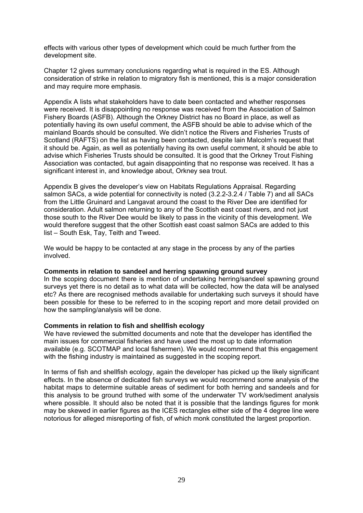effects with various other types of development which could be much further from the development site.

Chapter 12 gives summary conclusions regarding what is required in the ES. Although consideration of strike in relation to migratory fish is mentioned, this is a major consideration and may require more emphasis.

Appendix A lists what stakeholders have to date been contacted and whether responses were received. It is disappointing no response was received from the Association of Salmon Fishery Boards (ASFB). Although the Orkney District has no Board in place, as well as potentially having its own useful comment, the ASFB should be able to advise which of the mainland Boards should be consulted. We didn't notice the Rivers and Fisheries Trusts of Scotland (RAFTS) on the list as having been contacted, despite Iain Malcolm's request that it should be. Again, as well as potentially having its own useful comment, it should be able to advise which Fisheries Trusts should be consulted. It is good that the Orkney Trout Fishing Association was contacted, but again disappointing that no response was received. It has a significant interest in, and knowledge about, Orkney sea trout.

Appendix B gives the developer's view on Habitats Regulations Appraisal. Regarding salmon SACs, a wide potential for connectivity is noted (3.2.2-3.2.4 / Table 7) and all SACs from the Little Gruinard and Langavat around the coast to the River Dee are identified for consideration. Adult salmon returning to any of the Scottish east coast rivers, and not just those south to the River Dee would be likely to pass in the vicinity of this development. We would therefore suggest that the other Scottish east coast salmon SACs are added to this list – South Esk, Tay, Teith and Tweed.

We would be happy to be contacted at any stage in the process by any of the parties involved.

#### **Comments in relation to sandeel and herring spawning ground survey**

In the scoping document there is mention of undertaking herring/sandeel spawning ground surveys yet there is no detail as to what data will be collected, how the data will be analysed etc? As there are recognised methods available for undertaking such surveys it should have been possible for these to be referred to in the scoping report and more detail provided on how the sampling/analysis will be done.

#### **Comments in relation to fish and shellfish ecology**

We have reviewed the submitted documents and note that the developer has identified the main issues for commercial fisheries and have used the most up to date information available (e.g. SCOTMAP and local fishermen). We would recommend that this engagement with the fishing industry is maintained as suggested in the scoping report.

In terms of fish and shellfish ecology, again the developer has picked up the likely significant effects. In the absence of dedicated fish surveys we would recommend some analysis of the habitat maps to determine suitable areas of sediment for both herring and sandeels and for this analysis to be ground truthed with some of the underwater TV work/sediment analysis where possible. It should also be noted that it is possible that the landings figures for monk may be skewed in earlier figures as the ICES rectangles either side of the 4 degree line were notorious for alleged misreporting of fish, of which monk constituted the largest proportion.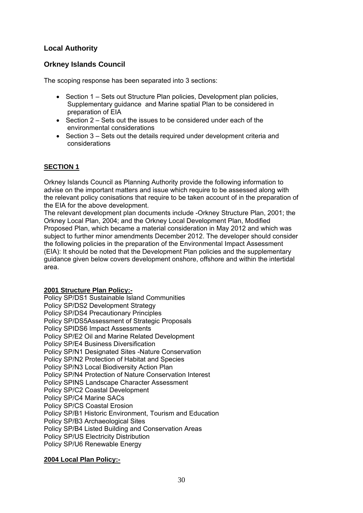# **Local Authority**

# **Orkney Islands Council**

The scoping response has been separated into 3 sections:

- Section 1 Sets out Structure Plan policies, Development plan policies, Supplementary guidance and Marine spatial Plan to be considered in preparation of EIA
- Section 2 Sets out the issues to be considered under each of the environmental considerations
- Section 3 Sets out the details required under development criteria and considerations

# **SECTION 1**

Orkney Islands Council as Planning Authority provide the following information to advise on the important matters and issue which require to be assessed along with the relevant policy conisations that require to be taken account of in the preparation of the EIA for the above development.

The relevant development plan documents include -Orkney Structure Plan, 2001; the Orkney Local Plan, 2004; and the Orkney Local Development Plan, Modified Proposed Plan, which became a material consideration in May 2012 and which was subject to further minor amendments December 2012. The developer should consider the following policies in the preparation of the Environmental Impact Assessment (EIA): It should be noted that the Development Plan policies and the supplementary guidance given below covers development onshore, offshore and within the intertidal area.

# **2001 Structure Plan Policy:-**

Policy SP/DS1 Sustainable Island Communities Policy SP/DS2 Development Strategy Policy SP/DS4 Precautionary Principles Policy SP/DS5Assessment of Strategic Proposals Policy SPIDS6 Impact Assessments Policy SP/E2 Oil and Marine Related Development Policy SP/E4 Business Diversification Policy SP/N1 Designated Sites -Nature Conservation Policy SP/N2 Protection of Habitat and Species Policy SP/N3 Local Biodiversity Action Plan Policy SP/N4 Protection of Nature Conservation Interest Policy SPINS Landscape Character Assessment Policy SP/C2 Coastal Development Policy SP/C4 Marine SACs Policy SP/CS Coastal Erosion Policy SP/B1 Historic Environment, Tourism and Education Policy SP/B3 Archaeological Sites Policy SP/B4 Listed Building and Conservation Areas Policy SP/US Electricity Distribution Policy SP/U6 Renewable Energy

# **2004 Local Plan Policy:-**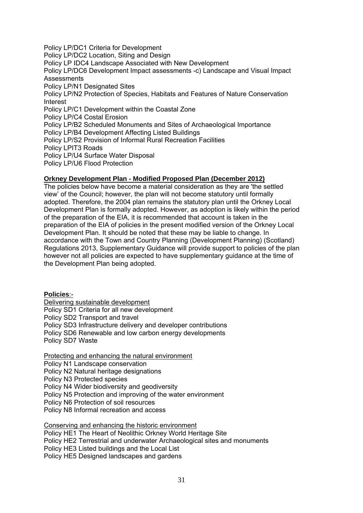Policy LP/DC1 Criteria for Development Policy LP/DC2 Location, Siting and Design Policy LP IDC4 Landscape Associated with New Development Policy LP/DC6 Development Impact assessments -c) Landscape and Visual Impact **Assessments** Policy LP/N1 Designated Sites Policy LP/N2 Protection of Species, Habitats and Features of Nature Conservation Interest Policy LP/C1 Development within the Coastal Zone Policy LP/C4 Costal Erosion Policy LP/B2 Scheduled Monuments and Sites of Archaeological Importance Policy LP/B4 Development Affecting Listed Buildings Policy LP/S2 Provision of Informal Rural Recreation Facilities Policy LPIT3 Roads Policy LP/U4 Surface Water Disposal Policy LP/U6 Flood Protection

# **Orkney Development Plan - Modified Proposed Plan (December 2012)**

The policies below have become a material consideration as they are 'the settled view' of the Council; however, the plan will not become statutory until formally adopted. Therefore, the 2004 plan remains the statutory plan until the Orkney Local Development Plan is formally adopted. However, as adoption is likely within the period of the preparation of the EIA, it is recommended that account is taken in the preparation of the EIA of policies in the present modified version of the Orkney Local Development Plan. It should be noted that these may be liable to change. In accordance with the Town and Country Planning (Development Planning) (Scotland) Regulations 2013, Supplementary Guidance will provide support to policies of the plan however not all policies are expected to have supplementary guidance at the time of the Development Plan being adopted.

**Policies**:- Delivering sustainable development Policy SD1 Criteria for all new development Policy SD2 Transport and travel Policy SD3 Infrastructure delivery and developer contributions Policy SD6 Renewable and low carbon energy developments Policy SD7 Waste

Protecting and enhancing the natural environment Policy N1 Landscape conservation Policy N2 Natural heritage designations Policy N3 Protected species Policy N4 Wider biodiversity and geodiversity Policy N5 Protection and improving of the water environment Policy N6 Protection of soil resources Policy N8 Informal recreation and access

Conserving and enhancing the historic environment Policy HE1 The Heart of Neolithic Orkney World Heritage Site Policy HE2 Terrestrial and underwater Archaeological sites and monuments Policy HE3 Listed buildings and the Local List Policy HE5 Designed landscapes and gardens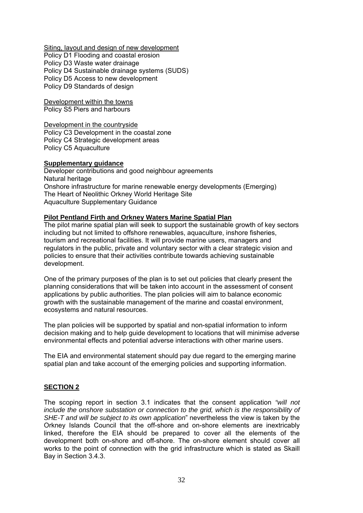Siting, layout and design of new development Policy D1 Flooding and coastal erosion Policy D3 Waste water drainage Policy D4 Sustainable drainage systems (SUDS) Policy D5 Access to new development Policy D9 Standards of design

Development within the towns Policy S5 Piers and harbours

Development in the countryside Policy C3 Development in the coastal zone Policy C4 Strategic development areas Policy C5 Aquaculture

## **Supplementary guidance**

Developer contributions and good neighbour agreements Natural heritage Onshore infrastructure for marine renewable energy developments (Emerging) The Heart of Neolithic Orkney World Heritage Site Aquaculture Supplementary Guidance

# **Pilot Pentland Firth and Orkney Waters Marine Spatial Plan**

The pilot marine spatial plan will seek to support the sustainable growth of key sectors including but not limited to offshore renewables, aquaculture, inshore fisheries, tourism and recreational facilities. It will provide marine users, managers and regulators in the public, private and voluntary sector with a clear strategic vision and policies to ensure that their activities contribute towards achieving sustainable development.

One of the primary purposes of the plan is to set out policies that clearly present the planning considerations that will be taken into account in the assessment of consent applications by public authorities. The plan policies will aim to balance economic growth with the sustainable management of the marine and coastal environment, ecosystems and natural resources.

The plan policies will be supported by spatial and non-spatial information to inform decision making and to help guide development to locations that will minimise adverse environmental effects and potential adverse interactions with other marine users.

The EIA and environmental statement should pay due regard to the emerging marine spatial plan and take account of the emerging policies and supporting information.

# **SECTION 2**

The scoping report in section 3.1 indicates that the consent application *"will not include the onshore substation or connection to the grid, which is the responsibility of SHE-T and will be subject to its own application*" nevertheless the view is taken by the Orkney Islands Council that the off-shore and on-shore elements are inextricably linked, therefore the EIA should be prepared to cover all the elements of the development both on-shore and off-shore. The on-shore element should cover all works to the point of connection with the grid infrastructure which is stated as Skaill Bay in Section 3.4.3.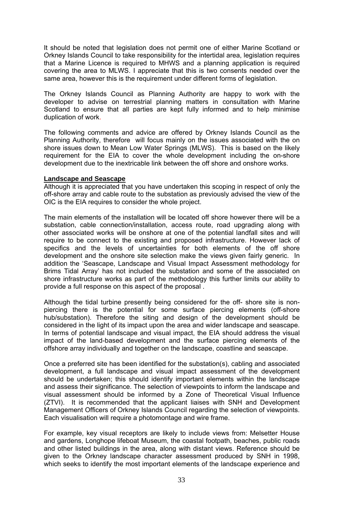It should be noted that legislation does not permit one of either Marine Scotland or Orkney Islands Council to take responsibility for the intertidal area, legislation requires that a Marine Licence is required to MHWS and a planning application is required covering the area to MLWS. I appreciate that this is two consents needed over the same area, however this is the requirement under different forms of legislation.

The Orkney Islands Council as Planning Authority are happy to work with the developer to advise on terrestrial planning matters in consultation with Marine Scotland to ensure that all parties are kept fully informed and to help minimise duplication of work.

The following comments and advice are offered by Orkney Islands Council as the Planning Authority, therefore will focus mainly on the issues associated with the on shore issues down to Mean Low Water Springs (MLWS). This is based on the likely requirement for the EIA to cover the whole development including the on-shore development due to the inextricable link between the off shore and onshore works.

#### **Landscape and Seascape**

Although it is appreciated that you have undertaken this scoping in respect of only the off-shore array and cable route to the substation as previously advised the view of the OIC is the EIA requires to consider the whole project.

The main elements of the installation will be located off shore however there will be a substation, cable connection/installation, access route, road upgrading along with other associated works will be onshore at one of the potential landfall sites and will require to be connect to the existing and proposed infrastructure. However lack of specifics and the levels of uncertainties for both elements of the off shore development and the onshore site selection make the views given fairly generic. In addition the 'Seascape, Landscape and Visual Impact Assessment methodology for Brims Tidal Array' has not included the substation and some of the associated on shore infrastructure works as part of the methodology this further limits our ability to provide a full response on this aspect of the proposal .

Although the tidal turbine presently being considered for the off- shore site is nonpiercing there is the potential for some surface piercing elements (off-shore hub/substation). Therefore the siting and design of the development should be considered in the light of its impact upon the area and wider landscape and seascape. In terms of potential landscape and visual impact, the EIA should address the visual impact of the land-based development and the surface piercing elements of the offshore array individually and together on the landscape, coastline and seascape.

Once a preferred site has been identified for the substation(s), cabling and associated development, a full landscape and visual impact assessment of the development should be undertaken; this should identify important elements within the landscape and assess their significance. The selection of viewpoints to inform the landscape and visual assessment should be informed by a Zone of Theoretical Visual Influence (ZTVI). It is recommended that the applicant liaises with SNH and Development Management Officers of Orkney Islands Council regarding the selection of viewpoints. Each visualisation will require a photomontage and wire frame.

For example, key visual receptors are likely to include views from: Melsetter House and gardens, Longhope lifeboat Museum, the coastal footpath, beaches, public roads and other listed buildings in the area, along with distant views. Reference should be given to the Orkney landscape character assessment produced by SNH in 1998, which seeks to identify the most important elements of the landscape experience and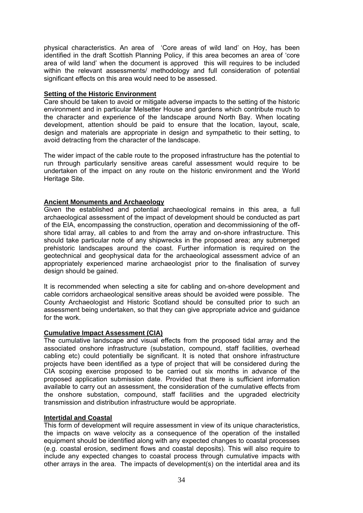physical characteristics. An area of 'Core areas of wild land' on Hoy, has been identified in the draft Scottish Planning Policy, if this area becomes an area of 'core area of wild land' when the document is approved this will requires to be included within the relevant assessments/ methodology and full consideration of potential significant effects on this area would need to be assessed.

## **Setting of the Historic Environment**

Care should be taken to avoid or mitigate adverse impacts to the setting of the historic environment and in particular Melsetter House and gardens which contribute much to the character and experience of the landscape around North Bay. When locating development, attention should be paid to ensure that the location, layout, scale, design and materials are appropriate in design and sympathetic to their setting, to avoid detracting from the character of the landscape.

The wider impact of the cable route to the proposed infrastructure has the potential to run through particularly sensitive areas careful assessment would require to be undertaken of the impact on any route on the historic environment and the World Heritage Site.

# **Ancient Monuments and Archaeology**

Given the established and potential archaeological remains in this area, a full archaeological assessment of the impact of development should be conducted as part of the EIA, encompassing the construction, operation and decommissioning of the offshore tidal array, all cables to and from the array and on-shore infrastructure. This should take particular note of any shipwrecks in the proposed area; any submerged prehistoric landscapes around the coast. Further information is required on the geotechnical and geophysical data for the archaeological assessment advice of an appropriately experienced marine archaeologist prior to the finalisation of survey design should be gained.

It is recommended when selecting a site for cabling and on-shore development and cable corridors archaeological sensitive areas should be avoided were possible. The County Archaeologist and Historic Scotland should be consulted prior to such an assessment being undertaken, so that they can give appropriate advice and guidance for the work.

# **Cumulative Impact Assessment (CIA)**

The cumulative landscape and visual effects from the proposed tidal array and the associated onshore infrastructure (substation, compound, staff facilities, overhead cabling etc) could potentially be significant. It is noted that onshore infrastructure projects have been identified as a type of project that will be considered during the CIA scoping exercise proposed to be carried out six months in advance of the proposed application submission date. Provided that there is sufficient information available to carry out an assessment, the consideration of the cumulative effects from the onshore substation, compound, staff facilities and the upgraded electricity transmission and distribution infrastructure would be appropriate.

## **Intertidal and Coastal**

This form of development will require assessment in view of its unique characteristics, the impacts on wave velocity as a consequence of the operation of the installed equipment should be identified along with any expected changes to coastal processes (e.g. coastal erosion, sediment flows and coastal deposits). This will also require to include any expected changes to coastal process through cumulative impacts with other arrays in the area. The impacts of development(s) on the intertidal area and its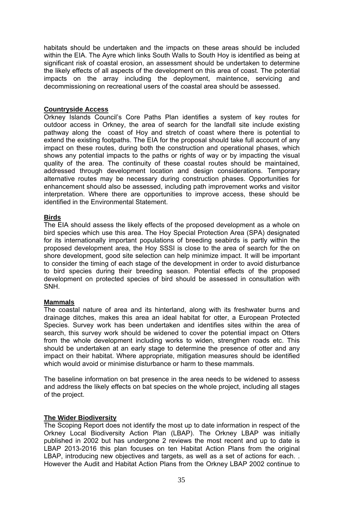habitats should be undertaken and the impacts on these areas should be included within the EIA. The Ayre which links South Walls to South Hoy is identified as being at significant risk of coastal erosion, an assessment should be undertaken to determine the likely effects of all aspects of the development on this area of coast. The potential impacts on the array including the deployment, maintence, servicing and decommissioning on recreational users of the coastal area should be assessed.

#### **Countryside Access**

Orkney Islands Council's Core Paths Plan identifies a system of key routes for outdoor access in Orkney, the area of search for the landfall site include existing pathway along the coast of Hoy and stretch of coast where there is potential to extend the existing footpaths. The EIA for the proposal should take full account of any impact on these routes, during both the construction and operational phases, which shows any potential impacts to the paths or rights of way or by impacting the visual quality of the area. The continuity of these coastal routes should be maintained, addressed through development location and design considerations. Temporary alternative routes may be necessary during construction phases. Opportunities for enhancement should also be assessed, including path improvement works and visitor interpretation. Where there are opportunities to improve access, these should be identified in the Environmental Statement.

# **Birds**

The EIA should assess the likely effects of the proposed development as a whole on bird species which use this area. The Hoy Special Protection Area (SPA) designated for its internationally important populations of breeding seabirds is partly within the proposed development area, the Hoy SSSI is close to the area of search for the on shore development, good site selection can help minimize impact. It will be important to consider the timing of each stage of the development in order to avoid disturbance to bird species during their breeding season. Potential effects of the proposed development on protected species of bird should be assessed in consultation with SNH.

#### **Mammals**

The coastal nature of area and its hinterland, along with its freshwater burns and drainage ditches, makes this area an ideal habitat for otter, a European Protected Species. Survey work has been undertaken and identifies sites within the area of search, this survey work should be widened to cover the potential impact on Otters from the whole development including works to widen, strengthen roads etc. This should be undertaken at an early stage to determine the presence of otter and any impact on their habitat. Where appropriate, mitigation measures should be identified which would avoid or minimise disturbance or harm to these mammals.

The baseline information on bat presence in the area needs to be widened to assess and address the likely effects on bat species on the whole project, including all stages of the project.

# **The Wider Biodiversity**

The Scoping Report does not identify the most up to date information in respect of the Orkney Local Biodiversity Action Plan (LBAP). The Orkney LBAP was initially published in 2002 but has undergone 2 reviews the most recent and up to date is LBAP 2013-2016 this plan focuses on ten Habitat Action Plans from the original LBAP, introducing new objectives and targets, as well as a set of actions for each. . However the Audit and Habitat Action Plans from the Orkney LBAP 2002 continue to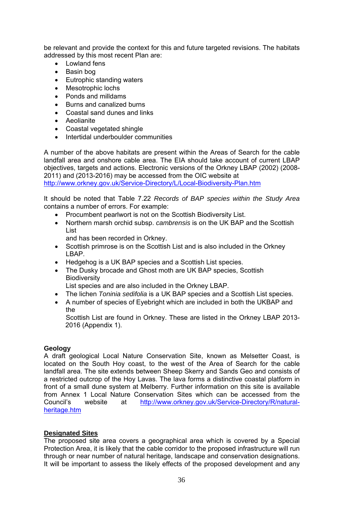be relevant and provide the context for this and future targeted revisions. The habitats addressed by this most recent Plan are:

- Lowland fens
- Basin bog
- Eutrophic standing waters
- Mesotrophic lochs
- Ponds and milldams
- Burns and canalized burns
- Coastal sand dunes and links
- Aeolianite
- Coastal vegetated shingle
- Intertidal underboulder communities

A number of the above habitats are present within the Areas of Search for the cable landfall area and onshore cable area. The EIA should take account of current LBAP objectives, targets and actions. Electronic versions of the Orkney LBAP (2002) (2008- 2011) and (2013-2016) may be accessed from the OIC website at http://www.orkney.gov.uk/Service-Directory/L/Local-Biodiversity-Plan.htm

It should be noted that Table 7.22 *Records of BAP species within the Study Area*  contains a number of errors. For example:

- Procumbent pearlwort is not on the Scottish Biodiversity List.
- Northern marsh orchid subsp. *cambrensis* is on the UK BAP and the Scottish List

and has been recorded in Orkney.

- Scottish primrose is on the Scottish List and is also included in the Orkney LBAP.
- Hedgehog is a UK BAP species and a Scottish List species.
- The Dusky brocade and Ghost moth are UK BAP species, Scottish **Biodiversity**

List species and are also included in the Orkney LBAP.

- The lichen *Toninia sedifolia* is a UK BAP species and a Scottish List species.
- A number of species of Eyebright which are included in both the UKBAP and the

 Scottish List are found in Orkney. These are listed in the Orkney LBAP 2013- 2016 (Appendix 1).

# **Geology**

A draft geological Local Nature Conservation Site, known as Melsetter Coast, is located on the South Hoy coast, to the west of the Area of Search for the cable landfall area. The site extends between Sheep Skerry and Sands Geo and consists of a restricted outcrop of the Hoy Lavas. The lava forms a distinctive coastal platform in front of a small dune system at Melberry. Further information on this site is available from Annex 1 Local Nature Conservation Sites which can be accessed from the Council's website at http://www.orkney.gov.uk/Service-Directory/R/naturalheritage.htm

# **Designated Sites**

The proposed site area covers a geographical area which is covered by a Special Protection Area, it is likely that the cable corridor to the proposed infrastructure will run through or near number of natural heritage, landscape and conservation designations. It will be important to assess the likely effects of the proposed development and any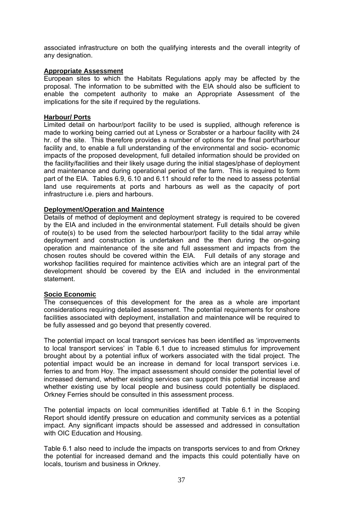associated infrastructure on both the qualifying interests and the overall integrity of any designation.

### **Appropriate Assessment**

European sites to which the Habitats Regulations apply may be affected by the proposal. The information to be submitted with the EIA should also be sufficient to enable the competent authority to make an Appropriate Assessment of the implications for the site if required by the regulations.

#### **Harbour/ Ports**

Limited detail on harbour/port facility to be used is supplied, although reference is made to working being carried out at Lyness or Scrabster or a harbour facility with 24 hr. of the site. This therefore provides a number of options for the final port/harbour facility and, to enable a full understanding of the environmental and socio- economic impacts of the proposed development, full detailed information should be provided on the facility/facilities and their likely usage during the initial stages/phase of deployment and maintenance and during operational period of the farm. This is required to form part of the EIA. Tables 6.9, 6.10 and 6.11 should refer to the need to assess potential land use requirements at ports and harbours as well as the capacity of port infrastructure i.e. piers and harbours.

#### **Deployment/Operation and Maintence**

Details of method of deployment and deployment strategy is required to be covered by the EIA and included in the environmental statement. Full details should be given of route(s) to be used from the selected harbour/port facility to the tidal array while deployment and construction is undertaken and the then during the on-going operation and maintenance of the site and full assessment and impacts from the chosen routes should be covered within the EIA. Full details of any storage and workshop facilities required for maintence activities which are an integral part of the development should be covered by the EIA and included in the environmental statement.

#### **Socio Economic**

The consequences of this development for the area as a whole are important considerations requiring detailed assessment. The potential requirements for onshore facilities associated with deployment, installation and maintenance will be required to be fully assessed and go beyond that presently covered.

The potential impact on local transport services has been identified as 'improvements to local transport services' in Table 6.1 due to increased stimulus for improvement brought about by a potential influx of workers associated with the tidal project. The potential impact would be an increase in demand for local transport services i.e. ferries to and from Hoy. The impact assessment should consider the potential level of increased demand, whether existing services can support this potential increase and whether existing use by local people and business could potentially be displaced. Orkney Ferries should be consulted in this assessment process.

The potential impacts on local communities identified at Table 6.1 in the Scoping Report should identify pressure on education and community services as a potential impact. Any significant impacts should be assessed and addressed in consultation with OIC Education and Housing.

Table 6.1 also need to include the impacts on transports services to and from Orkney the potential for increased demand and the impacts this could potentially have on locals, tourism and business in Orkney.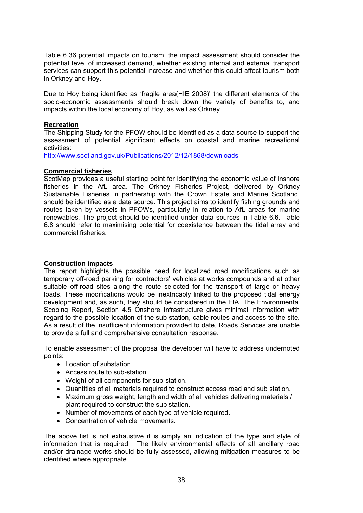Table 6.36 potential impacts on tourism, the impact assessment should consider the potential level of increased demand, whether existing internal and external transport services can support this potential increase and whether this could affect tourism both in Orkney and Hoy.

Due to Hoy being identified as 'fragile area(HIE 2008)' the different elements of the socio-economic assessments should break down the variety of benefits to, and impacts within the local economy of Hoy, as well as Orkney.

#### **Recreation**

The Shipping Study for the PFOW should be identified as a data source to support the assessment of potential significant effects on coastal and marine recreational activities:

http://www.scotland.gov.uk/Publications/2012/12/1868/downloads

#### **Commercial fisheries**

ScotMap provides a useful starting point for identifying the economic value of inshore fisheries in the AfL area. The Orkney Fisheries Project, delivered by Orkney Sustainable Fisheries in partnership with the Crown Estate and Marine Scotland, should be identified as a data source. This project aims to identify fishing grounds and routes taken by vessels in PFOWs, particularly in relation to AfL areas for marine renewables. The project should be identified under data sources in Table 6.6. Table 6.8 should refer to maximising potential for coexistence between the tidal array and commercial fisheries.

# **Construction impacts**

The report highlights the possible need for localized road modifications such as temporary off-road parking for contractors' vehicles at works compounds and at other suitable off-road sites along the route selected for the transport of large or heavy loads. These modifications would be inextricably linked to the proposed tidal energy development and, as such, they should be considered in the EIA. The Environmental Scoping Report, Section 4.5 Onshore Infrastructure gives minimal information with regard to the possible location of the sub-station, cable routes and access to the site. As a result of the insufficient information provided to date, Roads Services are unable to provide a full and comprehensive consultation response.

To enable assessment of the proposal the developer will have to address undernoted points:

- Location of substation.
- Access route to sub-station.
- Weight of all components for sub-station.
- Quantities of all materials required to construct access road and sub station.
- Maximum gross weight, length and width of all vehicles delivering materials / plant required to construct the sub station.
- Number of movements of each type of vehicle required.
- Concentration of vehicle movements.

The above list is not exhaustive it is simply an indication of the type and style of information that is required. The likely environmental effects of all ancillary road and/or drainage works should be fully assessed, allowing mitigation measures to be identified where appropriate.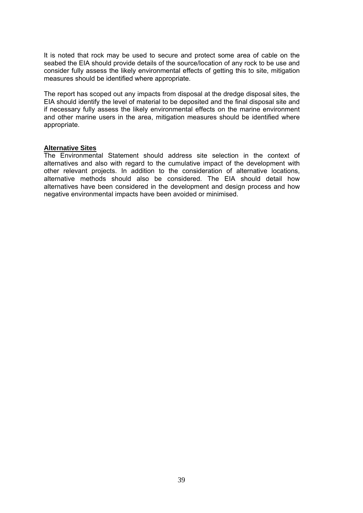It is noted that rock may be used to secure and protect some area of cable on the seabed the EIA should provide details of the source/location of any rock to be use and consider fully assess the likely environmental effects of getting this to site, mitigation measures should be identified where appropriate.

The report has scoped out any impacts from disposal at the dredge disposal sites, the EIA should identify the level of material to be deposited and the final disposal site and if necessary fully assess the likely environmental effects on the marine environment and other marine users in the area, mitigation measures should be identified where appropriate.

#### **Alternative Sites**

The Environmental Statement should address site selection in the context of alternatives and also with regard to the cumulative impact of the development with other relevant projects. In addition to the consideration of alternative locations, alternative methods should also be considered. The EIA should detail how alternatives have been considered in the development and design process and how negative environmental impacts have been avoided or minimised.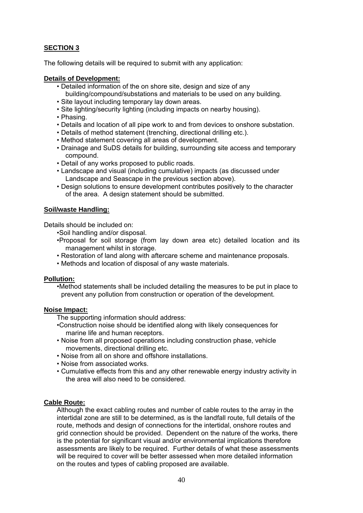# **SECTION 3**

The following details will be required to submit with any application:

#### **Details of Development:**

- Detailed information of the on shore site, design and size of any building/compound/substations and materials to be used on any building.
- Site layout including temporary lay down areas.
- Site lighting/security lighting (including impacts on nearby housing).
- Phasing.
- Details and location of all pipe work to and from devices to onshore substation.
- Details of method statement (trenching, directional drilling etc.).
- Method statement covering all areas of development.
- Drainage and SuDS details for building, surrounding site access and temporary compound.
- Detail of any works proposed to public roads.
- Landscape and visual (including cumulative) impacts (as discussed under Landscape and Seascape in the previous section above).
- Design solutions to ensure development contributes positively to the character of the area. A design statement should be submitted.

#### **Soil/waste Handling:**

Details should be included on:

•Soil handling and/or disposal.

- •Proposal for soil storage (from lay down area etc) detailed location and its management whilst in storage.
- Restoration of land along with aftercare scheme and maintenance proposals.
- Methods and location of disposal of any waste materials.

#### **Pollution:**

•Method statements shall be included detailing the measures to be put in place to prevent any pollution from construction or operation of the development.

#### **Noise Impact:**

The supporting information should address:

- •Construction noise should be identified along with likely consequences for marine life and human receptors.
- Noise from all proposed operations including construction phase, vehicle movements, directional drilling etc.
- Noise from all on shore and offshore installations.
- Noise from associated works.
- Cumulative effects from this and any other renewable energy industry activity in the area will also need to be considered.

# **Cable Route:**

Although the exact cabling routes and number of cable routes to the array in the intertidal zone are still to be determined, as is the landfall route, full details of the route, methods and design of connections for the intertidal, onshore routes and grid connection should be provided. Dependent on the nature of the works, there is the potential for significant visual and/or environmental implications therefore assessments are likely to be required. Further details of what these assessments will be required to cover will be better assessed when more detailed information on the routes and types of cabling proposed are available.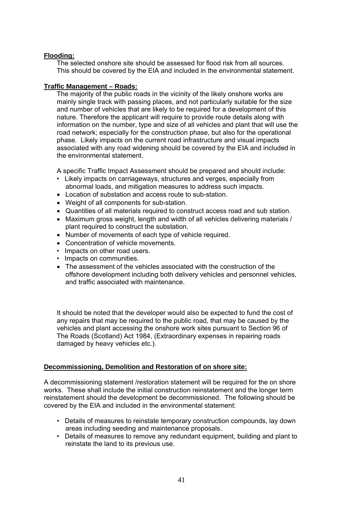# **Flooding:**

The selected onshore site should be assessed for flood risk from all sources. This should be covered by the EIA and included in the environmental statement.

### **Traffic Management – Roads:**

The majority of the public roads in the vicinity of the likely onshore works are mainly single track with passing places, and not particularly suitable for the size and number of vehicles that are likely to be required for a development of this nature. Therefore the applicant will require to provide route details along with information on the number, type and size of all vehicles and plant that will use the road network; especially for the construction phase, but also for the operational phase. Likely impacts on the current road infrastructure and visual impacts associated with any road widening should be covered by the EIA and included in the environmental statement.

A specific Traffic Impact Assessment should be prepared and should include:

- Likely impacts on carriageways, structures and verges, especially from abnormal loads, and mitigation measures to address such impacts.
- Location of substation and access route to sub-station.
- Weight of all components for sub-station.
- Quantities of all materials required to construct access road and sub station.
- Maximum gross weight, length and width of all vehicles delivering materials / plant required to construct the substation.
- Number of movements of each type of vehicle required.
- Concentration of vehicle movements.
- Impacts on other road users.
- Impacts on communities.
- The assessment of the vehicles associated with the construction of the offshore development including both delivery vehicles and personnel vehicles, and traffic associated with maintenance.

It should be noted that the developer would also be expected to fund the cost of any repairs that may be required to the public road, that may be caused by the vehicles and plant accessing the onshore work sites pursuant to Section 96 of The Roads (Scotland) Act 1984, (Extraordinary expenses in repairing roads damaged by heavy vehicles etc.).

# **Decommissioning, Demolition and Restoration of on shore site:**

A decommissioning statement /restoration statement will be required for the on shore works. These shall include the initial construction reinstatement and the longer term reinstatement should the development be decommissioned. The following should be covered by the EIA and included in the environmental statement:

- Details of measures to reinstate temporary construction compounds, lay down areas including seeding and maintenance proposals.
- Details of measures to remove any redundant equipment, building and plant to reinstate the land to its previous use.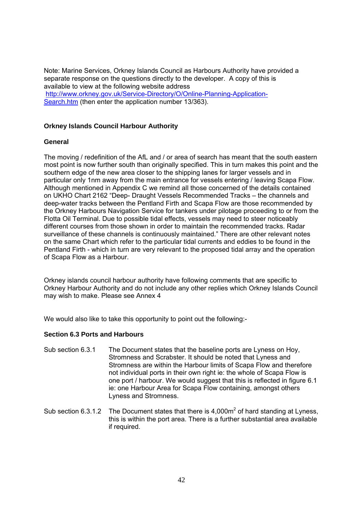Note: Marine Services, Orkney Islands Council as Harbours Authority have provided a separate response on the questions directly to the developer. A copy of this is available to view at the following website address http://www.orkney.gov.uk/Service-Directory/O/Online-Planning-Application-Search.htm (then enter the application number 13/363).

# **Orkney Islands Council Harbour Authority**

#### **General**

The moving / redefinition of the AfL and / or area of search has meant that the south eastern most point is now further south than originally specified. This in turn makes this point and the southern edge of the new area closer to the shipping lanes for larger vessels and in particular only 1nm away from the main entrance for vessels entering / leaving Scapa Flow. Although mentioned in Appendix C we remind all those concerned of the details contained on UKHO Chart 2162 "Deep- Draught Vessels Recommended Tracks – the channels and deep-water tracks between the Pentland Firth and Scapa Flow are those recommended by the Orkney Harbours Navigation Service for tankers under pilotage proceeding to or from the Flotta Oil Terminal. Due to possible tidal effects, vessels may need to steer noticeably different courses from those shown in order to maintain the recommended tracks. Radar surveillance of these channels is continuously maintained." There are other relevant notes on the same Chart which refer to the particular tidal currents and eddies to be found in the Pentland Firth - which in turn are very relevant to the proposed tidal array and the operation of Scapa Flow as a Harbour.

Orkney islands council harbour authority have following comments that are specific to Orkney Harbour Authority and do not include any other replies which Orkney Islands Council may wish to make. Please see Annex 4

We would also like to take this opportunity to point out the following:-

#### **Section 6.3 Ports and Harbours**

- Sub section 6.3.1 The Document states that the baseline ports are Lyness on Hoy, Stromness and Scrabster. It should be noted that Lyness and Stromness are within the Harbour limits of Scapa Flow and therefore not individual ports in their own right ie: the whole of Scapa Flow is one port / harbour. We would suggest that this is reflected in figure 6.1 ie: one Harbour Area for Scapa Flow containing, amongst others Lyness and Stromness.
- Sub section 6.3.1.2 The Document states that there is  $4,000m^2$  of hard standing at Lyness, this is within the port area. There is a further substantial area available if required.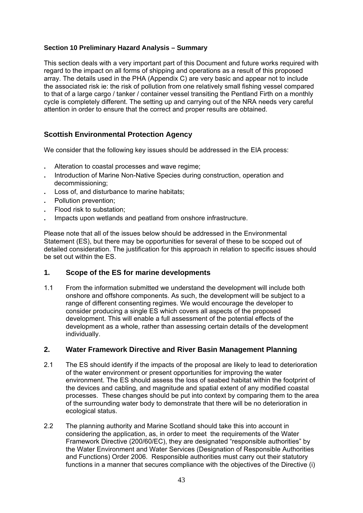# **Section 10 Preliminary Hazard Analysis – Summary**

This section deals with a very important part of this Document and future works required with regard to the impact on all forms of shipping and operations as a result of this proposed array. The details used in the PHA (Appendix C) are very basic and appear not to include the associated risk ie: the risk of pollution from one relatively small fishing vessel compared to that of a large cargo / tanker / container vessel transiting the Pentland Firth on a monthly cycle is completely different. The setting up and carrying out of the NRA needs very careful attention in order to ensure that the correct and proper results are obtained.

# **Scottish Environmental Protection Agency**

We consider that the following key issues should be addressed in the EIA process:

- . Alteration to coastal processes and wave regime;
- . Introduction of Marine Non-Native Species during construction, operation and decommissioning;
- . Loss of, and disturbance to marine habitats;
- . Pollution prevention;
- . Flood risk to substation;
- . Impacts upon wetlands and peatland from onshore infrastructure.

Please note that all of the issues below should be addressed in the Environmental Statement (ES), but there may be opportunities for several of these to be scoped out of detailed consideration. The justification for this approach in relation to specific issues should be set out within the ES.

# **1. Scope of the ES for marine developments**

1.1 From the information submitted we understand the development will include both onshore and offshore components. As such, the development will be subject to a range of different consenting regimes. We would encourage the developer to consider producing a single ES which covers all aspects of the proposed development. This will enable a full assessment of the potential effects of the development as a whole, rather than assessing certain details of the development individually.

# **2. Water Framework Directive and River Basin Management Planning**

- 2.1 The ES should identify if the impacts of the proposal are likely to lead to deterioration of the water environment or present opportunities for improving the water environment. The ES should assess the loss of seabed habitat within the footprint of the devices and cabling, and magnitude and spatial extent of any modified coastal processes. These changes should be put into context by comparing them to the area of the surrounding water body to demonstrate that there will be no deterioration in ecological status.
- 2.2 The planning authority and Marine Scotland should take this into account in considering the application, as, in order to meet the requirements of the Water Framework Directive (200/60/EC), they are designated "responsible authorities" by the Water Environment and Water Services (Designation of Responsible Authorities and Functions) Order 2006. Responsible authorities must carry out their statutory functions in a manner that secures compliance with the objectives of the Directive (i)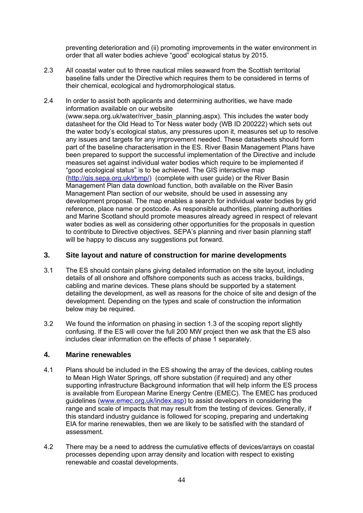preventing deterioration and (ii) promoting improvements in the water environment in order that all water bodies achieve "good" ecological status by 2015.

- 2.3 All coastal water out to three nautical miles seaward from the Scottish territorial baseline falls under the Directive which requires them to be considered in terms of their chemical, ecological and hydromorphological status.
- 2.4 In order to assist both applicants and determining authorities, we have made information available on our website (www.sepa.org.uk/water/river\_basin\_planning.aspx). This includes the water body datasheet for the Old Head to Tor Ness water body (WB ID 200222) which sets out the water body's ecological status, any pressures upon it, measures set up to resolve any issues and targets for any improvement needed. These datasheets should form part of the baseline characterisation in the ES. River Basin Management Plans have been prepared to support the successful implementation of the Directive and include measures set against individual water bodies which require to be implemented if "good ecological status" is to be achieved. The GIS interactive map (http://gis.sepa.org.uk/rbmp/) (complete with user quide) or the River Basin Management Plan data download function, both available on the River Basin Management Plan section of our website, should be used in assessing any development proposal. The map enables a search for individual water bodies by grid reference, place name or postcode. As responsible authorities, planning authorities and Marine Scotland should promote measures already agreed in respect of relevant water bodies as well as considering other opportunities for the proposals in question to contribute to Directive objectives. SEPA's planning and river basin planning staff will be happy to discuss any suggestions put forward.

# **3. Site layout and nature of construction for marine developments**

- 3.1 The ES should contain plans giving detailed information on the site layout, including details of all onshore and offshore components such as access tracks, buildings, cabling and marine devices. These plans should be supported by a statement detailing the development, as well as reasons for the choice of site and design of the development. Depending on the types and scale of construction the information below may be required.
- 3.2 We found the information on phasing in section 1.3 of the scoping report slightly confusing. If the ES will cover the full 200 MW project then we ask that the ES also includes clear information on the effects of phase 1 separately.

# **4. Marine renewables**

- 4.1 Plans should be included in the ES showing the array of the devices, cabling routes to Mean High Water Springs, off shore substation (if required) and any other supporting infrastructure Background information that will help inform the ES process is available from European Marine Energy Centre (EMEC). The EMEC has produced guidelines (www.emec.org.uk/index.asp) to assist developers in considering the range and scale of impacts that may result from the testing of devices. Generally, if this standard industry guidance is followed for scoping, preparing and undertaking EIA for marine renewables, then we are likely to be satisfied with the standard of assessment.
- 4.2 There may be a need to address the cumulative effects of devices/arrays on coastal processes depending upon array density and location with respect to existing renewable and coastal developments.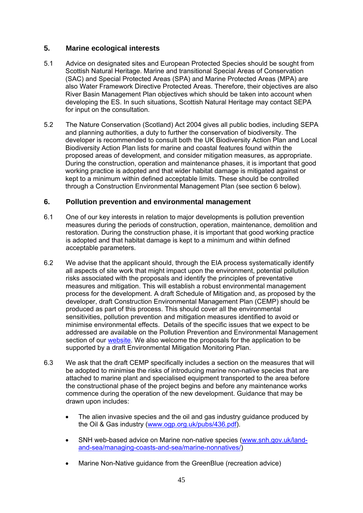# **5. Marine ecological interests**

- 5.1 Advice on designated sites and European Protected Species should be sought from Scottish Natural Heritage. Marine and transitional Special Areas of Conservation (SAC) and Special Protected Areas (SPA) and Marine Protected Areas (MPA) are also Water Framework Directive Protected Areas. Therefore, their objectives are also River Basin Management Plan objectives which should be taken into account when developing the ES. In such situations, Scottish Natural Heritage may contact SEPA for input on the consultation.
- 5.2 The Nature Conservation (Scotland) Act 2004 gives all public bodies, including SEPA and planning authorities, a duty to further the conservation of biodiversity. The developer is recommended to consult both the UK Biodiversity Action Plan and Local Biodiversity Action Plan lists for marine and coastal features found within the proposed areas of development, and consider mitigation measures, as appropriate. During the construction, operation and maintenance phases, it is important that good working practice is adopted and that wider habitat damage is mitigated against or kept to a minimum within defined acceptable limits. These should be controlled through a Construction Environmental Management Plan (see section 6 below).

# **6. Pollution prevention and environmental management**

- 6.1 One of our key interests in relation to major developments is pollution prevention measures during the periods of construction, operation, maintenance, demolition and restoration. During the construction phase, it is important that good working practice is adopted and that habitat damage is kept to a minimum and within defined acceptable parameters.
- 6.2 We advise that the applicant should, through the EIA process systematically identify all aspects of site work that might impact upon the environment, potential pollution risks associated with the proposals and identify the principles of preventative measures and mitigation. This will establish a robust environmental management process for the development. A draft Schedule of Mitigation and, as proposed by the developer, draft Construction Environmental Management Plan (CEMP) should be produced as part of this process. This should cover all the environmental sensitivities, pollution prevention and mitigation measures identified to avoid or minimise environmental effects. Details of the specific issues that we expect to be addressed are available on the Pollution Prevention and Environmental Management section of our website. We also welcome the proposals for the application to be supported by a draft Environmental Mitigation Monitoring Plan.
- 6.3 We ask that the draft CEMP specifically includes a section on the measures that will be adopted to minimise the risks of introducing marine non-native species that are attached to marine plant and specialised equipment transported to the area before the constructional phase of the project begins and before any maintenance works commence during the operation of the new development. Guidance that may be drawn upon includes:
	- The alien invasive species and the oil and gas industry guidance produced by the Oil & Gas industry (www.ogp.org.uk/pubs/436.pdf).
	- SNH web-based advice on Marine non-native species (www.snh.gov.uk/landand-sea/managing-coasts-and-sea/marine-nonnatives/)
	- Marine Non-Native guidance from the GreenBlue (recreation advice)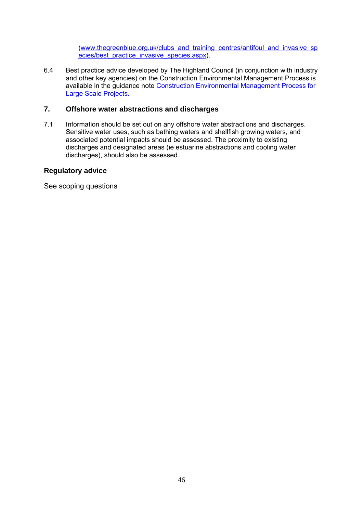(www.thegreenblue.org.uk/clubs\_and\_training\_centres/antifoul\_and\_invasive\_sp ecies/best\_practice\_invasive\_species.aspx).

6.4 Best practice advice developed by The Highland Council (in conjunction with industry and other key agencies) on the Construction Environmental Management Process is available in the guidance note Construction Environmental Management Process for Large Scale Projects.

# **7. Offshore water abstractions and discharges**

7.1 Information should be set out on any offshore water abstractions and discharges. Sensitive water uses, such as bathing waters and shellfish growing waters, and associated potential impacts should be assessed. The proximity to existing discharges and designated areas (ie estuarine abstractions and cooling water discharges), should also be assessed.

# **Regulatory advice**

See scoping questions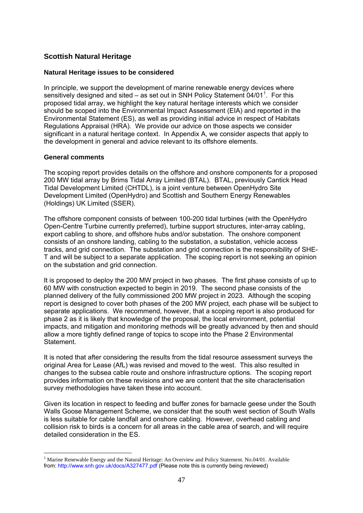# **Scottish Natural Heritage**

### **Natural Heritage issues to be considered**

In principle, we support the development of marine renewable energy devices where sensitively designed and sited  $-$  as set out in SNH Policy Statement 04/01<sup>1</sup>. For this proposed tidal array, we highlight the key natural heritage interests which we consider should be scoped into the Environmental Impact Assessment (EIA) and reported in the Environmental Statement (ES), as well as providing initial advice in respect of Habitats Regulations Appraisal (HRA). We provide our advice on those aspects we consider significant in a natural heritage context. In Appendix A, we consider aspects that apply to the development in general and advice relevant to its offshore elements.

#### **General comments**

The scoping report provides details on the offshore and onshore components for a proposed 200 MW tidal array by Brims Tidal Array Limited (BTAL). BTAL, previously Cantick Head Tidal Development Limited (CHTDL), is a joint venture between OpenHydro Site Development Limited (OpenHydro) and Scottish and Southern Energy Renewables (Holdings) UK Limited (SSER).

The offshore component consists of between 100-200 tidal turbines (with the OpenHydro Open-Centre Turbine currently preferred), turbine support structures, inter-array cabling, export cabling to shore, and offshore hubs and/or substation. The onshore component consists of an onshore landing, cabling to the substation, a substation, vehicle access tracks, and grid connection. The substation and grid connection is the responsibility of SHE-T and will be subject to a separate application. The scoping report is not seeking an opinion on the substation and grid connection.

It is proposed to deploy the 200 MW project in two phases. The first phase consists of up to 60 MW with construction expected to begin in 2019. The second phase consists of the planned delivery of the fully commissioned 200 MW project in 2023. Although the scoping report is designed to cover both phases of the 200 MW project, each phase will be subject to separate applications. We recommend, however, that a scoping report is also produced for phase 2 as it is likely that knowledge of the proposal, the local environment, potential impacts, and mitigation and monitoring methods will be greatly advanced by then and should allow a more tightly defined range of topics to scope into the Phase 2 Environmental Statement.

It is noted that after considering the results from the tidal resource assessment surveys the original Area for Lease (AfL) was revised and moved to the west. This also resulted in changes to the subsea cable route and onshore infrastructure options. The scoping report provides information on these revisions and we are content that the site characterisation survey methodologies have taken these into account.

Given its location in respect to feeding and buffer zones for barnacle geese under the South Walls Goose Management Scheme, we consider that the south west section of South Walls is less suitable for cable landfall and onshore cabling. However, overhead cabling and collision risk to birds is a concern for all areas in the cable area of search, and will require detailed consideration in the ES.

<sup>1</sup> <sup>1</sup> Marine Renewable Energy and the Natural Heritage: An Overview and Policy Statement. No.04/01. Available from: http://www.snh.gov.uk/docs/A327477.pdf (Please note this is currently being reviewed)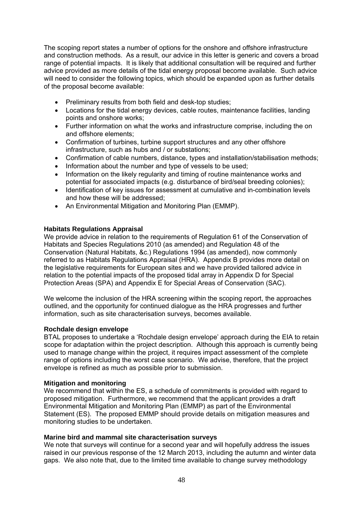The scoping report states a number of options for the onshore and offshore infrastructure and construction methods. As a result, our advice in this letter is generic and covers a broad range of potential impacts. It is likely that additional consultation will be required and further advice provided as more details of the tidal energy proposal become available. Such advice will need to consider the following topics, which should be expanded upon as further details of the proposal become available:

- Preliminary results from both field and desk-top studies;
- Locations for the tidal energy devices, cable routes, maintenance facilities, landing points and onshore works;
- Further information on what the works and infrastructure comprise, including the on and offshore elements;
- Confirmation of turbines, turbine support structures and any other offshore infrastructure, such as hubs and / or substations;
- Confirmation of cable numbers, distance, types and installation/stabilisation methods;
- Information about the number and type of vessels to be used;
- Information on the likely regularity and timing of routine maintenance works and potential for associated impacts (e.g. disturbance of bird/seal breeding colonies);
- Identification of key issues for assessment at cumulative and in-combination levels and how these will be addressed;
- An Environmental Mitigation and Monitoring Plan (EMMP).

# **Habitats Regulations Appraisal**

We provide advice in relation to the requirements of Regulation 61 of the Conservation of Habitats and Species Regulations 2010 (as amended) and Regulation 48 of the Conservation (Natural Habitats, &c.) Regulations 1994 (as amended), now commonly referred to as Habitats Regulations Appraisal (HRA). Appendix B provides more detail on the legislative requirements for European sites and we have provided tailored advice in relation to the potential impacts of the proposed tidal array in Appendix D for Special Protection Areas (SPA) and Appendix E for Special Areas of Conservation (SAC).

We welcome the inclusion of the HRA screening within the scoping report, the approaches outlined, and the opportunity for continued dialogue as the HRA progresses and further information, such as site characterisation surveys, becomes available.

# **Rochdale design envelope**

BTAL proposes to undertake a 'Rochdale design envelope' approach during the EIA to retain scope for adaptation within the project description. Although this approach is currently being used to manage change within the project, it requires impact assessment of the complete range of options including the worst case scenario. We advise, therefore, that the project envelope is refined as much as possible prior to submission.

# **Mitigation and monitoring**

We recommend that within the ES, a schedule of commitments is provided with regard to proposed mitigation. Furthermore, we recommend that the applicant provides a draft Environmental Mitigation and Monitoring Plan (EMMP) as part of the Environmental Statement (ES). The proposed EMMP should provide details on mitigation measures and monitoring studies to be undertaken.

# **Marine bird and mammal site characterisation surveys**

We note that surveys will continue for a second year and will hopefully address the issues raised in our previous response of the 12 March 2013, including the autumn and winter data gaps. We also note that, due to the limited time available to change survey methodology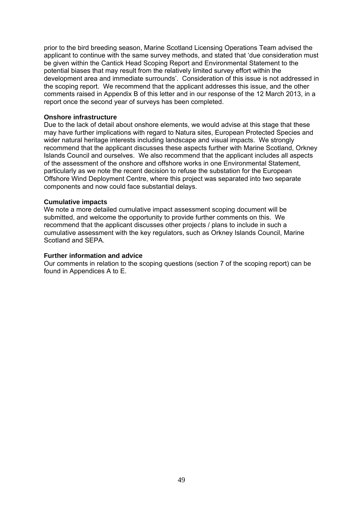prior to the bird breeding season, Marine Scotland Licensing Operations Team advised the applicant to continue with the same survey methods, and stated that 'due consideration must be given within the Cantick Head Scoping Report and Environmental Statement to the potential biases that may result from the relatively limited survey effort within the development area and immediate surrounds'. Consideration of this issue is not addressed in the scoping report. We recommend that the applicant addresses this issue, and the other comments raised in Appendix B of this letter and in our response of the 12 March 2013, in a report once the second year of surveys has been completed.

#### **Onshore infrastructure**

Due to the lack of detail about onshore elements, we would advise at this stage that these may have further implications with regard to Natura sites, European Protected Species and wider natural heritage interests including landscape and visual impacts. We strongly recommend that the applicant discusses these aspects further with Marine Scotland, Orkney Islands Council and ourselves. We also recommend that the applicant includes all aspects of the assessment of the onshore and offshore works in one Environmental Statement, particularly as we note the recent decision to refuse the substation for the European Offshore Wind Deployment Centre, where this project was separated into two separate components and now could face substantial delays.

#### **Cumulative impacts**

We note a more detailed cumulative impact assessment scoping document will be submitted, and welcome the opportunity to provide further comments on this. We recommend that the applicant discusses other projects / plans to include in such a cumulative assessment with the key regulators, such as Orkney Islands Council, Marine Scotland and SEPA.

#### **Further information and advice**

Our comments in relation to the scoping questions (section 7 of the scoping report) can be found in Appendices A to E.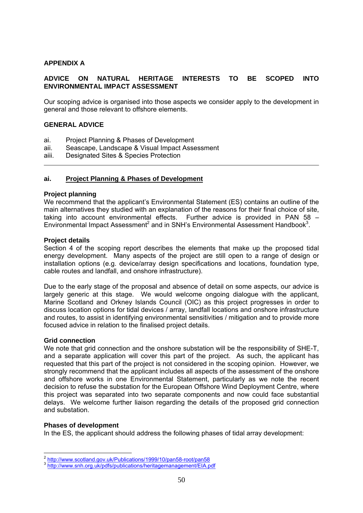# **APPENDIX A**

# **ADVICE ON NATURAL HERITAGE INTERESTS TO BE SCOPED INTO ENVIRONMENTAL IMPACT ASSESSMENT**

Our scoping advice is organised into those aspects we consider apply to the development in general and those relevant to offshore elements.

#### **GENERAL ADVICE**

- ai. Project Planning & Phases of Development
- aii. Seascape, Landscape & Visual Impact Assessment
- aiii. Designated Sites & Species Protection

#### **ai. Project Planning & Phases of Development**

#### **Project planning**

We recommend that the applicant's Environmental Statement (ES) contains an outline of the main alternatives they studied with an explanation of the reasons for their final choice of site, taking into account environmental effects. Further advice is provided in PAN 58 – Environmental Impact Assessment<sup>2</sup> and in SNH's Environmental Assessment Handbook<sup>3</sup>.

#### **Project details**

Section 4 of the scoping report describes the elements that make up the proposed tidal energy development. Many aspects of the project are still open to a range of design or installation options (e.g. device/array design specifications and locations, foundation type, cable routes and landfall, and onshore infrastructure).

Due to the early stage of the proposal and absence of detail on some aspects, our advice is largely generic at this stage. We would welcome ongoing dialogue with the applicant, Marine Scotland and Orkney Islands Council (OIC) as this project progresses in order to discuss location options for tidal devices / array, landfall locations and onshore infrastructure and routes, to assist in identifying environmental sensitivities / mitigation and to provide more focused advice in relation to the finalised project details.

#### **Grid connection**

We note that grid connection and the onshore substation will be the responsibility of SHE-T, and a separate application will cover this part of the project. As such, the applicant has requested that this part of the project is not considered in the scoping opinion. However, we strongly recommend that the applicant includes all aspects of the assessment of the onshore and offshore works in one Environmental Statement, particularly as we note the recent decision to refuse the substation for the European Offshore Wind Deployment Centre, where this project was separated into two separate components and now could face substantial delays. We welcome further liaison regarding the details of the proposed grid connection and substation.

#### **Phases of development**

In the ES, the applicant should address the following phases of tidal array development:

<sup>&</sup>lt;sup>2</sup> http://www.scotland.gov.uk/Publications/1999/10/pan58-root/pan58

<sup>&</sup>lt;sup>3</sup> http://www.snh.org.uk/pdfs/publications/heritagemanagement/EIA.pdf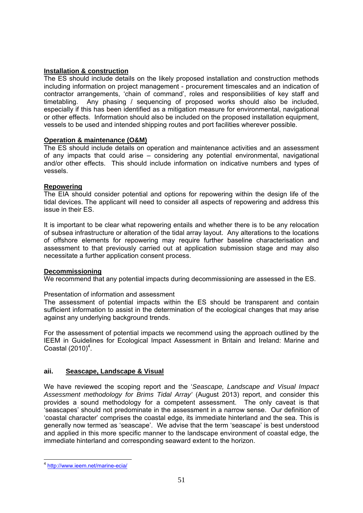# **Installation & construction**

The ES should include details on the likely proposed installation and construction methods including information on project management - procurement timescales and an indication of contractor arrangements, 'chain of command', roles and responsibilities of key staff and timetabling. Any phasing / sequencing of proposed works should also be included, especially if this has been identified as a mitigation measure for environmental, navigational or other effects. Information should also be included on the proposed installation equipment, vessels to be used and intended shipping routes and port facilities wherever possible.

# **Operation & maintenance (O&M)**

The ES should include details on operation and maintenance activities and an assessment of any impacts that could arise – considering any potential environmental, navigational and/or other effects. This should include information on indicative numbers and types of vessels.

# **Repowering**

The EIA should consider potential and options for repowering within the design life of the tidal devices. The applicant will need to consider all aspects of repowering and address this issue in their ES.

It is important to be clear what repowering entails and whether there is to be any relocation of subsea infrastructure or alteration of the tidal array layout. Any alterations to the locations of offshore elements for repowering may require further baseline characterisation and assessment to that previously carried out at application submission stage and may also necessitate a further application consent process.

# **Decommissioning**

We recommend that any potential impacts during decommissioning are assessed in the ES.

# Presentation of information and assessment

The assessment of potential impacts within the ES should be transparent and contain sufficient information to assist in the determination of the ecological changes that may arise against any underlying background trends.

For the assessment of potential impacts we recommend using the approach outlined by the IEEM in Guidelines for Ecological Impact Assessment in Britain and Ireland: Marine and Coastal  $(2010)^4$ .

# **aii. Seascape, Landscape & Visual**

We have reviewed the scoping report and the '*Seascape, Landscape and Visual Impact Assessment methodology for Brims Tidal Array'* (August 2013) report, and consider this provides a sound methodology for a competent assessment. The only caveat is that 'seascapes' should not predominate in the assessment in a narrow sense. Our definition of 'coastal character' comprises the coastal edge, its immediate hinterland and the sea. This is generally now termed as 'seascape'. We advise that the term 'seascape' is best understood and applied in this more specific manner to the landscape environment of coastal edge, the immediate hinterland and corresponding seaward extent to the horizon.

<sup>1</sup> <sup>4</sup> http://www.ieem.net/marine-ecia/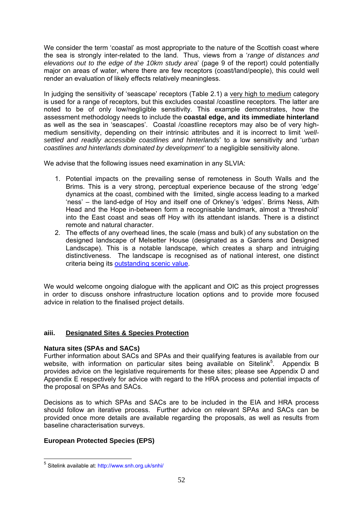We consider the term 'coastal' as most appropriate to the nature of the Scottish coast where the sea is strongly inter-related to the land. Thus, views from a '*range of distances and elevations out to the edge of the 10km study area*' (page 9 of the report) could potentially major on areas of water, where there are few receptors (coast/land/people), this could well render an evaluation of likely effects relatively meaningless.

In judging the sensitivity of 'seascape' receptors (Table 2.1) a very high to medium category is used for a range of receptors, but this excludes coastal /coastline receptors. The latter are noted to be of only low/negligible sensitivity. This example demonstrates, how the assessment methodology needs to include the **coastal edge, and its immediate hinterland**  as well as the sea in 'seascapes'. Coastal /coastline receptors may also be of very highmedium sensitivity, depending on their intrinsic attributes and it is incorrect to limit '*wellsettled and readily accessible coastlines and hinterlands*' to a low sensitivity and '*urban coastlines and hinterlands dominated by development'* to a negligible sensitivity alone.

We advise that the following issues need examination in any SLVIA:

- 1. Potential impacts on the prevailing sense of remoteness in South Walls and the Brims. This is a very strong, perceptual experience because of the strong 'edge' dynamics at the coast, combined with the limited, single access leading to a marked 'ness' – the land-edge of Hoy and itself one of Orkney's 'edges'. Brims Ness, Aith Head and the Hope in-between form a recognisable landmark, almost a 'threshold' into the East coast and seas off Hoy with its attendant islands. There is a distinct remote and natural character.
- 2. The effects of any overhead lines, the scale (mass and bulk) of any substation on the designed landscape of Melsetter House (designated as a Gardens and Designed Landscape). This is a notable landscape, which creates a sharp and intruiging distinctiveness. The landscape is recognised as of national interest, one distinct criteria being its outstanding scenic value.

We would welcome ongoing dialogue with the applicant and OIC as this project progresses in order to discuss onshore infrastructure location options and to provide more focused advice in relation to the finalised project details.

# **aiii. Designated Sites & Species Protection**

# **Natura sites (SPAs and SACs)**

Further information about SACs and SPAs and their qualifying features is available from our website, with information on particular sites being available on Sitelink<sup>5</sup>. Appendix B provides advice on the legislative requirements for these sites; please see Appendix D and Appendix E respectively for advice with regard to the HRA process and potential impacts of the proposal on SPAs and SACs.

Decisions as to which SPAs and SACs are to be included in the EIA and HRA process should follow an iterative process. Further advice on relevant SPAs and SACs can be provided once more details are available regarding the proposals, as well as results from baseline characterisation surveys.

# **European Protected Species (EPS)**

1

<sup>&</sup>lt;sup>5</sup> Sitelink available at: http://www.snh.org.uk/snhi/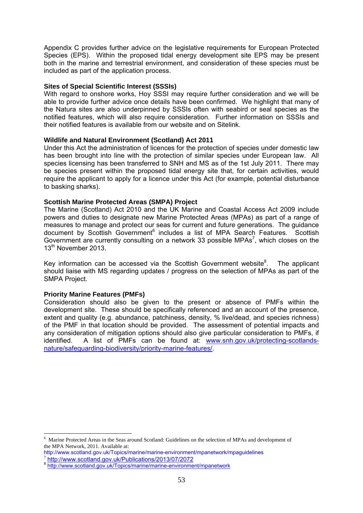Appendix C provides further advice on the legislative requirements for European Protected Species (EPS). Within the proposed tidal energy development site EPS may be present both in the marine and terrestrial environment, and consideration of these species must be included as part of the application process.

#### **Sites of Special Scientific Interest (SSSIs)**

With regard to onshore works, Hoy SSSI may require further consideration and we will be able to provide further advice once details have been confirmed. We highlight that many of the Natura sites are also underpinned by SSSIs often with seabird or seal species as the notified features, which will also require consideration. Further information on SSSIs and their notified features is available from our website and on Sitelink.

#### **Wildlife and Natural Environment (Scotland) Act 2011**

Under this Act the administration of licences for the protection of species under domestic law has been brought into line with the protection of similar species under European law. All species licensing has been transferred to SNH and MS as of the 1st July 2011. There may be species present within the proposed tidal energy site that, for certain activities, would require the applicant to apply for a licence under this Act (for example, potential disturbance to basking sharks).

#### **Scottish Marine Protected Areas (SMPA) Project**

The Marine (Scotland) Act 2010 and the UK Marine and Coastal Access Act 2009 include powers and duties to designate new Marine Protected Areas (MPAs) as part of a range of measures to manage and protect our seas for current and future generations. The guidance document by Scottish Government<sup>6</sup> includes a list of MPA Search Features. Scottish Government are currently consulting on a network 33 possible MPAs<sup>7</sup>, which closes on the 13<sup>th</sup> November 2013.

Key information can be accessed via the Scottish Government website $8$ . . The applicant should liaise with MS regarding updates / progress on the selection of MPAs as part of the SMPA Project.

#### **Priority Marine Features (PMFs)**

1

Consideration should also be given to the present or absence of PMFs within the development site. These should be specifically referenced and an account of the presence, extent and quality (e.g. abundance, patchiness, density, % live/dead, and species richness) of the PMF in that location should be provided. The assessment of potential impacts and any consideration of mitigation options should also give particular consideration to PMFs, if identified. A list of PMFs can be found at: www.snh.gov.uk/protecting-scotlandsnature/safeguarding-biodiversity/priority-marine-features/.

<sup>&</sup>lt;sup>6</sup> Marine Protected Areas in the Seas around Scotland: Guidelines on the selection of MPAs and development of the MPA Network, 2011. Available at:

http://www.scotland.gov.uk/Topics/marine/marine-environment/mpanetwork/mpaguidelines

http://www.scotland.gov.uk/Topics/marine/marine-environment/mpanetwork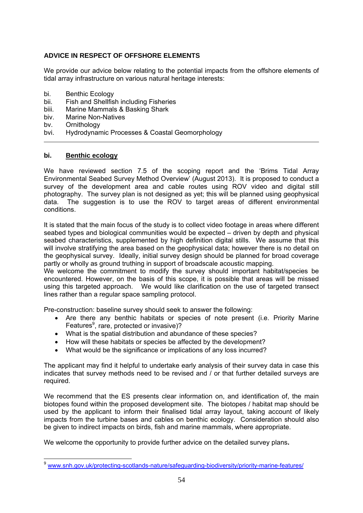# **ADVICE IN RESPECT OF OFFSHORE ELEMENTS**

We provide our advice below relating to the potential impacts from the offshore elements of tidal array infrastructure on various natural heritage interests:

- bi. Benthic Ecology
- bii. Fish and Shellfish including Fisheries
- biii. Marine Mammals & Basking Shark
- biv. Marine Non-Natives
- bv. Ornithology

1

bvi. Hydrodynamic Processes & Coastal Geomorphology

#### **bi. Benthic ecology**

We have reviewed section 7.5 of the scoping report and the 'Brims Tidal Array Environmental Seabed Survey Method Overview' (August 2013). It is proposed to conduct a survey of the development area and cable routes using ROV video and digital still photography. The survey plan is not designed as yet; this will be planned using geophysical data. The suggestion is to use the ROV to target areas of different environmental conditions.

It is stated that the main focus of the study is to collect video footage in areas where different seabed types and biological communities would be expected – driven by depth and physical seabed characteristics, supplemented by high definition digital stills. We assume that this will involve stratifying the area based on the geophysical data; however there is no detail on the geophysical survey. Ideally, initial survey design should be planned for broad coverage partly or wholly as ground truthing in support of broadscale acoustic mapping.

We welcome the commitment to modify the survey should important habitat/species be encountered. However, on the basis of this scope, it is possible that areas will be missed using this targeted approach. We would like clarification on the use of targeted transect lines rather than a regular space sampling protocol.

Pre-construction: baseline survey should seek to answer the following:

- Are there any benthic habitats or species of note present (i.e. Priority Marine Features<sup>9</sup>, rare, protected or invasive)?
- What is the spatial distribution and abundance of these species?
- How will these habitats or species be affected by the development?
- What would be the significance or implications of any loss incurred?

The applicant may find it helpful to undertake early analysis of their survey data in case this indicates that survey methods need to be revised and / or that further detailed surveys are required.

We recommend that the ES presents clear information on, and identification of, the main biotopes found within the proposed development site. The biotopes / habitat map should be used by the applicant to inform their finalised tidal array layout, taking account of likely impacts from the turbine bases and cables on benthic ecology. Consideration should also be given to indirect impacts on birds, fish and marine mammals, where appropriate.

We welcome the opportunity to provide further advice on the detailed survey plans**.** 

<sup>9</sup> www.snh.gov.uk/protecting-scotlands-nature/safeguarding-biodiversity/priority-marine-features/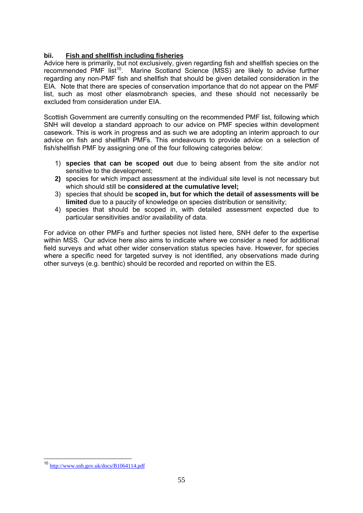# **bii. Fish and shellfish including fisheries**

Advice here is primarily, but not exclusively, given regarding fish and shellfish species on the recommended PMF list<sup>10</sup>. Marine Scotland Science (MSS) are likely to advise further regarding any non-PMF fish and shellfish that should be given detailed consideration in the EIA. Note that there are species of conservation importance that do not appear on the PMF list, such as most other elasmobranch species, and these should not necessarily be excluded from consideration under EIA.

Scottish Government are currently consulting on the recommended PMF list, following which SNH will develop a standard approach to our advice on PMF species within development casework. This is work in progress and as such we are adopting an interim approach to our advice on fish and shellfish PMFs. This endeavours to provide advice on a selection of fish/shellfish PMF by assigning one of the four following categories below:

- 1) **species that can be scoped out** due to being absent from the site and/or not sensitive to the development;
- **2)** species for which impact assessment at the individual site level is not necessary but which should still be **considered at the cumulative level;**
- 3) species that should be **scoped in, but for which the detail of assessments will be limited** due to a paucity of knowledge on species distribution or sensitivity;
- 4) species that should be scoped in, with detailed assessment expected due to particular sensitivities and/or availability of data.

For advice on other PMFs and further species not listed here, SNH defer to the expertise within MSS. Our advice here also aims to indicate where we consider a need for additional field surveys and what other wider conservation status species have. However, for species where a specific need for targeted survey is not identified, any observations made during other surveys (e.g. benthic) should be recorded and reported on within the ES.

1

<sup>10</sup> http://www.snh.gov.uk/docs/B1064114.pdf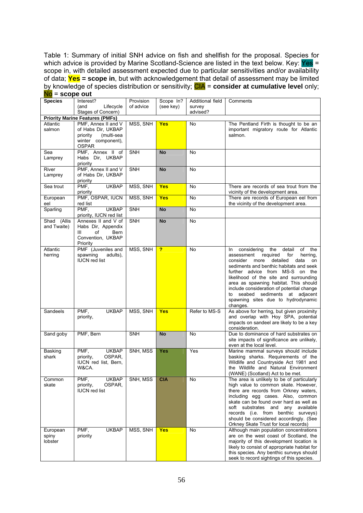Table 1: Summary of initial SNH advice on fish and shellfish for the proposal. Species for which advice is provided by Marine Scotland-Science are listed in the text below. Key: Yes = scope in, with detailed assessment expected due to particular sensitivities and/or availability of data; **Yes = scope in**, but with acknowledgement that detail of assessment may be limited by knowledge of species distribution or sensitivity; CIA = **consider at cumulative level** only; No = **scope out**

| <b>Species</b>                         | Interest?<br>(and<br>Lifecycle<br>Stages of Concern)                                                      | Provision<br>of advice | Scope In?<br>(see key)  | Additional field<br>survey<br>advised? | Comments                                                                                                                                                                                                                                                                                                                                                                                                                                         |
|----------------------------------------|-----------------------------------------------------------------------------------------------------------|------------------------|-------------------------|----------------------------------------|--------------------------------------------------------------------------------------------------------------------------------------------------------------------------------------------------------------------------------------------------------------------------------------------------------------------------------------------------------------------------------------------------------------------------------------------------|
| <b>Priority Marine Features (PMFs)</b> |                                                                                                           |                        |                         |                                        |                                                                                                                                                                                                                                                                                                                                                                                                                                                  |
| Atlantic<br>salmon                     | PMF, Annex II and V<br>of Habs Dir, UKBAP<br>(multi-sea<br>priority<br>winter component),<br><b>OSPAR</b> | MSS, SNH               | <b>Yes</b>              | No                                     | The Pentland Firth is thought to be an<br>important migratory route for Atlantic<br>salmon.                                                                                                                                                                                                                                                                                                                                                      |
| Sea<br>Lamprey                         | PMF, Annex II of<br>Habs Dir, UKBAP<br>priority                                                           | <b>SNH</b>             | <b>No</b>               | <b>No</b>                              |                                                                                                                                                                                                                                                                                                                                                                                                                                                  |
| River<br>Lamprey                       | PMF, Annex II and V<br>of Habs Dir, UKBAP<br>priority                                                     | <b>SNH</b>             | <b>No</b>               | No                                     |                                                                                                                                                                                                                                                                                                                                                                                                                                                  |
| Sea trout                              | <b>UKBAP</b><br>PMF.<br>priority                                                                          | MSS, SNH               | <b>Yes</b>              | No                                     | There are records of sea trout from the<br>vicinity of the development area.                                                                                                                                                                                                                                                                                                                                                                     |
| European<br>eel                        | PMF, OSPAR, IUCN<br>red list                                                                              | MSS, SNH               | <b>Yes</b>              | <b>No</b>                              | There are records of European eel from<br>the vicinity of the development area.                                                                                                                                                                                                                                                                                                                                                                  |
| Sparling                               | <b>UKBAP</b><br>PMF.<br>priority, IUCN red list                                                           | <b>SNH</b>             | <b>No</b>               | <b>No</b>                              |                                                                                                                                                                                                                                                                                                                                                                                                                                                  |
| Shad (Allis<br>and Twaite)             | Annexes II and V of<br>Habs Dir, Appendix<br>of<br>Bern<br>Ш<br>Convention, UKBAP<br>Priority             | SNH                    | <b>No</b>               | No                                     |                                                                                                                                                                                                                                                                                                                                                                                                                                                  |
| Atlantic<br>herring                    | PMF (Juveniles and<br>spawning<br>adults),<br><b>IUCN</b> red list                                        | MSS, SNH               | $\overline{\mathbf{r}}$ | No                                     | considering<br>the<br>of<br>detail<br>the<br>In<br>assessment<br>required<br>for<br>herring,<br>consider<br>detailed<br>more<br>data<br>on<br>sediments and benthic habitats and seek<br>further advice from MS-S on the<br>likelihood of the site and surrounding<br>area as spawning habitat. This should<br>include consideration of potential change<br>seabed sediments at adjacent<br>to<br>spawning sites due to hydrodynamic<br>changes. |
| Sandeels                               | PMF,<br><b>UKBAP</b><br>priority,                                                                         | MSS, SNH               | Yes                     | Refer to MS-S                          | As above for herring, but given proximity<br>and overlap with Hoy SPA, potential<br>impacts on sandeel are likely to be a key<br>consideration.                                                                                                                                                                                                                                                                                                  |
| Sand goby                              | PMF, Bern                                                                                                 | <b>SNH</b>             | <b>No</b>               | No                                     | Due to dominance of hard substrates on<br>site impacts of significance are unlikely,<br>even at the local level.                                                                                                                                                                                                                                                                                                                                 |
| Basking<br>shark                       | <b>UKBAP</b><br>PMF.<br>OSPAR,<br>priority,<br>IUCN red list, Bern,<br>W&CA.                              | SNH, MSS               | <b>Yes</b>              | Yes                                    | Marine mammal surveys should include<br>basking sharks. Requirements of the<br>Wildlife and Countryside Act 1981 and<br>the Wildlife and Natural Environment<br>(WANE) (Scotland) Act to be met.                                                                                                                                                                                                                                                 |
| Common<br>skate                        | <b>UKBAP</b><br>PMF,<br>OSPAR,<br>priority,<br><b>IUCN</b> red list                                       | SNH, MSS               | <b>CIA</b>              | No                                     | The area is unlikely to be of particularly<br>high value to common skate. However,<br>there are records from Orkney waters,<br>including egg cases. Also, common<br>skate can be found over hard as well as<br>soft substrates and any available<br>records (i.e. from benthic surveys)<br>should be considered accordingly. (See<br>Orkney Skate Trust for local records)                                                                       |
| European<br>spiny<br>lobster           | <b>UKBAP</b><br>PMF,<br>priority                                                                          | MSS, SNH               | <b>Yes</b>              | No                                     | Although main population concentrations<br>are on the west coast of Scotland, the<br>majority of this development location is<br>likely to consist of appropriate habitat for<br>this species. Any benthic surveys should<br>seek to record sightings of this species.                                                                                                                                                                           |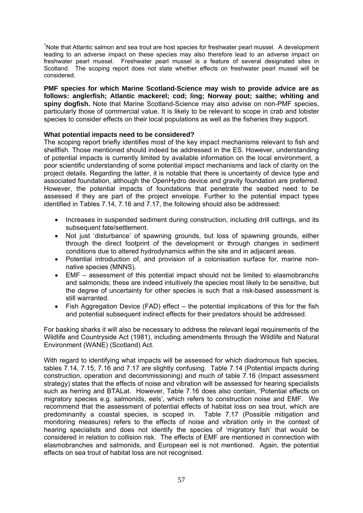<sup>1</sup>Note that Atlantic salmon and sea trout are host species for freshwater pearl mussel. A development leading to an adverse impact on these species may also therefore lead to an adverse impact on freshwater pearl mussel. Freshwater pearl mussel is a feature of several designated sites in Scotland. The scoping report does not state whether effects on freshwater pearl mussel will be considered.

**PMF species for which Marine Scotland-Science may wish to provide advice are as follows: anglerfish; Atlantic mackerel; cod; ling; Norway pout; saithe; whiting and spiny dogfish.** Note that Marine Scotland-Science may also advise on non-PMF species, particularly those of commercial value. It is likely to be relevant to scope in crab and lobster species to consider effects on their local populations as well as the fisheries they support.

# **What potential impacts need to be considered?**

The scoping report briefly identifies most of the key impact mechanisms relevant to fish and shellfish. Those mentioned should indeed be addressed in the ES. However, understanding of potential impacts is currently limited by available information on the local environment, a poor scientific understanding of some potential impact mechanisms and lack of clarity on the project details. Regarding the latter, it is notable that there is uncertainty of device type and associated foundation, although the OpenHydro device and gravity foundation are preferred. However, the potential impacts of foundations that penetrate the seabed need to be assessed if they are part of the project envelope. Further to the potential impact types identified in Tables 7.14, 7.16 and 7.17, the following should also be addressed:

- Increases in suspended sediment during construction, including drill cuttings, and its subsequent fate/settlement.
- Not just 'disturbance' of spawning grounds, but loss of spawning grounds, either through the direct footprint of the development or through changes in sediment conditions due to altered hydrodynamics within the site and in adjacent areas.
- Potential introduction of, and provision of a colonisation surface for, marine nonnative species (MNNS).
- EMF assessment of this potential impact should not be limited to elasmobranchs and salmonids; these are indeed intuitively the species most likely to be sensitive, but the degree of uncertainty for other species is such that a risk-based assessment is still warranted.
- Fish Aggregation Device (FAD) effect the potential implications of this for the fish and potential subsequent indirect effects for their predators should be addressed.

For basking sharks it will also be necessary to address the relevant legal requirements of the Wildlife and Countryside Act (1981), including amendments through the Wildlife and Natural Environment (WANE) (Scotland) Act.

With regard to identifying what impacts will be assessed for which diadromous fish species, tables 7.14, 7.15, 7.16 and 7.17 are slightly confusing. Table 7.14 (Potential impacts during construction, operation and decommissioning) and much of table 7.16 (Impact assessment strategy) states that the effects of noise and vibration will be assessed for hearing specialists such as herring and BTALat. However, Table 7.16 does also contain, 'Potential effects on migratory species e.g. salmonids, eels', which refers to construction noise and EMF. We recommend that the assessment of potential effects of habitat loss on sea trout, which are predominantly a coastal species, is scoped in. Table 7.17 (Possible mitigation and monitoring measures) refers to the effects of noise and vibration only in the context of hearing specialists and does not identify the species of 'migratory fish' that would be considered in relation to collision risk. The effects of EMF are mentioned in connection with elasmobranches and salmonids, and European eel is not mentioned. Again, the potential effects on sea trout of habitat loss are not recognised.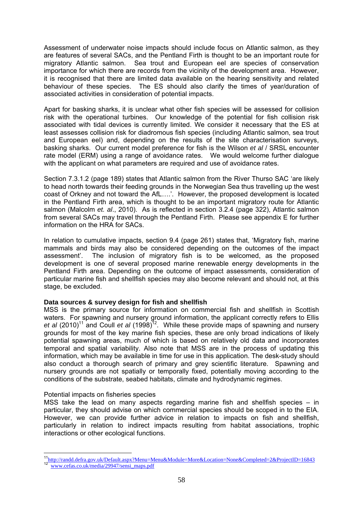Assessment of underwater noise impacts should include focus on Atlantic salmon, as they are features of several SACs, and the Pentland Firth is thought to be an important route for migratory Atlantic salmon. Sea trout and European eel are species of conservation importance for which there are records from the vicinity of the development area. However, it is recognised that there are limited data available on the hearing sensitivity and related behaviour of these species. The ES should also clarify the times of year/duration of associated activities in consideration of potential impacts.

Apart for basking sharks, it is unclear what other fish species will be assessed for collision risk with the operational turbines. Our knowledge of the potential for fish collision risk associated with tidal devices is currently limited. We consider it necessary that the ES at least assesses collision risk for diadromous fish species (including Atlantic salmon, sea trout and European eel) and, depending on the results of the site characterisation surveys, basking sharks. Our current model preference for fish is the Wilson *et al* / SRSL encounter rate model (ERM) using a range of avoidance rates. We would welcome further dialogue with the applicant on what parameters are required and use of avoidance rates.

Section 7.3.1.2 (page 189) states that Atlantic salmon from the River Thurso SAC 'are likely to head north towards their feeding grounds in the Norwegian Sea thus travelling up the west coast of Orkney and not toward the AfL….'. However, the proposed development is located in the Pentland Firth area, which is thought to be an important migratory route for Atlantic salmon (Malcolm *et. al*., 2010). As is reflected in section 3.2.4 (page 322), Atlantic salmon from several SACs may travel through the Pentland Firth. Please see appendix E for further information on the HRA for SACs.

In relation to cumulative impacts, section 9.4 (page 261) states that, 'Migratory fish, marine mammals and birds may also be considered depending on the outcomes of the impact assessment'. The inclusion of migratory fish is to be welcomed, as the proposed development is one of several proposed marine renewable energy developments in the Pentland Firth area. Depending on the outcome of impact assessments, consideration of particular marine fish and shellfish species may also become relevant and should not, at this stage, be excluded.

# **Data sources & survey design for fish and shellfish**

MSS is the primary source for information on commercial fish and shellfish in Scottish waters. For spawning and nursery ground information, the applicant correctly refers to Ellis *et al* (2010)11 and Coull *et al* (1998)12. While these provide maps of spawning and nursery grounds for most of the key marine fish species, these are only broad indications of likely potential spawning areas, much of which is based on relatively old data and incorporates temporal and spatial variability. Also note that MSS are in the process of updating this information, which may be available in time for use in this application. The desk-study should also conduct a thorough search of primary and grey scientific literature. Spawning and nursery grounds are not spatially or temporally fixed, potentially moving according to the conditions of the substrate, seabed habitats, climate and hydrodynamic regimes.

# Potential impacts on fisheries species

MSS take the lead on many aspects regarding marine fish and shellfish species – in particular, they should advise on which commercial species should be scoped in to the EIA. However, we can provide further advice in relation to impacts on fish and shellfish, particularly in relation to indirect impacts resulting from habitat associations, trophic interactions or other ecological functions.

 $\frac{1}{2}$ <sup>11</sup>http://randd.defra.gov.uk/Default.aspx?Menu=Menu&Module=More&Location=None&Completed=2&ProjectID=16843<br><sup>12</sup> www.cefas.co.uk/media/29947/sensi\_maps.pdf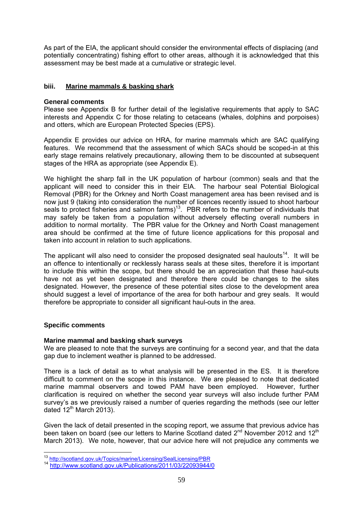As part of the EIA, the applicant should consider the environmental effects of displacing (and potentially concentrating) fishing effort to other areas, although it is acknowledged that this assessment may be best made at a cumulative or strategic level.

# **biii. Marine mammals & basking shark**

### **General comments**

Please see Appendix B for further detail of the legislative requirements that apply to SAC interests and Appendix C for those relating to cetaceans (whales, dolphins and porpoises) and otters, which are European Protected Species (EPS).

Appendix E provides our advice on HRA, for marine mammals which are SAC qualifying features. We recommend that the assessment of which SACs should be scoped-in at this early stage remains relatively precautionary, allowing them to be discounted at subsequent stages of the HRA as appropriate (see Appendix E).

We highlight the sharp fall in the UK population of harbour (common) seals and that the applicant will need to consider this in their EIA. The harbour seal Potential Biological Removal (PBR) for the Orkney and North Coast management area has been revised and is now just 9 (taking into consideration the number of licences recently issued to shoot harbour seals to protect fisheries and salmon farms)<sup>13</sup>. PBR refers to the number of individuals that may safely be taken from a population without adversely effecting overall numbers in addition to normal mortality. The PBR value for the Orkney and North Coast management area should be confirmed at the time of future licence applications for this proposal and taken into account in relation to such applications.

The applicant will also need to consider the proposed designated seal haulouts<sup>14</sup>. It will be an offence to intentionally or recklessly harass seals at these sites, therefore it is important to include this within the scope, but there should be an appreciation that these haul-outs have not as yet been designated and therefore there could be changes to the sites designated. However, the presence of these potential sites close to the development area should suggest a level of importance of the area for both harbour and grey seals. It would therefore be appropriate to consider all significant haul-outs in the area.

# **Specific comments**

# **Marine mammal and basking shark surveys**

We are pleased to note that the surveys are continuing for a second year, and that the data gap due to inclement weather is planned to be addressed.

There is a lack of detail as to what analysis will be presented in the ES. It is therefore difficult to comment on the scope in this instance. We are pleased to note that dedicated marine mammal observers and towed PAM have been employed. However, further clarification is required on whether the second year surveys will also include further PAM survey's as we previously raised a number of queries regarding the methods (see our letter dated 12<sup>th</sup> March 2013).

Given the lack of detail presented in the scoping report, we assume that previous advice has been taken on board (see our letters to Marine Scotland dated  $2<sup>nd</sup>$  November 2012 and 12<sup>th</sup> March 2013). We note, however, that our advice here will not prejudice any comments we

<sup>&</sup>lt;sup>13</sup> http://scotland.gov.uk/Topics/marine/Licensing/SealLicensing/PBR

<sup>&</sup>lt;sup>14</sup> http://www.scotland.gov.uk/Publications/2011/03/22093944/0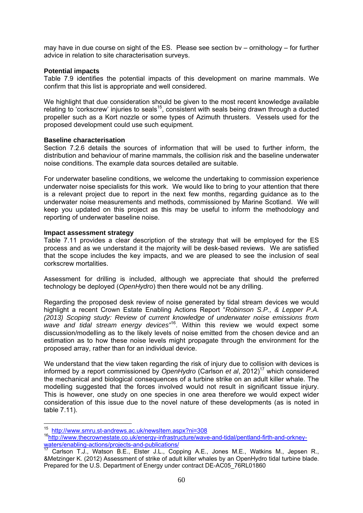may have in due course on sight of the ES. Please see section bv – ornithology – for further advice in relation to site characterisation surveys.

#### **Potential impacts**

Table 7.9 identifies the potential impacts of this development on marine mammals. We confirm that this list is appropriate and well considered.

We highlight that due consideration should be given to the most recent knowledge available relating to 'corkscrew' injuries to seals<sup>15</sup>, consistent with seals being drawn through a ducted propeller such as a Kort nozzle or some types of Azimuth thrusters. Vessels used for the proposed development could use such equipment.

#### **Baseline characterisation**

Section 7.2.6 details the sources of information that will be used to further inform, the distribution and behaviour of marine mammals, the collision risk and the baseline underwater noise conditions. The example data sources detailed are suitable.

For underwater baseline conditions, we welcome the undertaking to commission experience underwater noise specialists for this work. We would like to bring to your attention that there is a relevant project due to report in the next few months, regarding guidance as to the underwater noise measurements and methods, commissioned by Marine Scotland. We will keep you updated on this project as this may be useful to inform the methodology and reporting of underwater baseline noise.

# **Impact assessment strategy**

Table 7.11 provides a clear description of the strategy that will be employed for the ES process and as we understand it the majority will be desk-based reviews. We are satisfied that the scope includes the key impacts, and we are pleased to see the inclusion of seal corkscrew mortalities.

Assessment for drilling is included, although we appreciate that should the preferred technology be deployed (*OpenHydro*) then there would not be any drilling.

Regarding the proposed desk review of noise generated by tidal stream devices we would highlight a recent Crown Estate Enabling Actions Report "*Robinson S.P., & Lepper P.A. (2013) Scoping study: Review of current knowledge of underwater noise emissions from wave and tidal stream energy devices"*16. Within this review we would expect some discussion/modelling as to the likely levels of noise emitted from the chosen device and an estimation as to how these noise levels might propagate through the environment for the proposed array, rather than for an individual device.

We understand that the view taken regarding the risk of injury due to collision with devices is informed by a report commissioned by *OpenHydro* (Carlson *et al*, 2012)17 which considered the mechanical and biological consequences of a turbine strike on an adult killer whale. The modelling suggested that the forces involved would not result in significant tissue injury. This is however, one study on one species in one area therefore we would expect wider consideration of this issue due to the novel nature of these developments (as is noted in table 7.11).

<sup>&</sup>lt;sup>15</sup> http://www.smru.st-andrews.ac.uk/newsltem.aspx?ni=308

<sup>&</sup>lt;sup>16</sup> http://www.thecrownestate.co.uk/energy-infrastructure/wave-and-tidal/pentland-firth-and-orkney-<br>waters/enabling-actions/projects-and-publications/

waterstreamly actions/projects-and-publications/<br>Carlson T.J., Watson B.E., Elster J.L., Copping A.E., Jones M.E., Watkins M., Jepsen R., &Metzinger K. (2012) Assessment of strike of adult killer whales by an OpenHydro tidal turbine blade. Prepared for the U.S. Department of Energy under contract DE-AC05\_76RL01860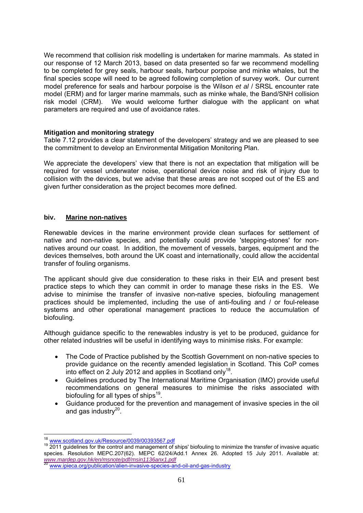We recommend that collision risk modelling is undertaken for marine mammals. As stated in our response of 12 March 2013, based on data presented so far we recommend modelling to be completed for grey seals, harbour seals, harbour porpoise and minke whales, but the final species scope will need to be agreed following completion of survey work. Our current model preference for seals and harbour porpoise is the Wilson *et al* / SRSL encounter rate model (ERM) and for larger marine mammals, such as minke whale, the Band/SNH collision risk model (CRM). We would welcome further dialogue with the applicant on what parameters are required and use of avoidance rates.

# **Mitigation and monitoring strategy**

Table 7.12 provides a clear statement of the developers' strategy and we are pleased to see the commitment to develop an Environmental Mitigation Monitoring Plan.

We appreciate the developers' view that there is not an expectation that mitigation will be required for vessel underwater noise, operational device noise and risk of injury due to collision with the devices, but we advise that these areas are not scoped out of the ES and given further consideration as the project becomes more defined.

#### **biv. Marine non-natives**

Renewable devices in the marine environment provide clean surfaces for settlement of native and non-native species, and potentially could provide 'stepping-stones' for nonnatives around our coast. In addition, the movement of vessels, barges, equipment and the devices themselves, both around the UK coast and internationally, could allow the accidental transfer of fouling organisms.

The applicant should give due consideration to these risks in their EIA and present best practice steps to which they can commit in order to manage these risks in the ES. We advise to minimise the transfer of invasive non-native species, biofouling management practices should be implemented, including the use of anti-fouling and / or foul-release systems and other operational management practices to reduce the accumulation of biofouling.

Although guidance specific to the renewables industry is yet to be produced, guidance for other related industries will be useful in identifying ways to minimise risks. For example:

- The Code of Practice published by the Scottish Government on non-native species to provide guidance on the recently amended legislation in Scotland. This CoP comes into effect on 2 July 2012 and applies in Scotland only<sup>18</sup>.
- Guidelines produced by The International Maritime Organisation (IMO) provide useful recommendations on general measures to minimise the risks associated with biofouling for all types of ships<sup>19</sup>.
- Guidance produced for the prevention and management of invasive species in the oil and gas industry $^{20}$ .

<sup>&</sup>lt;sup>18</sup> www.scotland.gov.uk/Resource/0039/00393567.pdf

<sup>&</sup>lt;sup>19</sup> 2011 guidelines for the control and management of ships' biofouling to minimize the transfer of invasive aquatic species. Resolution MEPC.207(62). MEPC 62/24/Add.1 Annex 26. Adopted 15 July 2011. Available at: *www.mardep.gov.hk/en/msnote/pdf/msin1136anx1.pdf* <sup>20</sup> www.ipieca.org/publication/alien-invasive-species-and-oil-and-gas-industry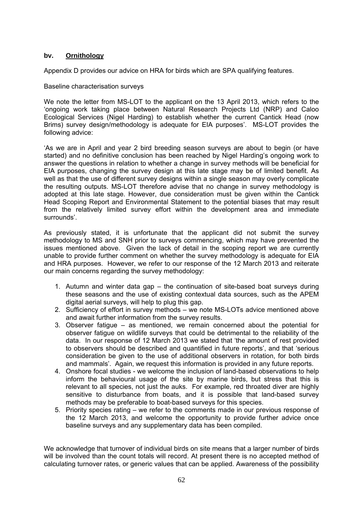# **bv. Ornithology**

Appendix D provides our advice on HRA for birds which are SPA qualifying features.

Baseline characterisation surveys

We note the letter from MS-LOT to the applicant on the 13 April 2013, which refers to the 'ongoing work taking place between Natural Research Projects Ltd (NRP) and Caloo Ecological Services (Nigel Harding) to establish whether the current Cantick Head (now Brims) survey design/methodology is adequate for EIA purposes'. MS-LOT provides the following advice:

'As we are in April and year 2 bird breeding season surveys are about to begin (or have started) and no definitive conclusion has been reached by Nigel Harding's ongoing work to answer the questions in relation to whether a change in survey methods will be beneficial for EIA purposes, changing the survey design at this late stage may be of limited benefit. As well as that the use of different survey designs within a single season may overly complicate the resulting outputs. MS-LOT therefore advise that no change in survey methodology is adopted at this late stage. However, due consideration must be given within the Cantick Head Scoping Report and Environmental Statement to the potential biases that may result from the relatively limited survey effort within the development area and immediate surrounds'.

As previously stated, it is unfortunate that the applicant did not submit the survey methodology to MS and SNH prior to surveys commencing, which may have prevented the issues mentioned above. Given the lack of detail in the scoping report we are currently unable to provide further comment on whether the survey methodology is adequate for EIA and HRA purposes. However, we refer to our response of the 12 March 2013 and reiterate our main concerns regarding the survey methodology:

- 1. Autumn and winter data gap the continuation of site-based boat surveys during these seasons and the use of existing contextual data sources, such as the APEM digital aerial surveys, will help to plug this gap.
- 2. Sufficiency of effort in survey methods we note MS-LOTs advice mentioned above and await further information from the survey results.
- 3. Observer fatigue as mentioned, we remain concerned about the potential for observer fatigue on wildlife surveys that could be detrimental to the reliability of the data. In our response of 12 March 2013 we stated that 'the amount of rest provided to observers should be described and quantified in future reports', and that 'serious consideration be given to the use of additional observers in rotation, for both birds and mammals'. Again, we request this information is provided in any future reports.
- 4. Onshore focal studies we welcome the inclusion of land-based observations to help inform the behavioural usage of the site by marine birds, but stress that this is relevant to all species, not just the auks. For example, red throated diver are highly sensitive to disturbance from boats, and it is possible that land-based survey methods may be preferable to boat-based surveys for this species.
- 5. Priority species rating we refer to the comments made in our previous response of the 12 March 2013, and welcome the opportunity to provide further advice once baseline surveys and any supplementary data has been compiled.

We acknowledge that turnover of individual birds on site means that a larger number of birds will be involved than the count totals will record. At present there is no accepted method of calculating turnover rates, or generic values that can be applied. Awareness of the possibility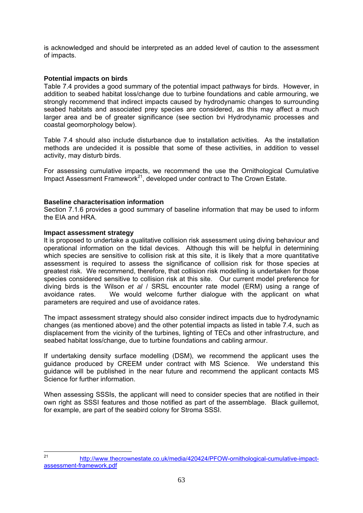is acknowledged and should be interpreted as an added level of caution to the assessment of impacts.

### **Potential impacts on birds**

Table 7.4 provides a good summary of the potential impact pathways for birds. However, in addition to seabed habitat loss/change due to turbine foundations and cable armouring, we strongly recommend that indirect impacts caused by hydrodynamic changes to surrounding seabed habitats and associated prey species are considered, as this may affect a much larger area and be of greater significance (see section bvi Hydrodynamic processes and coastal geomorphology below).

Table 7.4 should also include disturbance due to installation activities. As the installation methods are undecided it is possible that some of these activities, in addition to vessel activity, may disturb birds.

For assessing cumulative impacts, we recommend the use the Ornithological Cumulative Impact Assessment Framework<sup>21</sup>, developed under contract to The Crown Estate.

#### **Baseline characterisation information**

Section 7.1.6 provides a good summary of baseline information that may be used to inform the EIA and HRA.

#### **Impact assessment strategy**

It is proposed to undertake a qualitative collision risk assessment using diving behaviour and operational information on the tidal devices. Although this will be helpful in determining which species are sensitive to collision risk at this site, it is likely that a more quantitative assessment is required to assess the significance of collision risk for those species at greatest risk. We recommend, therefore, that collision risk modelling is undertaken for those species considered sensitive to collision risk at this site. Our current model preference for diving birds is the Wilson *et al* / SRSL encounter rate model (ERM) using a range of avoidance rates. We would welcome further dialogue with the applicant on what parameters are required and use of avoidance rates.

The impact assessment strategy should also consider indirect impacts due to hydrodynamic changes (as mentioned above) and the other potential impacts as listed in table 7.4, such as displacement from the vicinity of the turbines, lighting of TECs and other infrastructure, and seabed habitat loss/change, due to turbine foundations and cabling armour.

If undertaking density surface modelling (DSM), we recommend the applicant uses the guidance produced by CREEM under contract with MS Science. We understand this guidance will be published in the near future and recommend the applicant contacts MS Science for further information.

When assessing SSSIs, the applicant will need to consider species that are notified in their own right as SSSI features and those notified as part of the assemblage. Black guillemot, for example, are part of the seabird colony for Stroma SSSI.

 $21$ http://www.thecrownestate.co.uk/media/420424/PFOW-ornithological-cumulative-impactassessment-framework.pdf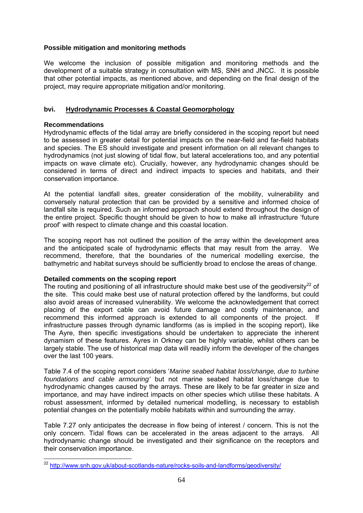# **Possible mitigation and monitoring methods**

We welcome the inclusion of possible mitigation and monitoring methods and the development of a suitable strategy in consultation with MS, SNH and JNCC. It is possible that other potential impacts, as mentioned above, and depending on the final design of the project, may require appropriate mitigation and/or monitoring.

# **bvi. Hydrodynamic Processes & Coastal Geomorphology**

# **Recommendations**

Hydrodynamic effects of the tidal array are briefly considered in the scoping report but need to be assessed in greater detail for potential impacts on the near-field and far-field habitats and species. The ES should investigate and present information on all relevant changes to hydrodynamics (not just slowing of tidal flow, but lateral accelerations too, and any potential impacts on wave climate etc). Crucially, however, any hydrodynamic changes should be considered in terms of direct and indirect impacts to species and habitats, and their conservation importance.

At the potential landfall sites, greater consideration of the mobility, vulnerability and conversely natural protection that can be provided by a sensitive and informed choice of landfall site is required. Such an informed approach should extend throughout the design of the entire project. Specific thought should be given to how to make all infrastructure 'future proof' with respect to climate change and this coastal location.

The scoping report has not outlined the position of the array within the development area and the anticipated scale of hydrodynamic effects that may result from the array. We recommend, therefore, that the boundaries of the numerical modelling exercise, the bathymetric and habitat surveys should be sufficiently broad to enclose the areas of change.

# **Detailed comments on the scoping report**

The routing and positioning of all infrastructure should make best use of the geodiversity<sup>22</sup> of the site. This could make best use of natural protection offered by the landforms, but could also avoid areas of increased vulnerability. We welcome the acknowledgement that correct placing of the export cable can avoid future damage and costly maintenance, and recommend this informed approach is extended to all components of the project. If infrastructure passes through dynamic landforms (as is implied in the scoping report), like The Ayre, then specific investigations should be undertaken to appreciate the inherent dynamism of these features. Ayres in Orkney can be highly variable, whilst others can be largely stable. The use of historical map data will readily inform the developer of the changes over the last 100 years.

Table 7.4 of the scoping report considers '*Marine seabed habitat loss/change, due to turbine foundations and cable armouring'* but not marine seabed habitat loss/change due to hydrodynamic changes caused by the arrays. These are likely to be far greater in size and importance, and may have indirect impacts on other species which utilise these habitats. A robust assessment, informed by detailed numerical modelling, is necessary to establish potential changes on the potentially mobile habitats within and surrounding the array.

Table 7.27 only anticipates the decrease in flow being of interest / concern. This is not the only concern. Tidal flows can be accelerated in the areas adjacent to the arrays. All hydrodynamic change should be investigated and their significance on the receptors and their conservation importance.

<sup>1</sup> <sup>22</sup> http://www.snh.gov.uk/about-scotlands-nature/rocks-soils-and-landforms/geodiversity/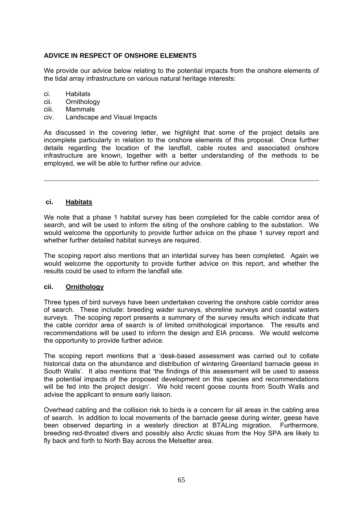# **ADVICE IN RESPECT OF ONSHORE ELEMENTS**

We provide our advice below relating to the potential impacts from the onshore elements of the tidal array infrastructure on various natural heritage interests:

- ci. Habitats
- cii. Ornithology
- ciii. Mammals
- civ. Landscape and Visual Impacts

As discussed in the covering letter, we highlight that some of the project details are incomplete particularly in relation to the onshore elements of this proposal. Once further details regarding the location of the landfall, cable routes and associated onshore infrastructure are known, together with a better understanding of the methods to be employed, we will be able to further refine our advice.

#### **ci. Habitats**

We note that a phase 1 habitat survey has been completed for the cable corridor area of search, and will be used to inform the siting of the onshore cabling to the substation. We would welcome the opportunity to provide further advice on the phase 1 survey report and whether further detailed habitat surveys are required.

The scoping report also mentions that an intertidal survey has been completed. Again we would welcome the opportunity to provide further advice on this report, and whether the results could be used to inform the landfall site.

#### **cii. Ornithology**

Three types of bird surveys have been undertaken covering the onshore cable corridor area of search. These include: breeding wader surveys, shoreline surveys and coastal waters surveys. The scoping report presents a summary of the survey results which indicate that the cable corridor area of search is of limited ornithological importance. The results and recommendations will be used to inform the design and EIA process. We would welcome the opportunity to provide further advice.

The scoping report mentions that a 'desk-based assessment was carried out to collate historical data on the abundance and distribution of wintering Greenland barnacle geese in South Walls'. It also mentions that 'the findings of this assessment will be used to assess the potential impacts of the proposed development on this species and recommendations will be fed into the project design'. We hold recent goose counts from South Walls and advise the applicant to ensure early liaison.

Overhead cabling and the collision risk to birds is a concern for all areas in the cabling area of search. In addition to local movements of the barnacle geese during winter, geese have been observed departing in a westerly direction at BTALing migration. Furthermore, breeding red-throated divers and possibly also Arctic skuas from the Hoy SPA are likely to fly back and forth to North Bay across the Melsetter area.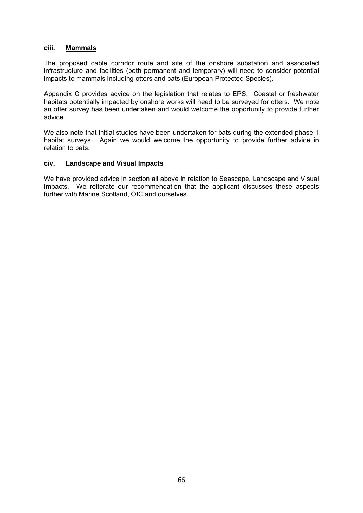#### **ciii. Mammals**

The proposed cable corridor route and site of the onshore substation and associated infrastructure and facilities (both permanent and temporary) will need to consider potential impacts to mammals including otters and bats (European Protected Species).

Appendix C provides advice on the legislation that relates to EPS. Coastal or freshwater habitats potentially impacted by onshore works will need to be surveyed for otters. We note an otter survey has been undertaken and would welcome the opportunity to provide further advice.

We also note that initial studies have been undertaken for bats during the extended phase 1 habitat surveys. Again we would welcome the opportunity to provide further advice in relation to bats.

#### **civ. Landscape and Visual Impacts**

We have provided advice in section aii above in relation to Seascape, Landscape and Visual Impacts. We reiterate our recommendation that the applicant discusses these aspects further with Marine Scotland, OIC and ourselves.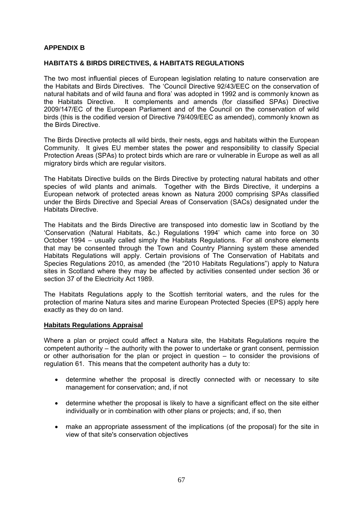### **APPENDIX B**

#### **HABITATS & BIRDS DIRECTIVES, & HABITATS REGULATIONS**

The two most influential pieces of European legislation relating to nature conservation are the Habitats and Birds Directives. The 'Council Directive 92/43/EEC on the conservation of natural habitats and of wild fauna and flora' was adopted in 1992 and is commonly known as the Habitats Directive. It complements and amends (for classified SPAs) Directive 2009/147/EC of the European Parliament and of the Council on the conservation of wild birds (this is the codified version of Directive 79/409/EEC as amended), commonly known as the Birds Directive.

The Birds Directive protects all wild birds, their nests, eggs and habitats within the European Community. It gives EU member states the power and responsibility to classify Special Protection Areas (SPAs) to protect birds which are rare or vulnerable in Europe as well as all migratory birds which are regular visitors.

The Habitats Directive builds on the Birds Directive by protecting natural habitats and other species of wild plants and animals. Together with the Birds Directive, it underpins a European network of protected areas known as Natura 2000 comprising SPAs classified under the Birds Directive and Special Areas of Conservation (SACs) designated under the Habitats Directive.

The Habitats and the Birds Directive are transposed into domestic law in Scotland by the 'Conservation (Natural Habitats, &c.) Regulations 1994' which came into force on 30 October 1994 – usually called simply the Habitats Regulations. For all onshore elements that may be consented through the Town and Country Planning system these amended Habitats Regulations will apply. Certain provisions of The Conservation of Habitats and Species Regulations 2010, as amended (the "2010 Habitats Regulations") apply to Natura sites in Scotland where they may be affected by activities consented under section 36 or section 37 of the Electricity Act 1989.

The Habitats Regulations apply to the Scottish territorial waters, and the rules for the protection of marine Natura sites and marine European Protected Species (EPS) apply here exactly as they do on land.

#### **Habitats Regulations Appraisal**

Where a plan or project could affect a Natura site, the Habitats Regulations require the competent authority – the authority with the power to undertake or grant consent, permission or other authorisation for the plan or project in question – to consider the provisions of regulation 61. This means that the competent authority has a duty to:

- determine whether the proposal is directly connected with or necessary to site management for conservation; and, if not
- determine whether the proposal is likely to have a significant effect on the site either individually or in combination with other plans or projects; and, if so, then
- make an appropriate assessment of the implications (of the proposal) for the site in view of that site's conservation objectives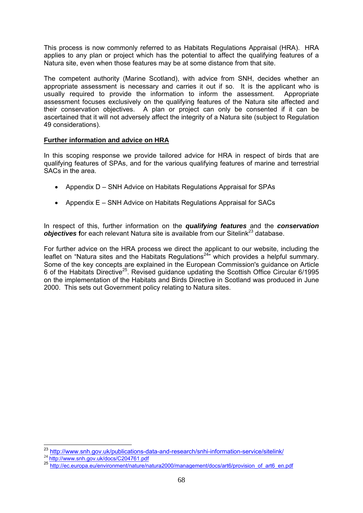This process is now commonly referred to as Habitats Regulations Appraisal (HRA). HRA applies to any plan or project which has the potential to affect the qualifying features of a Natura site, even when those features may be at some distance from that site.

The competent authority (Marine Scotland), with advice from SNH, decides whether an appropriate assessment is necessary and carries it out if so. It is the applicant who is usually required to provide the information to inform the assessment. Appropriate assessment focuses exclusively on the qualifying features of the Natura site affected and their conservation objectives. A plan or project can only be consented if it can be ascertained that it will not adversely affect the integrity of a Natura site (subject to Regulation 49 considerations).

# **Further information and advice on HRA**

In this scoping response we provide tailored advice for HRA in respect of birds that are qualifying features of SPAs, and for the various qualifying features of marine and terrestrial SACs in the area.

- Appendix D SNH Advice on Habitats Regulations Appraisal for SPAs
- Appendix E SNH Advice on Habitats Regulations Appraisal for SACs

In respect of this, further information on the *qualifying features* and the *conservation objectives* for each relevant Natura site is available from our Sitelink<sup>23</sup> database.

For further advice on the HRA process we direct the applicant to our website, including the leaflet on "Natura sites and the Habitats Regulations24" which provides a helpful summary. Some of the key concepts are explained in the European Commission's guidance on Article 6 of the Habitats Directive<sup>25</sup>. Revised guidance updating the Scottish Office Circular 6/1995 on the implementation of the Habitats and Birds Directive in Scotland was produced in June 2000. This sets out Government policy relating to Natura sites.

<sup>1</sup> <sup>23</sup> http://www.snh.gov.uk/publications-data-and-research/snhi-information-service/sitelink/<br><sup>24</sup> http://www.snh.gov.uk/docs/C204761.pdf

<sup>25</sup> http://ec.europa.eu/environment/nature/natura2000/management/docs/art6/provision\_of\_art6\_en.pdf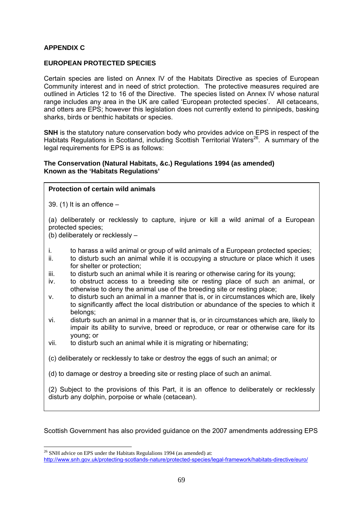# **APPENDIX C**

#### **EUROPEAN PROTECTED SPECIES**

Certain species are listed on Annex IV of the Habitats Directive as species of European Community interest and in need of strict protection. The protective measures required are outlined in Articles 12 to 16 of the Directive. The species listed on Annex IV whose natural range includes any area in the UK are called 'European protected species'. All cetaceans, and otters are EPS; however this legislation does not currently extend to pinnipeds, basking sharks, birds or benthic habitats or species.

**SNH** is the statutory nature conservation body who provides advice on EPS in respect of the Habitats Regulations in Scotland, including Scottish Territorial Waters<sup>26</sup>. A summary of the legal requirements for EPS is as follows:

#### **The Conservation (Natural Habitats, &c.) Regulations 1994 (as amended) Known as the 'Habitats Regulations'**

#### **Protection of certain wild animals**

39. (1) It is an offence –

(a) deliberately or recklessly to capture, injure or kill a wild animal of a European protected species;

(b) deliberately or recklessly –

- i. to harass a wild animal or group of wild animals of a European protected species;
- ii. to disturb such an animal while it is occupying a structure or place which it uses for shelter or protection:
- iii. to disturb such an animal while it is rearing or otherwise caring for its young;
- iv. to obstruct access to a breeding site or resting place of such an animal, or otherwise to deny the animal use of the breeding site or resting place;
- v. to disturb such an animal in a manner that is, or in circumstances which are, likely to significantly affect the local distribution or abundance of the species to which it belongs;
- vi. disturb such an animal in a manner that is, or in circumstances which are, likely to impair its ability to survive, breed or reproduce, or rear or otherwise care for its young; or
- vii. to disturb such an animal while it is migrating or hibernating;

(c) deliberately or recklessly to take or destroy the eggs of such an animal; or

(d) to damage or destroy a breeding site or resting place of such an animal.

(2) Subject to the provisions of this Part, it is an offence to deliberately or recklessly disturb any dolphin, porpoise or whale (cetacean).

Scottish Government has also provided guidance on the 2007 amendments addressing EPS

1

 $^{26}$  SNH advice on EPS under the Habitats Regulalions 1994 (as amended) at:

http://www.snh.gov.uk/protecting-scotlands-nature/protected-species/legal-framework/habitats-directive/euro/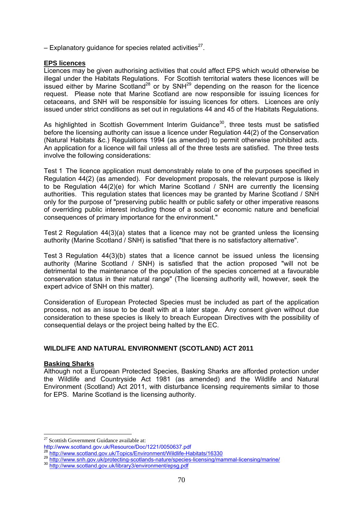– Explanatory guidance for species related activities<sup>27</sup>.

#### **EPS licences**

Licences may be given authorising activities that could affect EPS which would otherwise be illegal under the Habitats Regulations. For Scottish territorial waters these licences will be issued either by Marine Scotland<sup>28</sup> or by SNH<sup>29</sup> depending on the reason for the licence request. Please note that Marine Scotland are now responsible for issuing licences for cetaceans, and SNH will be responsible for issuing licences for otters. Licences are only issued under strict conditions as set out in regulations 44 and 45 of the Habitats Regulations.

As highlighted in Scottish Government Interim Guidance<sup>30</sup>, three tests must be satisfied before the licensing authority can issue a licence under Regulation 44(2) of the Conservation (Natural Habitats &c.) Regulations 1994 (as amended) to permit otherwise prohibited acts. An application for a licence will fail unless all of the three tests are satisfied. The three tests involve the following considerations:

Test 1 The licence application must demonstrably relate to one of the purposes specified in Regulation 44(2) (as amended). For development proposals, the relevant purpose is likely to be Regulation 44(2)(e) for which Marine Scotland / SNH are currently the licensing authorities. This regulation states that licences may be granted by Marine Scotland / SNH only for the purpose of "preserving public health or public safety or other imperative reasons of overriding public interest including those of a social or economic nature and beneficial consequences of primary importance for the environment."

Test 2 Regulation 44(3)(a) states that a licence may not be granted unless the licensing authority (Marine Scotland / SNH) is satisfied "that there is no satisfactory alternative".

Test 3 Regulation 44(3)(b) states that a licence cannot be issued unless the licensing authority (Marine Scotland / SNH) is satisfied that the action proposed "will not be detrimental to the maintenance of the population of the species concerned at a favourable conservation status in their natural range" (The licensing authority will, however, seek the expert advice of SNH on this matter).

Consideration of European Protected Species must be included as part of the application process, not as an issue to be dealt with at a later stage. Any consent given without due consideration to these species is likely to breach European Directives with the possibility of consequential delays or the project being halted by the EC.

# **WILDLIFE AND NATURAL ENVIRONMENT (SCOTLAND) ACT 2011**

# **Basking Sharks**

1

Although not a European Protected Species, Basking Sharks are afforded protection under the Wildlife and Countryside Act 1981 (as amended) and the Wildlife and Natural Environment (Scotland) Act 2011, with disturbance licensing requirements similar to those for EPS. Marine Scotland is the licensing authority.

<sup>&</sup>lt;sup>27</sup> Scottish Government Guidance available at:

http://www.scotland.gov.uk/Resource/Doc/1221/0050637.pdf

<sup>29</sup> http://www.scoulariu.gov.uk/ i opios/Litynomicine common change common<br>30 http://www.snh.gov.uk/protecting-scotlands-nature/species-licensing/mammal-licensing/marine/<br>30 http://www.scotland.gov.uk/library3/environment/e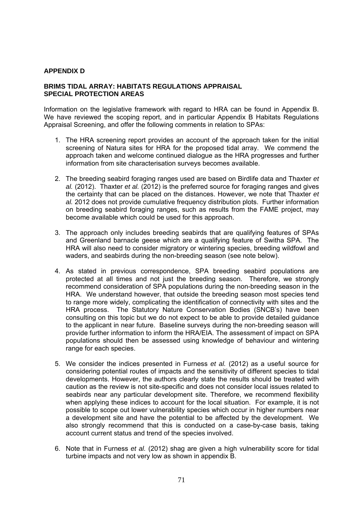### **APPENDIX D**

### **BRIMS TIDAL ARRAY: HABITATS REGULATIONS APPRAISAL SPECIAL PROTECTION AREAS**

Information on the legislative framework with regard to HRA can be found in Appendix B. We have reviewed the scoping report, and in particular Appendix B Habitats Regulations Appraisal Screening, and offer the following comments in relation to SPAs:

- 1. The HRA screening report provides an account of the approach taken for the initial screening of Natura sites for HRA for the proposed tidal array. We commend the approach taken and welcome continued dialogue as the HRA progresses and further information from site characterisation surveys becomes available.
- 2. The breeding seabird foraging ranges used are based on Birdlife data and Thaxter *et al.* (2012). Thaxter *et al.* (2012) is the preferred source for foraging ranges and gives the certainty that can be placed on the distances. However, we note that Thaxter *et al.* 2012 does not provide cumulative frequency distribution plots. Further information on breeding seabird foraging ranges, such as results from the FAME project, may become available which could be used for this approach.
- 3. The approach only includes breeding seabirds that are qualifying features of SPAs and Greenland barnacle geese which are a qualifying feature of Switha SPA. The HRA will also need to consider migratory or wintering species, breeding wildfowl and waders, and seabirds during the non-breeding season (see note below).
- 4. As stated in previous correspondence, SPA breeding seabird populations are protected at all times and not just the breeding season. Therefore, we strongly recommend consideration of SPA populations during the non-breeding season in the HRA. We understand however, that outside the breeding season most species tend to range more widely, complicating the identification of connectivity with sites and the HRA process. The Statutory Nature Conservation Bodies (SNCB's) have been consulting on this topic but we do not expect to be able to provide detailed guidance to the applicant in near future. Baseline surveys during the non-breeding season will provide further information to inform the HRA/EIA. The assessment of impact on SPA populations should then be assessed using knowledge of behaviour and wintering range for each species.
- 5. We consider the indices presented in Furness *et al.* (2012) as a useful source for considering potential routes of impacts and the sensitivity of different species to tidal developments. However, the authors clearly state the results should be treated with caution as the review is not site-specific and does not consider local issues related to seabirds near any particular development site. Therefore, we recommend flexibility when applying these indices to account for the local situation. For example, it is not possible to scope out lower vulnerability species which occur in higher numbers near a development site and have the potential to be affected by the development. We also strongly recommend that this is conducted on a case-by-case basis, taking account current status and trend of the species involved.
- 6. Note that in Furness *et al.* (2012) shag are given a high vulnerability score for tidal turbine impacts and not very low as shown in appendix B.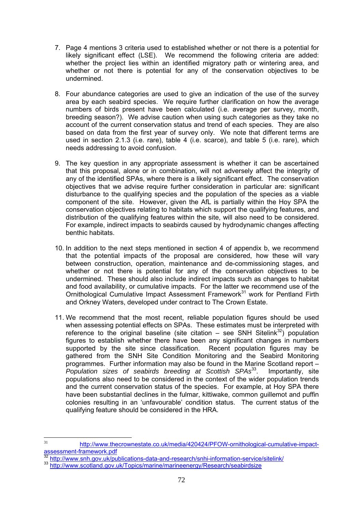- 7. Page 4 mentions 3 criteria used to established whether or not there is a potential for likely significant effect (LSE). We recommend the following criteria are added: whether the project lies within an identified migratory path or wintering area, and whether or not there is potential for any of the conservation objectives to be undermined.
- 8. Four abundance categories are used to give an indication of the use of the survey area by each seabird species. We require further clarification on how the average numbers of birds present have been calculated (i.e. average per survey, month, breeding season?). We advise caution when using such categories as they take no account of the current conservation status and trend of each species. They are also based on data from the first year of survey only. We note that different terms are used in section 2.1.3 (i.e. rare), table 4 (i.e. scarce), and table 5 (i.e. rare), which needs addressing to avoid confusion.
- 9. The key question in any appropriate assessment is whether it can be ascertained that this proposal, alone or in combination, will not adversely affect the integrity of any of the identified SPAs, where there is a likely significant effect. The conservation objectives that we advise require further consideration in particular are: significant disturbance to the qualifying species and the population of the species as a viable component of the site. However, given the AfL is partially within the Hoy SPA the conservation objectives relating to habitats which support the qualifying features, and distribution of the qualifying features within the site, will also need to be considered. For example, indirect impacts to seabirds caused by hydrodynamic changes affecting benthic habitats.
- 10. In addition to the next steps mentioned in section 4 of appendix b, we recommend that the potential impacts of the proposal are considered, how these will vary between construction, operation, maintenance and de-commissioning stages, and whether or not there is potential for any of the conservation objectives to be undermined. These should also include indirect impacts such as changes to habitat and food availability, or cumulative impacts. For the latter we recommend use of the Ornithological Cumulative Impact Assessment Framework<sup>31</sup> work for Pentland Firth and Orkney Waters, developed under contract to The Crown Estate.
- 11. We recommend that the most recent, reliable population figures should be used when assessing potential effects on SPAs. These estimates must be interpreted with reference to the original baseline (site citation – see SNH Sitelink<sup>32</sup>) population figures to establish whether there have been any significant changes in numbers supported by the site since classification. Recent population figures may be gathered from the SNH Site Condition Monitoring and the Seabird Monitoring programmes. Further information may also be found in the Marine Scotland report – *Population sizes of seabirds breeding at Scottish SPAs*<sup>33</sup>. Importantly, site populations also need to be considered in the context of the wider population trends and the current conservation status of the species. For example, at Hoy SPA there have been substantial declines in the fulmar, kittiwake, common guillemot and puffin colonies resulting in an 'unfavourable' condition status. The current status of the qualifying feature should be considered in the HRA.

 $31$ http://www.thecrownestate.co.uk/media/420424/PFOW-ornithological-cumulative-impactassessment-framework.pdf

<sup>32</sup> http://www.snh.gov.uk/publications-data-and-research/snhi-information-service/sitelink/<br>33 http://www.scotland.gov.uk/Topics/marine/<u>marineenergy/Research/seabirdsize</u>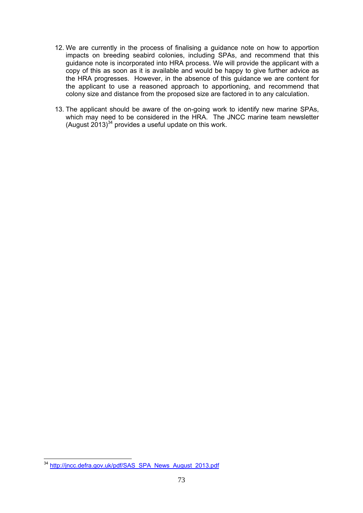- 12. We are currently in the process of finalising a guidance note on how to apportion impacts on breeding seabird colonies, including SPAs, and recommend that this guidance note is incorporated into HRA process. We will provide the applicant with a copy of this as soon as it is available and would be happy to give further advice as the HRA progresses. However, in the absence of this guidance we are content for the applicant to use a reasoned approach to apportioning, and recommend that colony size and distance from the proposed size are factored in to any calculation.
- 13. The applicant should be aware of the on-going work to identify new marine SPAs, which may need to be considered in the HRA. The JNCC marine team newsletter (August  $2013$ <sup>34</sup> provides a useful update on this work.

<sup>1</sup> <sup>34</sup> http://jncc.defra.gov.uk/pdf/SAS\_SPA\_News\_August\_2013.pdf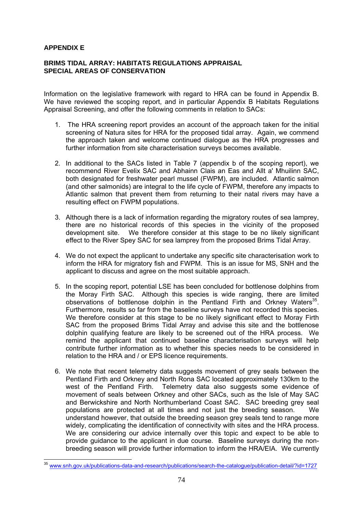#### **APPENDIX E**

#### **BRIMS TIDAL ARRAY: HABITATS REGULATIONS APPRAISAL SPECIAL AREAS OF CONSERVATION**

Information on the legislative framework with regard to HRA can be found in Appendix B. We have reviewed the scoping report, and in particular Appendix B Habitats Regulations Appraisal Screening, and offer the following comments in relation to SACs:

- 1. The HRA screening report provides an account of the approach taken for the initial screening of Natura sites for HRA for the proposed tidal array. Again, we commend the approach taken and welcome continued dialogue as the HRA progresses and further information from site characterisation surveys becomes available.
- 2. In additional to the SACs listed in Table 7 (appendix b of the scoping report), we recommend River Evelix SAC and Abhainn Clais an Eas and Allt a' Mhuilinn SAC, both designated for freshwater pearl mussel (FWPM), are included. Atlantic salmon (and other salmonids) are integral to the life cycle of FWPM, therefore any impacts to Atlantic salmon that prevent them from returning to their natal rivers may have a resulting effect on FWPM populations.
- 3. Although there is a lack of information regarding the migratory routes of sea lamprey, there are no historical records of this species in the vicinity of the proposed development site. We therefore consider at this stage to be no likely significant effect to the River Spey SAC for sea lamprey from the proposed Brims Tidal Array.
- 4. We do not expect the applicant to undertake any specific site characterisation work to inform the HRA for migratory fish and FWPM. This is an issue for MS, SNH and the applicant to discuss and agree on the most suitable approach.
- 5. In the scoping report, potential LSE has been concluded for bottlenose dolphins from the Moray Firth SAC. Although this species is wide ranging, there are limited observations of bottlenose dolphin in the Pentland Firth and Orkney Waters $35$ . Furthermore, results so far from the baseline surveys have not recorded this species. We therefore consider at this stage to be no likely significant effect to Moray Firth SAC from the proposed Brims Tidal Array and advise this site and the bottlenose dolphin qualifying feature are likely to be screened out of the HRA process. We remind the applicant that continued baseline characterisation surveys will help contribute further information as to whether this species needs to be considered in relation to the HRA and / or EPS licence requirements.
- 6. We note that recent telemetry data suggests movement of grey seals between the Pentland Firth and Orkney and North Rona SAC located approximately 130km to the west of the Pentland Firth. Telemetry data also suggests some evidence of movement of seals between Orkney and other SACs, such as the Isle of May SAC and Berwickshire and North Northumberland Coast SAC. SAC breeding grey seal populations are protected at all times and not just the breeding season. We understand however, that outside the breeding season grey seals tend to range more widely, complicating the identification of connectivity with sites and the HRA process. We are considering our advice internally over this topic and expect to be able to provide guidance to the applicant in due course. Baseline surveys during the nonbreeding season will provide further information to inform the HRA/EIA. We currently

<sup>1</sup> <sup>35</sup> www.snh.gov.uk/publications-data-and-research/publications/search-the-catalogue/publication-detail/?id=1727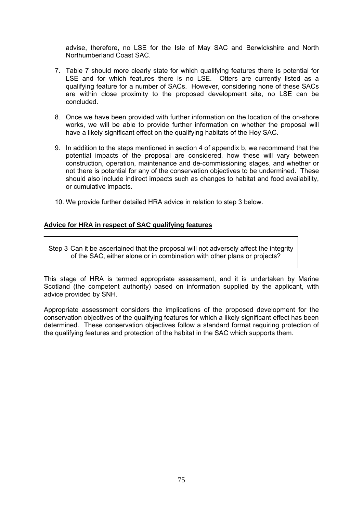advise, therefore, no LSE for the Isle of May SAC and Berwickshire and North Northumberland Coast SAC.

- 7. Table 7 should more clearly state for which qualifying features there is potential for LSE and for which features there is no LSE. Otters are currently listed as a qualifying feature for a number of SACs. However, considering none of these SACs are within close proximity to the proposed development site, no LSE can be concluded.
- 8. Once we have been provided with further information on the location of the on-shore works, we will be able to provide further information on whether the proposal will have a likely significant effect on the qualifying habitats of the Hoy SAC.
- 9. In addition to the steps mentioned in section 4 of appendix b, we recommend that the potential impacts of the proposal are considered, how these will vary between construction, operation, maintenance and de-commissioning stages, and whether or not there is potential for any of the conservation objectives to be undermined. These should also include indirect impacts such as changes to habitat and food availability, or cumulative impacts.
- 10. We provide further detailed HRA advice in relation to step 3 below.

#### **Advice for HRA in respect of SAC qualifying features**

Step 3 Can it be ascertained that the proposal will not adversely affect the integrity of the SAC, either alone or in combination with other plans or projects?

This stage of HRA is termed appropriate assessment, and it is undertaken by Marine Scotland (the competent authority) based on information supplied by the applicant, with advice provided by SNH.

Appropriate assessment considers the implications of the proposed development for the conservation objectives of the qualifying features for which a likely significant effect has been determined. These conservation objectives follow a standard format requiring protection of the qualifying features and protection of the habitat in the SAC which supports them.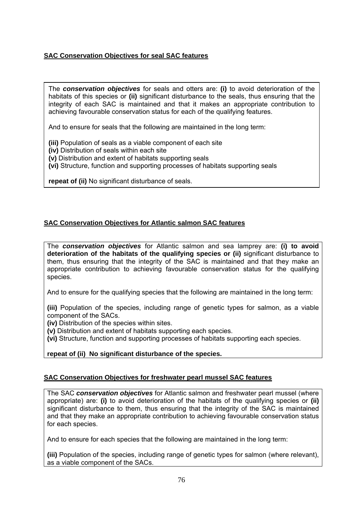# **SAC Conservation Objectives for seal SAC features**

The *conservation objectives* for seals and otters are: **(i)** to avoid deterioration of the habitats of this species or **(ii)** significant disturbance to the seals, thus ensuring that the integrity of each SAC is maintained and that it makes an appropriate contribution to achieving favourable conservation status for each of the qualifying features.

And to ensure for seals that the following are maintained in the long term:

**(iii)** Population of seals as a viable component of each site

**(iv)** Distribution of seals within each site

**(v)** Distribution and extent of habitats supporting seals

**(vi)** Structure, function and supporting processes of habitats supporting seals

**repeat of (ii)** No significant disturbance of seals.

# **SAC Conservation Objectives for Atlantic salmon SAC features**

The *conservation objectives* for Atlantic salmon and sea lamprey are: **(i) to avoid deterioration of the habitats of the qualifying species or (ii)** significant disturbance to them, thus ensuring that the integrity of the SAC is maintained and that they make an appropriate contribution to achieving favourable conservation status for the qualifying species.

And to ensure for the qualifying species that the following are maintained in the long term:

**(iii)** Population of the species, including range of genetic types for salmon, as a viable component of the SACs.

**(iv)** Distribution of the species within sites.

**(v)** Distribution and extent of habitats supporting each species.

**(vi)** Structure, function and supporting processes of habitats supporting each species.

#### **repeat of (ii) No significant disturbance of the species.**

#### **SAC Conservation Objectives for freshwater pearl mussel SAC features**

The SAC *conservation objectives* for Atlantic salmon and freshwater pearl mussel (where appropriate) are: **(i)** to avoid deterioration of the habitats of the qualifying species or **(ii)** significant disturbance to them, thus ensuring that the integrity of the SAC is maintained and that they make an appropriate contribution to achieving favourable conservation status for each species.

And to ensure for each species that the following are maintained in the long term:

**(iii)** Population of the species, including range of genetic types for salmon (where relevant), as a viable component of the SACs.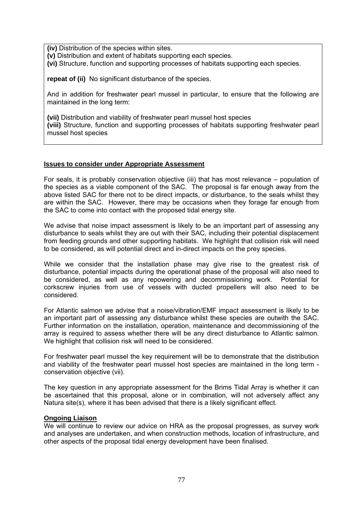**(iv)** Distribution of the species within sites.

**(v)** Distribution and extent of habitats supporting each species.

**(vi)** Structure, function and supporting processes of habitats supporting each species.

**repeat of (ii)** No significant disturbance of the species.

And in addition for freshwater pearl mussel in particular, to ensure that the following are maintained in the long term:

**(vii)** Distribution and viability of freshwater pearl mussel host species **(viii)** Structure, function and supporting processes of habitats supporting freshwater pearl mussel host species

#### **Issues to consider under Appropriate Assessment**

For seals, it is probably conservation objective (iii) that has most relevance – population of the species as a viable component of the SAC. The proposal is far enough away from the above listed SAC for there not to be direct impacts, or disturbance, to the seals whilst they are within the SAC. However, there may be occasions when they forage far enough from the SAC to come into contact with the proposed tidal energy site.

We advise that noise impact assessment is likely to be an important part of assessing any disturbance to seals whilst they are out with their SAC, including their potential displacement from feeding grounds and other supporting habitats. We highlight that collision risk will need to be considered, as will potential direct and in-direct impacts on the prey species.

While we consider that the installation phase may give rise to the greatest risk of disturbance, potential impacts during the operational phase of the proposal will also need to be considered, as well as any repowering and decommissioning work. Potential for corkscrew injuries from use of vessels with ducted propellers will also need to be considered.

For Atlantic salmon we advise that a noise/vibration/EMF impact assessment is likely to be an important part of assessing any disturbance whilst these species are outwith the SAC. Further information on the installation, operation, maintenance and decommissioning of the array is required to assess whether there will be any direct disturbance to Atlantic salmon. We highlight that collision risk will need to be considered.

For freshwater pearl mussel the key requirement will be to demonstrate that the distribution and viability of the freshwater pearl mussel host species are maintained in the long term conservation objective (vii).

The key question in any appropriate assessment for the Brims Tidal Array is whether it can be ascertained that this proposal, alone or in combination, will not adversely affect any Natura site(s), where it has been advised that there is a likely significant effect.

#### **Ongoing Liaison**

We will continue to review our advice on HRA as the proposal progresses, as survey work and analyses are undertaken, and when construction methods, location of infrastructure, and other aspects of the proposal tidal energy development have been finalised.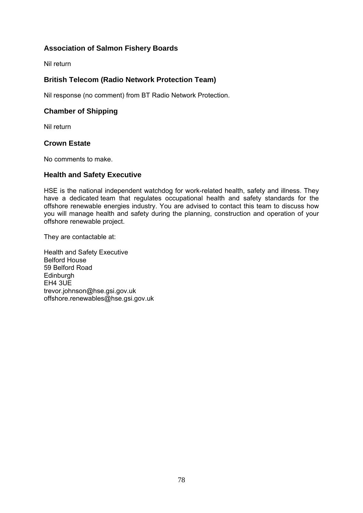# **Association of Salmon Fishery Boards**

Nil return

# **British Telecom (Radio Network Protection Team)**

Nil response (no comment) from BT Radio Network Protection.

# **Chamber of Shipping**

Nil return

### **Crown Estate**

No comments to make.

### **Health and Safety Executive**

HSE is the national independent watchdog for work-related health, safety and illness. They have a dedicated team that regulates occupational health and safety standards for the offshore renewable energies industry. You are advised to contact this team to discuss how you will manage health and safety during the planning, construction and operation of your offshore renewable project.

They are contactable at:

Health and Safety Executive Belford House 59 Belford Road **Edinburgh** EH4 3UE trevor.johnson@hse.gsi.gov.uk offshore.renewables@hse.gsi.gov.uk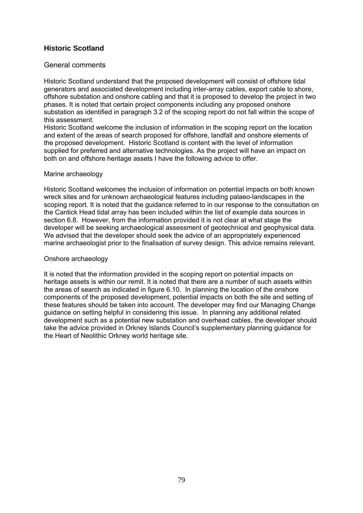# **Historic Scotland**

#### General comments

Historic Scotland understand that the proposed development will consist of offshore tidal generators and associated development including inter-array cables, export cable to shore, offshore substation and onshore cabling and that it is proposed to develop the project in two phases. It is noted that certain project components including any proposed onshore substation as identified in paragraph 3.2 of the scoping report do not fall within the scope of this assessment.

Historic Scotland welcome the inclusion of information in the scoping report on the location and extent of the areas of search proposed for offshore, landfall and onshore elements of the proposed development. Historic Scotland is content with the level of information supplied for preferred and alternative technologies. As the project will have an impact on both on and offshore heritage assets I have the following advice to offer.

#### Marine archaeology

Historic Scotland welcomes the inclusion of information on potential impacts on both known wreck sites and for unknown archaeological features including palaeo-landscapes in the scoping report. It is noted that the guidance referred to in our response to the consultation on the Cantick Head tidal array has been included within the list of example data sources in section 6.8. However, from the information provided it is not clear at what stage the developer will be seeking archaeological assessment of geotechnical and geophysical data. We advised that the developer should seek the advice of an appropriately experienced marine archaeologist prior to the finalisation of survey design. This advice remains relevant.

#### Onshore archaeology

It is noted that the information provided in the scoping report on potential impacts on heritage assets is within our remit. It is noted that there are a number of such assets within the areas of search as indicated in figure 6.10. In planning the location of the onshore components of the proposed development, potential impacts on both the site and setting of these features should be taken into account. The developer may find our Managing Change guidance on setting helpful in considering this issue. In planning any additional related development such as a potential new substation and overhead cables, the developer should take the advice provided in Orkney Islands Council's supplementary planning guidance for the Heart of Neolithic Orkney world heritage site.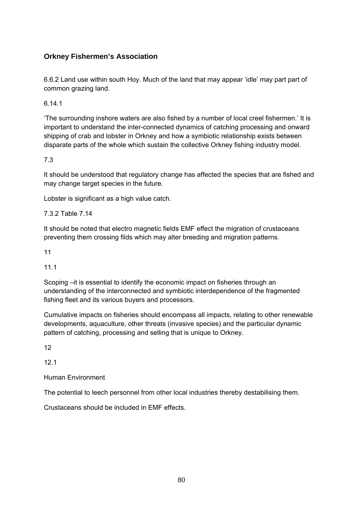# **Orkney Fishermen's Association**

6.6.2 Land use within south Hoy. Much of the land that may appear 'idle' may part part of common grazing land.

6.14.1

'The surrounding inshore waters are also fished by a number of local creel fishermen.' It is important to understand the inter-connected dynamics of catching processing and onward shipping of crab and lobster in Orkney and how a symbiotic relationship exists between disparate parts of the whole which sustain the collective Orkney fishing industry model.

7.3

It should be understood that regulatory change has affected the species that are fished and may change target species in the future.

Lobster is significant as a high value catch.

7.3.2 Table 7.14

It should be noted that electro magnetic fields EMF effect the migration of crustaceans preventing them crossing filds which may alter breeding and migration patterns.

11

11.1

Scoping –it is essential to identify the economic impact on fisheries through an understanding of the interconnected and symbiotic interdependence of the fragmented fishing fleet and its various buyers and processors.

Cumulative impacts on fisheries should encompass all impacts, relating to other renewable developments, aquaculture, other threats (invasive species) and the particular dynamic pattern of catching, processing and selling that is unique to Orkney.

12

12.1

Human Environment

The potential to leech personnel from other local industries thereby destabilising them.

Crustaceans should be included in EMF effects.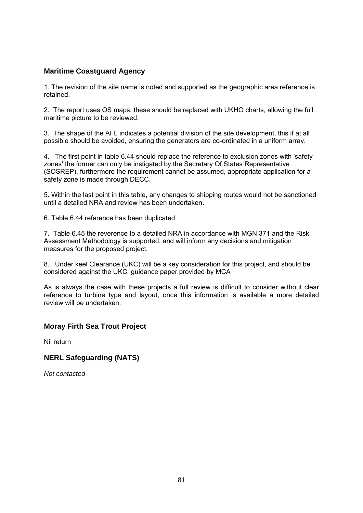# **Maritime Coastguard Agency**

1. The revision of the site name is noted and supported as the geographic area reference is retained.

2. The report uses OS maps, these should be replaced with UKHO charts, allowing the full maritime picture to be reviewed.

3. The shape of the AFL indicates a potential division of the site development, this if at all possible should be avoided, ensuring the generators are co-ordinated in a uniform array.

4. The first point in table 6.44 should replace the reference to exclusion zones with 'safety zones' the former can only be instigated by the Secretary Of States Representative (SOSREP), furthermore the requirement cannot be assumed, appropriate application for a safety zone is made through DECC.

5. Within the last point in this table, any changes to shipping routes would not be sanctioned until a detailed NRA and review has been undertaken.

6. Table 6.44 reference has been duplicated

7. Table 6.45 the reverence to a detailed NRA in accordance with MGN 371 and the Risk Assessment Methodology is supported, and will inform any decisions and mitigation measures for the proposed project.

8. Under keel Clearance (UKC) will be a key consideration for this project, and should be considered against the UKC guidance paper provided by MCA

As is always the case with these projects a full review is difficult to consider without clear reference to turbine type and layout, once this information is available a more detailed review will be undertaken.

# **Moray Firth Sea Trout Project**

Nil return

# **NERL Safeguarding (NATS)**

*Not contacted*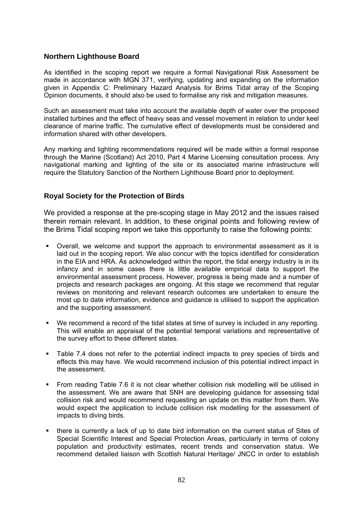# **Northern Lighthouse Board**

As identified in the scoping report we require a formal Navigational Risk Assessment be made in accordance with MGN 371, verifying, updating and expanding on the information given in Appendix C: Preliminary Hazard Analysis for Brims Tidal array of the Scoping Opinion documents, it should also be used to formalise any risk and mitigation measures.

Such an assessment must take into account the available depth of water over the proposed installed turbines and the effect of heavy seas and vessel movement in relation to under keel clearance of marine traffic. The cumulative effect of developments must be considered and information shared with other developers.

Any marking and lighting recommendations required will be made within a formal response through the Marine (Scotland) Act 2010, Part 4 Marine Licensing consultation process. Any navigational marking and lighting of the site or its associated marine infrastructure will require the Statutory Sanction of the Northern Lighthouse Board prior to deployment.

# **Royal Society for the Protection of Birds**

We provided a response at the pre-scoping stage in May 2012 and the issues raised therein remain relevant. In addition, to these original points and following review of the Brims Tidal scoping report we take this opportunity to raise the following points:

- Overall, we welcome and support the approach to environmental assessment as it is laid out in the scoping report. We also concur with the topics identified for consideration in the EIA and HRA. As acknowledged within the report, the tidal energy industry is in its infancy and in some cases there is little available empirical data to support the environmental assessment process. However, progress is being made and a number of projects and research packages are ongoing. At this stage we recommend that regular reviews on monitoring and relevant research outcomes are undertaken to ensure the most up to date information, evidence and guidance is utilised to support the application and the supporting assessment.
- We recommend a record of the tidal states at time of survey is included in any reporting. This will enable an appraisal of the potential temporal variations and representative of the survey effort to these different states.
- Table 7.4 does not refer to the potential indirect impacts to prey species of birds and effects this may have. We would recommend inclusion of this potential indirect impact in the assessment.
- From reading Table 7.6 it is not clear whether collision risk modelling will be utilised in the assessment. We are aware that SNH are developing guidance for assessing tidal collision risk and would recommend requesting an update on this matter from them. We would expect the application to include collision risk modelling for the assessment of impacts to diving birds.
- there is currently a lack of up to date bird information on the current status of Sites of Special Scientific Interest and Special Protection Areas, particularly in terms of colony population and productivity estimates, recent trends and conservation status. We recommend detailed liaison with Scottish Natural Heritage/ JNCC in order to establish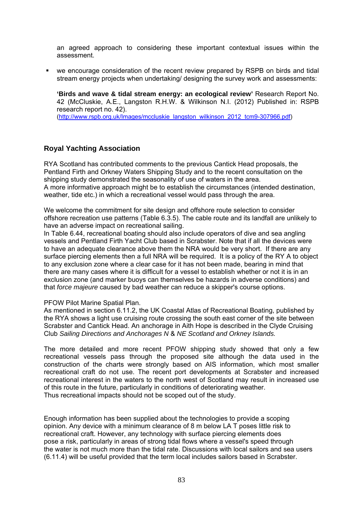an agreed approach to considering these important contextual issues within the assessment.

 we encourage consideration of the recent review prepared by RSPB on birds and tidal stream energy projects when undertaking/ designing the survey work and assessments:

**'Birds and wave & tidal stream energy: an ecological review'** Research Report No. 42 (McCluskie, A.E., Langston R.H.W. & Wilkinson N.I. (2012) Published in: RSPB research report no. 42). (http://www.rspb.org.uk/Images/mccluskie\_langston\_wilkinson\_2012\_tcm9-307966.pdf)

# **Royal Yachting Association**

RYA Scotland has contributed comments to the previous Cantick Head proposals, the Pentland Firth and Orkney Waters Shipping Study and to the recent consultation on the shipping study demonstrated the seasonality of use of waters in the area. A more informative approach might be to establish the circumstances (intended destination, weather, tide etc.) in which a recreational vessel would pass through the area.

We welcome the commitment for site design and offshore route selection to consider offshore recreation use patterns (Table 6.3.5). The cable route and its landfall are unlikely to have an adverse impact on recreational sailing.

In Table 6.44, recreational boating should also include operators of dive and sea angling vessels and Pentland Firth Yacht Club based in Scrabster. Note that if all the devices were to have an adequate clearance above them the NRA would be very short. If there are any surface piercing elements then a full NRA will be required. It is a policy of the RY A to object to any exclusion zone where a clear case for it has not been made, bearing in mind that there are many cases where it is difficult for a vessel to establish whether or not it is in an exclusion zone (and marker buoys can themselves be hazards in adverse conditions) and that *force majeure* caused by bad weather can reduce a skipper's course options.

#### PFOW Pilot Marine Spatial Plan.

As mentioned in section 6.11.2, the UK Coastal Atlas of Recreational Boating, published by the RYA shows a light use cruising route crossing the south east corner of the site between Scrabster and Cantick Head. An anchorage in Aith Hope is described in the Clyde Cruising Club *Sailing Directions and Anchorages N* & *NE Scotland and Orkney Islands.*

The more detailed and more recent PFOW shipping study showed that only a few recreational vessels pass through the proposed site although the data used in the construction of the charts were strongly based on AIS information, which most smaller recreational craft do not use. The recent port developments at Scrabster and increased recreational interest in the waters to the north west of Scotland may result in increased use of this route in the future, particularly in conditions of deteriorating weather. Thus recreational impacts should not be scoped out of the study.

Enough information has been supplied about the technologies to provide a scoping opinion. Any device with a minimum clearance of 8 m below LA T poses little risk to recreational craft. However, any technology with surface piercing elements does pose a risk, particularly in areas of strong tidal flows where a vessel's speed through the water is not much more than the tidal rate. Discussions with local sailors and sea users (6.11.4) will be useful provided that the term local includes sailors based in Scrabster.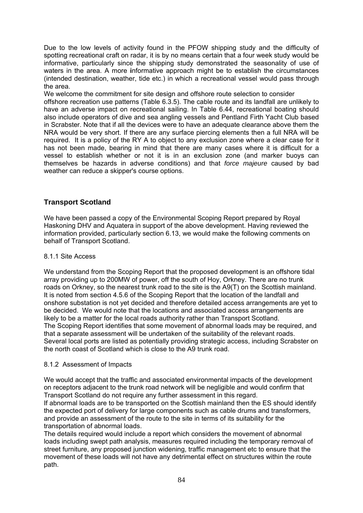Due to the low levels of activity found in the PFOW shipping study and the difficulty of spotting recreational craft on radar, it is by no means certain that a four week study would be informative, particularly since the shipping study demonstrated the seasonality of use of waters in the area. A more **i**nformative approach might be to establish the circumstances (intended destination, weather, tide etc.) in which a recreational vessel would pass through the area.

We welcome the commitment for site design and offshore route selection to consider offshore recreation use patterns (Table 6.3.5). The cable route and its landfall are unlikely to have an adverse impact on recreational sailing. In Table 6.44, recreational boating should also include operators of dive and sea angling vessels and Pentland Firth Yacht Club based in Scrabster. Note that if all the devices were to have an adequate clearance above them the NRA would be very short. If there are any surface piercing elements then a full NRA will be required. It is a policy of the RY A to object to any exclusion zone where a clear case for it has not been made, bearing in mind that there are many cases where it is difficult for a vessel to establish whether or not it is in an exclusion zone (and marker buoys can themselves be hazards in adverse conditions) and that *force majeure* caused by bad weather can reduce a skipper's course options.

# **Transport Scotland**

We have been passed a copy of the Environmental Scoping Report prepared by Royal Haskoning DHV and Aquatera in support of the above development. Having reviewed the information provided, particularly section 6.13, we would make the following comments on behalf of Transport Scotland.

# 8.1.1 Site Access

We understand from the Scoping Report that the proposed development is an offshore tidal array providing up to 200MW of power, off the south of Hoy, Orkney. There are no trunk roads on Orkney, so the nearest trunk road to the site is the A9(T) on the Scottish mainland. It is noted from section 4.5.6 of the Scoping Report that the location of the landfall and onshore substation is not yet decided and therefore detailed access arrangements are yet to be decided. We would note that the locations and associated access arrangements are likely to be a matter for the local roads authority rather than Transport Scotland. The Scoping Report identifies that some movement of abnormal loads may be required, and that a separate assessment will be undertaken of the suitability of the relevant roads. Several local ports are listed as potentially providing strategic access, including Scrabster on the north coast of Scotland which is close to the A9 trunk road.

#### 8.1.2 Assessment of Impacts

We would accept that the traffic and associated environmental impacts of the development on receptors adjacent to the trunk road network will be negligible and would confirm that Transport Scotland do not require any further assessment in this regard.

If abnormal loads are to be transported on the Scottish mainland then the ES should identify the expected port of delivery for large components such as cable drums and transformers, and provide an assessment of the route to the site in terms of its suitability for the transportation of abnormal loads.

The details required would include a report which considers the movement of abnormal loads including swept path analysis, measures required including the temporary removal of street furniture, any proposed junction widening, traffic management etc to ensure that the movement of these loads will not have any detrimental effect on structures within the route path.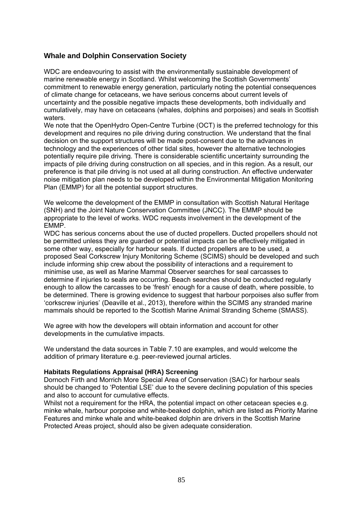# **Whale and Dolphin Conservation Society**

WDC are endeavouring to assist with the environmentally sustainable development of marine renewable energy in Scotland. Whilst welcoming the Scottish Governments' commitment to renewable energy generation, particularly noting the potential consequences of climate change for cetaceans, we have serious concerns about current levels of uncertainty and the possible negative impacts these developments, both individually and cumulatively, may have on cetaceans (whales, dolphins and porpoises) and seals in Scottish waters.

We note that the OpenHydro Open-Centre Turbine (OCT) is the preferred technology for this development and requires no pile driving during construction. We understand that the final decision on the support structures will be made post-consent due to the advances in technology and the experiences of other tidal sites, however the alternative technologies potentially require pile driving. There is considerable scientific uncertainty surrounding the impacts of pile driving during construction on all species, and in this region. As a result, our preference is that pile driving is not used at all during construction. An effective underwater noise mitigation plan needs to be developed within the Environmental Mitigation Monitoring Plan (EMMP) for all the potential support structures.

We welcome the development of the EMMP in consultation with Scottish Natural Heritage (SNH) and the Joint Nature Conservation Committee (JNCC). The EMMP should be appropriate to the level of works. WDC requests involvement in the development of the EMMP.

WDC has serious concerns about the use of ducted propellers. Ducted propellers should not be permitted unless they are guarded or potential impacts can be effectively mitigated in some other way, especially for harbour seals. If ducted propellers are to be used, a proposed Seal Corkscrew Injury Monitoring Scheme (SCIMS) should be developed and such include informing ship crew about the possibility of interactions and a requirement to minimise use, as well as Marine Mammal Observer searches for seal carcasses to determine if injuries to seals are occurring. Beach searches should be conducted regularly enough to allow the carcasses to be 'fresh' enough for a cause of death, where possible, to be determined. There is growing evidence to suggest that harbour porpoises also suffer from 'corkscrew injuries' (Deaville et al., 2013), therefore within the SCIMS any stranded marine mammals should be reported to the Scottish Marine Animal Stranding Scheme (SMASS).

We agree with how the developers will obtain information and account for other developments in the cumulative impacts.

We understand the data sources in Table 7.10 are examples, and would welcome the addition of primary literature e.g. peer-reviewed journal articles.

#### **Habitats Regulations Appraisal (HRA) Screening**

Dornoch Firth and Morrich More Special Area of Conservation (SAC) for harbour seals should be changed to 'Potential LSE' due to the severe declining population of this species and also to account for cumulative effects.

Whilst not a requirement for the HRA, the potential impact on other cetacean species e.g. minke whale, harbour porpoise and white-beaked dolphin, which are listed as Priority Marine Features and minke whale and white-beaked dolphin are drivers in the Scottish Marine Protected Areas project, should also be given adequate consideration.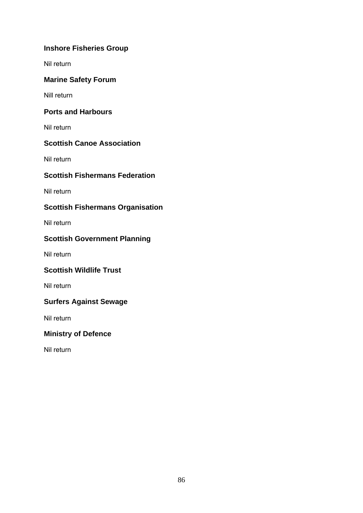# **Inshore Fisheries Group**

Nil return

# **Marine Safety Forum**

Nill return

# **Ports and Harbours**

Nil return

# **Scottish Canoe Association**

Nil return

# **Scottish Fishermans Federation**

Nil return

# **Scottish Fishermans Organisation**

Nil return

# **Scottish Government Planning**

Nil return

# **Scottish Wildlife Trust**

Nil return

# **Surfers Against Sewage**

Nil return

# **Ministry of Defence**

Nil return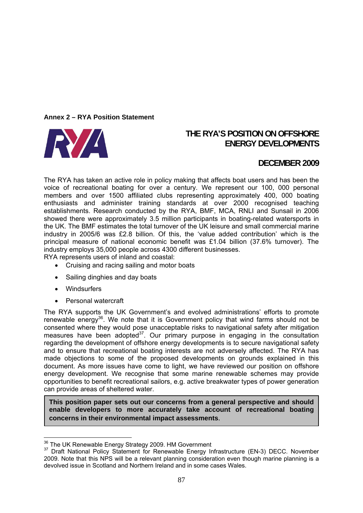#### **Annex 2 – RYA Position Statement**



# **THE RYA'S POSITION ON OFFSHORE ENERGY DEVELOPMENTS**

# **DECEMBER 2009**

The RYA has taken an active role in policy making that affects boat users and has been the voice of recreational boating for over a century. We represent our 100, 000 personal members and over 1500 affiliated clubs representing approximately 400, 000 boating enthusiasts and administer training standards at over 2000 recognised teaching establishments. Research conducted by the RYA, BMF, MCA, RNLI and Sunsail in 2006 showed there were approximately 3.5 million participants in boating-related watersports in the UK. The BMF estimates the total turnover of the UK leisure and small commercial marine industry in 2005/6 was £2.8 billion. Of this, the 'value added contribution' which is the principal measure of national economic benefit was £1.04 billion (37.6% turnover). The industry employs 35,000 people across 4300 different businesses.

RYA represents users of inland and coastal:

- Cruising and racing sailing and motor boats
- Sailing dinghies and day boats
- Windsurfers
- Personal watercraft

The RYA supports the UK Government's and evolved administrations' efforts to promote renewable energy<sup>36</sup>. We note that it is Government policy that wind farms should not be consented where they would pose unacceptable risks to navigational safety after mitigation measures have been adopted $37$ . Our primary purpose in engaging in the consultation regarding the development of offshore energy developments is to secure navigational safety and to ensure that recreational boating interests are not adversely affected. The RYA has made objections to some of the proposed developments on grounds explained in this document. As more issues have come to light, we have reviewed our position on offshore energy development. We recognise that some marine renewable schemes may provide opportunities to benefit recreational sailors, e.g. active breakwater types of power generation can provide areas of sheltered water.

**This position paper sets out our concerns from a general perspective and should enable developers to more accurately take account of recreational boating concerns in their environmental impact assessments**.

<sup>&</sup>lt;sup>36</sup> The UK Renewable Energy Strategy 2009. HM Government

<sup>&</sup>lt;sup>37</sup> Draft National Policy Statement for Renewable Energy Infrastructure (EN-3) DECC. November 2009. Note that this NPS will be a relevant planning consideration even though marine planning is a devolved issue in Scotland and Northern Ireland and in some cases Wales.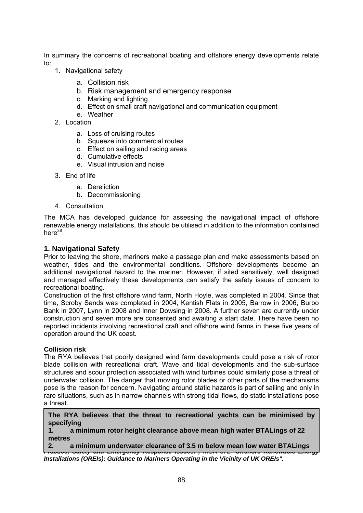In summary the concerns of recreational boating and offshore energy developments relate to:

- 1. Navigational safety
	- a. Collision risk
	- b. Risk management and emergency response
	- c. Marking and lighting
	- d. Effect on small craft navigational and communication equipment
	- e. Weather
- 2. Location
	- a. Loss of cruising routes
	- b. Squeeze into commercial routes
	- c. Effect on sailing and racing areas
	- d. Cumulative effects
	- e. Visual intrusion and noise
- 3. End of life
	- a. Dereliction
	- b. Decommissioning
- 4. Consultation

The MCA has developed guidance for assessing the navigational impact of offshore renewable energy installations, this should be utilised in addition to the information contained here $38$ .

#### **1. Navigational Safety**

Prior to leaving the shore, mariners make a passage plan and make assessments based on weather, tides and the environmental conditions. Offshore developments become an additional navigational hazard to the mariner. However, if sited sensitively, well designed and managed effectively these developments can satisfy the safety issues of concern to recreational boating.

Construction of the first offshore wind farm, North Hoyle, was completed in 2004. Since that time, Scroby Sands was completed in 2004, Kentish Flats in 2005, Barrow in 2006, Burbo Bank in 2007, Lynn in 2008 and Inner Dowsing in 2008. A further seven are currently under construction and seven more are consented and awaiting a start date. There have been no reported incidents involving recreational craft and offshore wind farms in these five years of operation around the UK coast.

#### **Collision risk**

The RYA believes that poorly designed wind farm developments could pose a risk of rotor blade collision with recreational craft. Wave and tidal developments and the sub-surface structures and scour protection associated with wind turbines could similarly pose a threat of underwater collision. The danger that moving rotor blades or other parts of the mechanisms pose is the reason for concern. Navigating around static hazards is part of sailing and only in rare situations, such as in narrow channels with strong tidal flows, do static installations pose a threat.

**The RYA believes that the threat to recreational yachts can be minimised by specifying** 

**1. a minimum rotor height clearance above mean high water BTALings of 22 metres** 

**2.** a minimum underwater clearance of 3.5 m below mean low water BTALings | *Practice, Safety and Emergency Response Issues.",* MGN 372 *"Offshore Renewable Energy* 

*Installations (OREIs): Guidance to Mariners Operating in the Vicinity of UK OREIs".*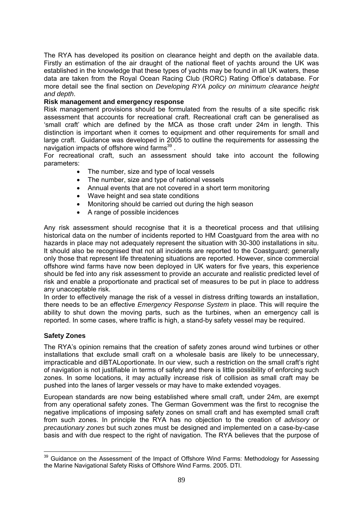The RYA has developed its position on clearance height and depth on the available data. Firstly an estimation of the air draught of the national fleet of yachts around the UK was established in the knowledge that these types of yachts may be found in all UK waters, these data are taken from the Royal Ocean Racing Club (RORC) Rating Office's database. For more detail see the final section on *Developing RYA policy on minimum clearance height and depth*.

#### **Risk management and emergency response**

Risk management provisions should be formulated from the results of a site specific risk assessment that accounts for recreational craft. Recreational craft can be generalised as 'small craft' which are defined by the MCA as those craft under 24m in length. This distinction is important when it comes to equipment and other requirements for small and large craft. Guidance was developed in 2005 to outline the requirements for assessing the navigation impacts of offshore wind farms $39$ .

For recreational craft, such an assessment should take into account the following parameters:

- The number, size and type of local vessels
- The number, size and type of national vessels
- Annual events that are not covered in a short term monitoring
- Wave height and sea state conditions
- Monitoring should be carried out during the high season
- A range of possible incidences

Any risk assessment should recognise that it is a theoretical process and that utilising historical data on the number of incidents reported to HM Coastguard from the area with no hazards in place may not adequately represent the situation with 30-300 installations in situ. It should also be recognised that not all incidents are reported to the Coastguard; generally only those that represent life threatening situations are reported. However, since commercial offshore wind farms have now been deployed in UK waters for five years, this experience should be fed into any risk assessment to provide an accurate and realistic predicted level of risk and enable a proportionate and practical set of measures to be put in place to address any unacceptable risk.

In order to effectively manage the risk of a vessel in distress drifting towards an installation, there needs to be an effective *Emergency Response System* in place. This will require the ability to shut down the moving parts, such as the turbines, when an emergency call is reported. In some cases, where traffic is high, a stand-by safety vessel may be required.

#### **Safety Zones**

The RYA's opinion remains that the creation of safety zones around wind turbines or other installations that exclude small craft on a wholesale basis are likely to be unnecessary, impracticable and diBTALoportionate. In our view, such a restriction on the small craft's right of navigation is not justifiable in terms of safety and there is little possibility of enforcing such zones. In some locations, it may actually increase risk of collision as small craft may be pushed into the lanes of larger vessels or may have to make extended voyages.

European standards are now being established where small craft, under 24m, are exempt from any operational safety zones. The German Government was the first to recognise the negative implications of imposing safety zones on small craft and has exempted small craft from such zones. In principle the RYA has no objection to the creation of *advisory or precautionary zones* but such zones must be designed and implemented on a case-by-case basis and with due respect to the right of navigation. The RYA believes that the purpose of

<sup>&</sup>lt;u>.</u>  $39$  Guidance on the Assessment of the Impact of Offshore Wind Farms: Methodology for Assessing the Marine Navigational Safety Risks of Offshore Wind Farms. 2005. DTI.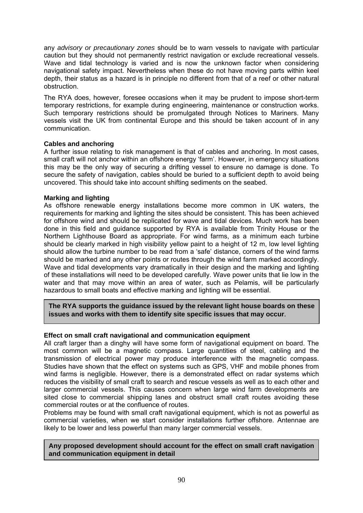any *advisory or precautionary zones* should be to warn vessels to navigate with particular caution but they should not permanently restrict navigation or exclude recreational vessels. Wave and tidal technology is varied and is now the unknown factor when considering navigational safety impact. Nevertheless when these do not have moving parts within keel depth, their status as a hazard is in principle no different from that of a reef or other natural obstruction.

The RYA does, however, foresee occasions when it may be prudent to impose short-term temporary restrictions, for example during engineering, maintenance or construction works. Such temporary restrictions should be promulgated through Notices to Mariners. Many vessels visit the UK from continental Europe and this should be taken account of in any communication.

#### **Cables and anchoring**

A further issue relating to risk management is that of cables and anchoring. In most cases, small craft will not anchor within an offshore energy 'farm'. However, in emergency situations this may be the only way of securing a drifting vessel to ensure no damage is done. To secure the safety of navigation, cables should be buried to a sufficient depth to avoid being uncovered. This should take into account shifting sediments on the seabed.

### **Marking and lighting**

As offshore renewable energy installations become more common in UK waters, the requirements for marking and lighting the sites should be consistent. This has been achieved for offshore wind and should be replicated for wave and tidal devices. Much work has been done in this field and guidance supported by RYA is available from Trinity House or the Northern Lighthouse Board as appropriate. For wind farms, as a minimum each turbine should be clearly marked in high visibility yellow paint to a height of 12 m, low level lighting should allow the turbine number to be read from a 'safe' distance, corners of the wind farms should be marked and any other points or routes through the wind farm marked accordingly. Wave and tidal developments vary dramatically in their design and the marking and lighting of these installations will need to be developed carefully. Wave power units that lie low in the water and that may move within an area of water, such as Pelamis, will be particularly hazardous to small boats and effective marking and lighting will be essential.

**The RYA supports the guidance issued by the relevant light house boards on these issues and works with them to identify site specific issues that may occur**.

# **Effect on small craft navigational and communication equipment**

All craft larger than a dinghy will have some form of navigational equipment on board. The most common will be a magnetic compass. Large quantities of steel, cabling and the transmission of electrical power may produce interference with the magnetic compass. Studies have shown that the effect on systems such as GPS, VHF and mobile phones from wind farms is negligible. However, there is a demonstrated effect on radar systems which reduces the visibility of small craft to search and rescue vessels as well as to each other and larger commercial vessels. This causes concern when large wind farm developments are sited close to commercial shipping lanes and obstruct small craft routes avoiding these commercial routes or at the confluence of routes.

Problems may be found with small craft navigational equipment, which is not as powerful as commercial varieties, when we start consider installations further offshore. Antennae are likely to be lower and less powerful than many larger commercial vessels.

#### **Any proposed development should account for the effect on small craft navigation and communication equipment in detail**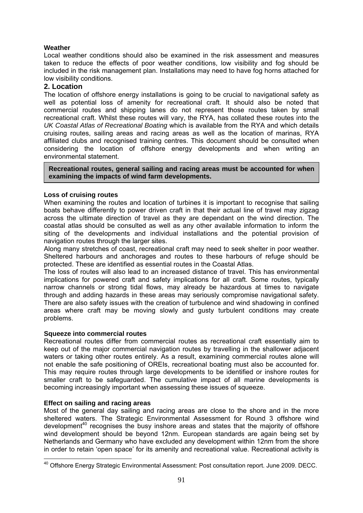### **Weather**

Local weather conditions should also be examined in the risk assessment and measures taken to reduce the effects of poor weather conditions, low visibility and fog should be included in the risk management plan. Installations may need to have fog horns attached for low visibility conditions.

### **2. Location**

The location of offshore energy installations is going to be crucial to navigational safety as well as potential loss of amenity for recreational craft. It should also be noted that commercial routes and shipping lanes do not represent those routes taken by small recreational craft. Whilst these routes will vary, the RYA, has collated these routes into the *UK Coastal Atlas of Recreational Boating* which is available from the RYA and which details cruising routes, sailing areas and racing areas as well as the location of marinas, RYA affiliated clubs and recognised training centres. This document should be consulted when considering the location of offshore energy developments and when writing an environmental statement.

**Recreational routes, general sailing and racing areas must be accounted for when examining the impacts of wind farm developments.** 

#### **Loss of cruising routes**

When examining the routes and location of turbines it is important to recognise that sailing boats behave differently to power driven craft in that their actual line of travel may zigzag across the ultimate direction of travel as they are dependant on the wind direction. The coastal atlas should be consulted as well as any other available information to inform the siting of the developments and individual installations and the potential provision of navigation routes through the larger sites.

Along many stretches of coast, recreational craft may need to seek shelter in poor weather. Sheltered harbours and anchorages and routes to these harbours of refuge should be protected. These are identified as essential routes in the Coastal Atlas.

The loss of routes will also lead to an increased distance of travel. This has environmental implications for powered craft and safety implications for all craft. Some routes, typically narrow channels or strong tidal flows, may already be hazardous at times to navigate through and adding hazards in these areas may seriously compromise navigational safety. There are also safety issues with the creation of turbulence and wind shadowing in confined areas where craft may be moving slowly and gusty turbulent conditions may create problems.

#### **Squeeze into commercial routes**

Recreational routes differ from commercial routes as recreational craft essentially aim to keep out of the major commercial navigation routes by travelling in the shallower adjacent waters or taking other routes entirely. As a result, examining commercial routes alone will not enable the safe positioning of OREIs, recreational boating must also be accounted for. This may require routes through large developments to be identified or inshore routes for smaller craft to be safeguarded. The cumulative impact of all marine developments is becoming increasingly important when assessing these issues of squeeze.

#### **Effect on sailing and racing areas**

Most of the general day sailing and racing areas are close to the shore and in the more sheltered waters. The Strategic Environmental Assessment for Round 3 offshore wind development<sup>40</sup> recognises the busy inshore areas and states that the majority of offshore wind development should be beyond 12nm. European standards are again being set by Netherlands and Germany who have excluded any development within 12nm from the shore in order to retain 'open space' for its amenity and recreational value. Recreational activity is

<sup>1</sup> <sup>40</sup> Offshore Energy Strategic Environmental Assessment: Post consultation report. June 2009. DECC.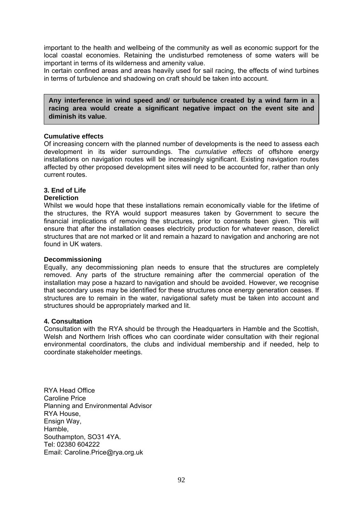important to the health and wellbeing of the community as well as economic support for the local coastal economies. Retaining the undisturbed remoteness of some waters will be important in terms of its wilderness and amenity value.

In certain confined areas and areas heavily used for sail racing, the effects of wind turbines in terms of turbulence and shadowing on craft should be taken into account.

**Any interference in wind speed and/ or turbulence created by a wind farm in a racing area would create a significant negative impact on the event site and diminish its value**.

#### **Cumulative effects**

Of increasing concern with the planned number of developments is the need to assess each development in its wider surroundings. The *cumulative effects* of offshore energy installations on navigation routes will be increasingly significant. Existing navigation routes affected by other proposed development sites will need to be accounted for, rather than only current routes.

#### **3. End of Life Dereliction**

Whilst we would hope that these installations remain economically viable for the lifetime of the structures, the RYA would support measures taken by Government to secure the financial implications of removing the structures, prior to consents been given. This will ensure that after the installation ceases electricity production for whatever reason, derelict structures that are not marked or lit and remain a hazard to navigation and anchoring are not found in UK waters.

#### **Decommissioning**

Equally, any decommissioning plan needs to ensure that the structures are completely removed. Any parts of the structure remaining after the commercial operation of the installation may pose a hazard to navigation and should be avoided. However, we recognise that secondary uses may be identified for these structures once energy generation ceases. If structures are to remain in the water, navigational safety must be taken into account and structures should be appropriately marked and lit.

#### **4. Consultation**

Consultation with the RYA should be through the Headquarters in Hamble and the Scottish, Welsh and Northern Irish offices who can coordinate wider consultation with their regional environmental coordinators, the clubs and individual membership and if needed, help to coordinate stakeholder meetings.

RYA Head Office Caroline Price Planning and Environmental Advisor RYA House, Ensign Way, Hamble, Southampton, SO31 4YA. Tel: 02380 604222 Email: Caroline.Price@rya.org.uk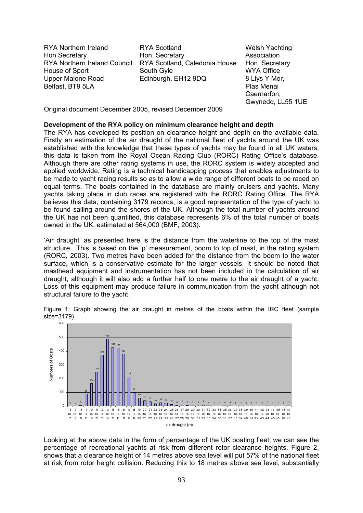RYA Northern Ireland Hon Secretary RYA Northern Ireland Council House of Sport Upper Malone Road Belfast, BT9 5LA

RYA Scotland Hon. Secretary RYA Scotland, Caledonia House South Gyle Edinburgh, EH12 9DQ

Welsh Yachting Association Hon. Secretary WYA Office 8 Llys Y Mor, Plas Menai Caernarfon, Gwynedd, LL55 1UE

Original document December 2005, revised December 2009

#### **Development of the RYA policy on minimum clearance height and depth**

The RYA has developed its position on clearance height and depth on the available data. Firstly an estimation of the air draught of the national fleet of yachts around the UK was established with the knowledge that these types of yachts may be found in all UK waters, this data is taken from the Royal Ocean Racing Club (RORC) Rating Office's database. Although there are other rating systems in use, the RORC system is widely accepted and applied worldwide. Rating is a technical handicapping process that enables adjustments to be made to yacht racing results so as to allow a wide range of different boats to be raced on equal terms. The boats contained in the database are mainly cruisers and yachts. Many yachts taking place in club races are registered with the RORC Rating Office. The RYA believes this data, containing 3179 records, is a good representation of the type of yacht to be found sailing around the shores of the UK. Although the total number of yachts around the UK has not been quantified, this database represents 6% of the total number of boats owned in the UK, estimated at 564,000 (BMF, 2003).

'Air draught' as presented here is the distance from the waterline to the top of the mast structure. This is based on the 'p' measurement, boom to top of mast, in the rating system (RORC, 2003). Two metres have been added for the distance from the boom to the water surface, which is a conservative estimate for the larger vessels. It should be noted that masthead equipment and instrumentation has not been included in the calculation of air draught, although it will also add a further half to one metre to the air draught of a yacht. Loss of this equipment may produce failure in communication from the yacht although not structural failure to the yacht.

Figure 1: Graph showing the air draught in metres of the boats within the IRC fleet (sample size=3179)



Looking at the above data in the form of percentage of the UK boating fleet, we can see the percentage of recreational yachts at risk from different rotor clearance heights. Figure 2, shows that a clearance height of 14 metres above sea level will put 57% of the national fleet at risk from rotor height collision. Reducing this to 18 metres above sea level, substantially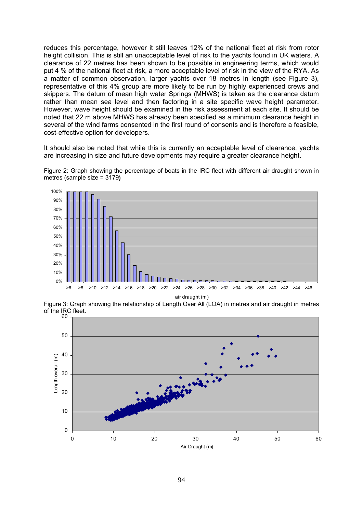reduces this percentage, however it still leaves 12% of the national fleet at risk from rotor height collision. This is still an unacceptable level of risk to the yachts found in UK waters. A clearance of 22 metres has been shown to be possible in engineering terms, which would put 4 % of the national fleet at risk, a more acceptable level of risk in the view of the RYA. As a matter of common observation, larger yachts over 18 metres in length (see Figure 3), representative of this 4% group are more likely to be run by highly experienced crews and skippers. The datum of mean high water Springs (MHWS) is taken as the clearance datum rather than mean sea level and then factoring in a site specific wave height parameter. However, wave height should be examined in the risk assessment at each site. It should be noted that 22 m above MHWS has already been specified as a minimum clearance height in several of the wind farms consented in the first round of consents and is therefore a feasible, cost-effective option for developers.

It should also be noted that while this is currently an acceptable level of clearance, yachts are increasing in size and future developments may require a greater clearance height.





Figure 3: Graph showing the relationship of Length Over All (LOA) in metres and air draught in metres of the IRC fleet.

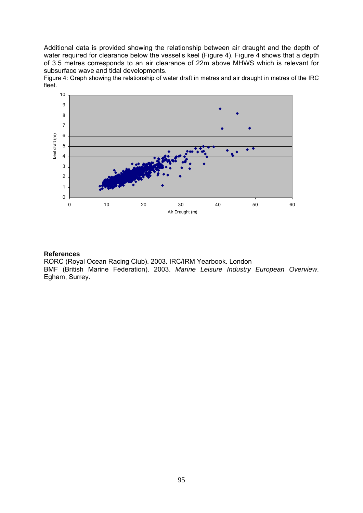Additional data is provided showing the relationship between air draught and the depth of water required for clearance below the vessel's keel (Figure 4). Figure 4 shows that a depth of 3.5 metres corresponds to an air clearance of 22m above MHWS which is relevant for subsurface wave and tidal developments.

Figure 4: Graph showing the relationship of water draft in metres and air draught in metres of the IRC fleet.



#### **References**

RORC (Royal Ocean Racing Club). 2003. IRC/IRM Yearbook. London BMF (British Marine Federation). 2003. *Marine Leisure Industry European Overview*. Egham, Surrey.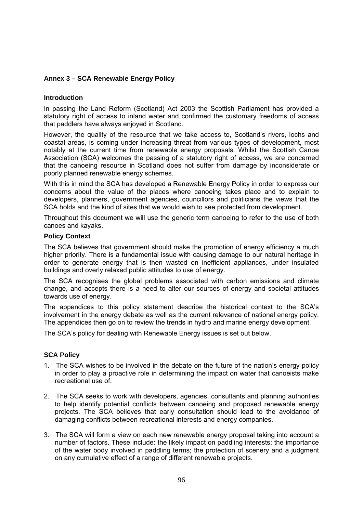#### **Annex 3 – SCA Renewable Energy Policy**

#### **Introduction**

In passing the Land Reform (Scotland) Act 2003 the Scottish Parliament has provided a statutory right of access to inland water and confirmed the customary freedoms of access that paddlers have always enjoyed in Scotland.

However, the quality of the resource that we take access to, Scotland's rivers, lochs and coastal areas, is coming under increasing threat from various types of development, most notably at the current time from renewable energy proposals. Whilst the Scottish Canoe Association (SCA) welcomes the passing of a statutory right of access, we are concerned that the canoeing resource in Scotland does not suffer from damage by inconsiderate or poorly planned renewable energy schemes.

With this in mind the SCA has developed a Renewable Energy Policy in order to express our concerns about the value of the places where canoeing takes place and to explain to developers, planners, government agencies, councillors and politicians the views that the SCA holds and the kind of sites that we would wish to see protected from development.

Throughout this document we will use the generic term canoeing to refer to the use of both canoes and kayaks.

#### **Policy Context**

The SCA believes that government should make the promotion of energy efficiency a much higher priority. There is a fundamental issue with causing damage to our natural heritage in order to generate energy that is then wasted on inefficient appliances, under insulated buildings and overly relaxed public attitudes to use of energy.

The SCA recognises the global problems associated with carbon emissions and climate change, and accepts there is a need to alter our sources of energy and societal attitudes towards use of energy.

The appendices to this policy statement describe the historical context to the SCA's involvement in the energy debate as well as the current relevance of national energy policy. The appendices then go on to review the trends in hydro and marine energy development.

The SCA's policy for dealing with Renewable Energy issues is set out below.

#### **SCA Policy**

- 1. The SCA wishes to be involved in the debate on the future of the nation's energy policy in order to play a proactive role in determining the impact on water that canoeists make recreational use of.
- 2. The SCA seeks to work with developers, agencies, consultants and planning authorities to help identify potential conflicts between canoeing and proposed renewable energy projects. The SCA believes that early consultation should lead to the avoidance of damaging conflicts between recreational interests and energy companies.
- 3. The SCA will form a view on each new renewable energy proposal taking into account a number of factors. These include: the likely impact on paddling interests; the importance of the water body involved in paddling terms; the protection of scenery and a judgment on any cumulative effect of a range of different renewable projects.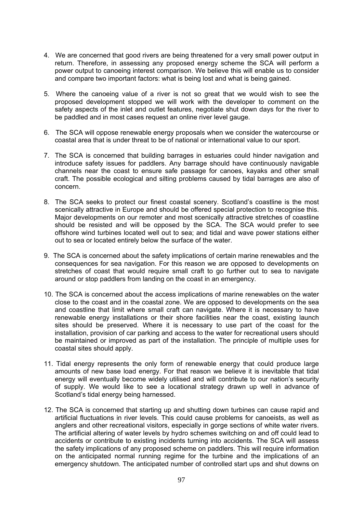- 4. We are concerned that good rivers are being threatened for a very small power output in return. Therefore, in assessing any proposed energy scheme the SCA will perform a power output to canoeing interest comparison. We believe this will enable us to consider and compare two important factors: what is being lost and what is being gained.
- 5. Where the canoeing value of a river is not so great that we would wish to see the proposed development stopped we will work with the developer to comment on the safety aspects of the inlet and outlet features, negotiate shut down days for the river to be paddled and in most cases request an online river level gauge.
- 6. The SCA will oppose renewable energy proposals when we consider the watercourse or coastal area that is under threat to be of national or international value to our sport.
- 7. The SCA is concerned that building barrages in estuaries could hinder navigation and introduce safety issues for paddlers. Any barrage should have continuously navigable channels near the coast to ensure safe passage for canoes, kayaks and other small craft. The possible ecological and silting problems caused by tidal barrages are also of concern.
- 8. The SCA seeks to protect our finest coastal scenery. Scotland's coastline is the most scenically attractive in Europe and should be offered special protection to recognise this. Major developments on our remoter and most scenically attractive stretches of coastline should be resisted and will be opposed by the SCA. The SCA would prefer to see offshore wind turbines located well out to sea; and tidal and wave power stations either out to sea or located entirely below the surface of the water.
- 9. The SCA is concerned about the safety implications of certain marine renewables and the consequences for sea navigation. For this reason we are opposed to developments on stretches of coast that would require small craft to go further out to sea to navigate around or stop paddlers from landing on the coast in an emergency.
- 10. The SCA is concerned about the access implications of marine renewables on the water close to the coast and in the coastal zone. We are opposed to developments on the sea and coastline that limit where small craft can navigate. Where it is necessary to have renewable energy installations or their shore facilities near the coast, existing launch sites should be preserved. Where it is necessary to use part of the coast for the installation, provision of car parking and access to the water for recreational users should be maintained or improved as part of the installation. The principle of multiple uses for coastal sites should apply.
- 11. Tidal energy represents the only form of renewable energy that could produce large amounts of new base load energy. For that reason we believe it is inevitable that tidal energy will eventually become widely utilised and will contribute to our nation's security of supply. We would like to see a locational strategy drawn up well in advance of Scotland's tidal energy being harnessed.
- 12. The SCA is concerned that starting up and shutting down turbines can cause rapid and artificial fluctuations in river levels. This could cause problems for canoeists, as well as anglers and other recreational visitors, especially in gorge sections of white water rivers. The artificial altering of water levels by hydro schemes switching on and off could lead to accidents or contribute to existing incidents turning into accidents. The SCA will assess the safety implications of any proposed scheme on paddlers. This will require information on the anticipated normal running regime for the turbine and the implications of an emergency shutdown. The anticipated number of controlled start ups and shut downs on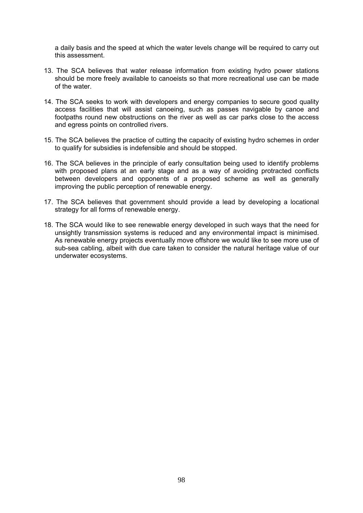a daily basis and the speed at which the water levels change will be required to carry out this assessment.

- 13. The SCA believes that water release information from existing hydro power stations should be more freely available to canoeists so that more recreational use can be made of the water.
- 14. The SCA seeks to work with developers and energy companies to secure good quality access facilities that will assist canoeing, such as passes navigable by canoe and footpaths round new obstructions on the river as well as car parks close to the access and egress points on controlled rivers.
- 15. The SCA believes the practice of cutting the capacity of existing hydro schemes in order to qualify for subsidies is indefensible and should be stopped.
- 16. The SCA believes in the principle of early consultation being used to identify problems with proposed plans at an early stage and as a way of avoiding protracted conflicts between developers and opponents of a proposed scheme as well as generally improving the public perception of renewable energy.
- 17. The SCA believes that government should provide a lead by developing a locational strategy for all forms of renewable energy.
- 18. The SCA would like to see renewable energy developed in such ways that the need for unsightly transmission systems is reduced and any environmental impact is minimised. As renewable energy projects eventually move offshore we would like to see more use of sub-sea cabling, albeit with due care taken to consider the natural heritage value of our underwater ecosystems.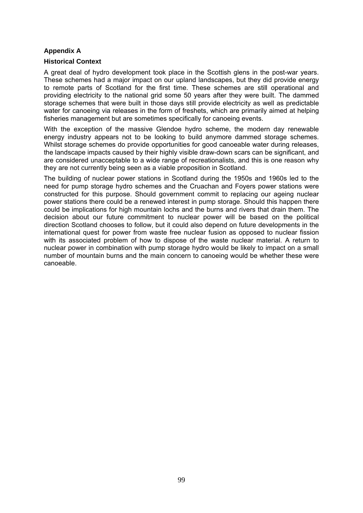#### **Appendix A**

#### **Historical Context**

A great deal of hydro development took place in the Scottish glens in the post-war years. These schemes had a major impact on our upland landscapes, but they did provide energy to remote parts of Scotland for the first time. These schemes are still operational and providing electricity to the national grid some 50 years after they were built. The dammed storage schemes that were built in those days still provide electricity as well as predictable water for canoeing via releases in the form of freshets, which are primarily aimed at helping fisheries management but are sometimes specifically for canoeing events.

With the exception of the massive Glendoe hydro scheme, the modern day renewable energy industry appears not to be looking to build anymore dammed storage schemes. Whilst storage schemes do provide opportunities for good canoeable water during releases, the landscape impacts caused by their highly visible draw-down scars can be significant, and are considered unacceptable to a wide range of recreationalists, and this is one reason why they are not currently being seen as a viable proposition in Scotland.

The building of nuclear power stations in Scotland during the 1950s and 1960s led to the need for pump storage hydro schemes and the Cruachan and Foyers power stations were constructed for this purpose. Should government commit to replacing our ageing nuclear power stations there could be a renewed interest in pump storage. Should this happen there could be implications for high mountain lochs and the burns and rivers that drain them. The decision about our future commitment to nuclear power will be based on the political direction Scotland chooses to follow, but it could also depend on future developments in the international quest for power from waste free nuclear fusion as opposed to nuclear fission with its associated problem of how to dispose of the waste nuclear material. A return to nuclear power in combination with pump storage hydro would be likely to impact on a small number of mountain burns and the main concern to canoeing would be whether these were canoeable.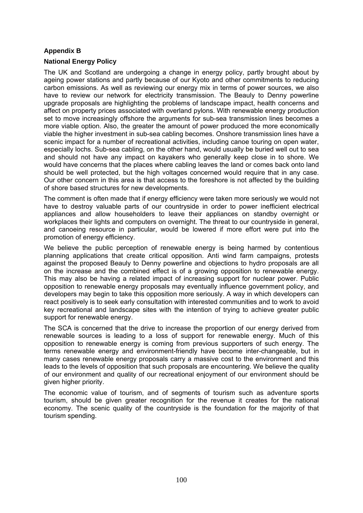#### **Appendix B**

#### **National Energy Policy**

The UK and Scotland are undergoing a change in energy policy, partly brought about by ageing power stations and partly because of our Kyoto and other commitments to reducing carbon emissions. As well as reviewing our energy mix in terms of power sources, we also have to review our network for electricity transmission. The Beauly to Denny powerline upgrade proposals are highlighting the problems of landscape impact, health concerns and affect on property prices associated with overland pylons. With renewable energy production set to move increasingly offshore the arguments for sub-sea transmission lines becomes a more viable option. Also, the greater the amount of power produced the more economically viable the higher investment in sub-sea cabling becomes. Onshore transmission lines have a scenic impact for a number of recreational activities, including canoe touring on open water, especially lochs. Sub-sea cabling, on the other hand, would usually be buried well out to sea and should not have any impact on kayakers who generally keep close in to shore. We would have concerns that the places where cabling leaves the land or comes back onto land should be well protected, but the high voltages concerned would require that in any case. Our other concern in this area is that access to the foreshore is not affected by the building of shore based structures for new developments.

The comment is often made that if energy efficiency were taken more seriously we would not have to destroy valuable parts of our countryside in order to power inefficient electrical appliances and allow householders to leave their appliances on standby overnight or workplaces their lights and computers on overnight. The threat to our countryside in general, and canoeing resource in particular, would be lowered if more effort were put into the promotion of energy efficiency.

We believe the public perception of renewable energy is being harmed by contentious planning applications that create critical opposition. Anti wind farm campaigns, protests against the proposed Beauly to Denny powerline and objections to hydro proposals are all on the increase and the combined effect is of a growing opposition to renewable energy. This may also be having a related impact of increasing support for nuclear power. Public opposition to renewable energy proposals may eventually influence government policy, and developers may begin to take this opposition more seriously. A way in which developers can react positively is to seek early consultation with interested communities and to work to avoid key recreational and landscape sites with the intention of trying to achieve greater public support for renewable energy.

The SCA is concerned that the drive to increase the proportion of our energy derived from renewable sources is leading to a loss of support for renewable energy. Much of this opposition to renewable energy is coming from previous supporters of such energy. The terms renewable energy and environment-friendly have become inter-changeable, but in many cases renewable energy proposals carry a massive cost to the environment and this leads to the levels of opposition that such proposals are encountering. We believe the quality of our environment and quality of our recreational enjoyment of our environment should be given higher priority.

The economic value of tourism, and of segments of tourism such as adventure sports tourism, should be given greater recognition for the revenue it creates for the national economy. The scenic quality of the countryside is the foundation for the majority of that tourism spending.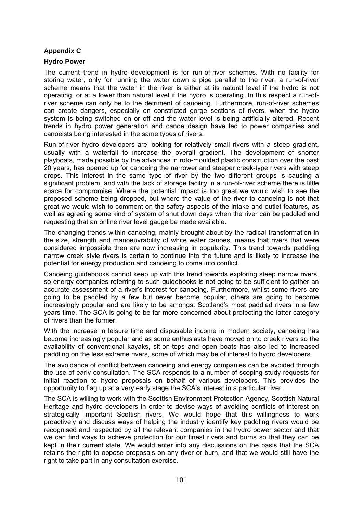#### **Appendix C**

#### **Hydro Power**

The current trend in hydro development is for run-of-river schemes. With no facility for storing water, only for running the water down a pipe parallel to the river, a run-of-river scheme means that the water in the river is either at its natural level if the hydro is not operating, or at a lower than natural level if the hydro is operating. In this respect a run-ofriver scheme can only be to the detriment of canoeing. Furthermore, run-of-river schemes can create dangers, especially on constricted gorge sections of rivers, when the hydro system is being switched on or off and the water level is being artificially altered. Recent trends in hydro power generation and canoe design have led to power companies and canoeists being interested in the same types of rivers.

Run-of-river hydro developers are looking for relatively small rivers with a steep gradient, usually with a waterfall to increase the overall gradient. The development of shorter playboats, made possible by the advances in roto-moulded plastic construction over the past 20 years, has opened up for canoeing the narrower and steeper creek-type rivers with steep drops. This interest in the same type of river by the two different groups is causing a significant problem, and with the lack of storage facility in a run-of-river scheme there is little space for compromise. Where the potential impact is too great we would wish to see the proposed scheme being dropped, but where the value of the river to canoeing is not that great we would wish to comment on the safety aspects of the intake and outlet features, as well as agreeing some kind of system of shut down days when the river can be paddled and requesting that an online river level gauge be made available.

The changing trends within canoeing, mainly brought about by the radical transformation in the size, strength and manoeuvrability of white water canoes, means that rivers that were considered impossible then are now increasing in popularity. This trend towards paddling narrow creek style rivers is certain to continue into the future and is likely to increase the potential for energy production and canoeing to come into conflict.

Canoeing guidebooks cannot keep up with this trend towards exploring steep narrow rivers, so energy companies referring to such guidebooks is not going to be sufficient to gather an accurate assessment of a river's interest for canoeing. Furthermore, whilst some rivers are going to be paddled by a few but never become popular, others are going to become increasingly popular and are likely to be amongst Scotland's most paddled rivers in a few years time. The SCA is going to be far more concerned about protecting the latter category of rivers than the former.

With the increase in leisure time and disposable income in modern society, canoeing has become increasingly popular and as some enthusiasts have moved on to creek rivers so the availability of conventional kayaks, sit-on-tops and open boats has also led to increased paddling on the less extreme rivers, some of which may be of interest to hydro developers.

The avoidance of conflict between canoeing and energy companies can be avoided through the use of early consultation. The SCA responds to a number of scoping study requests for initial reaction to hydro proposals on behalf of various developers. This provides the opportunity to flag up at a very early stage the SCA's interest in a particular river.

The SCA is willing to work with the Scottish Environment Protection Agency, Scottish Natural Heritage and hydro developers in order to devise ways of avoiding conflicts of interest on strategically important Scottish rivers. We would hope that this willingness to work proactively and discuss ways of helping the industry identify key paddling rivers would be recognised and respected by all the relevant companies in the hydro power sector and that we can find ways to achieve protection for our finest rivers and burns so that they can be kept in their current state. We would enter into any discussions on the basis that the SCA retains the right to oppose proposals on any river or burn, and that we would still have the right to take part in any consultation exercise.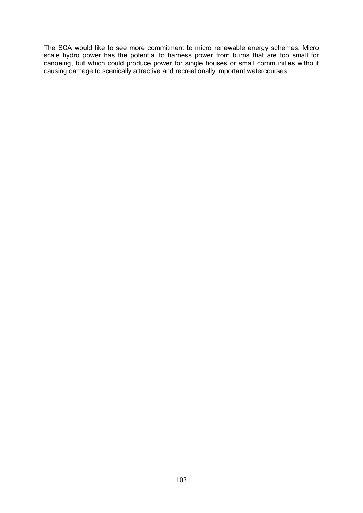The SCA would like to see more commitment to micro renewable energy schemes. Micro scale hydro power has the potential to harness power from burns that are too small for canoeing, but which could produce power for single houses or small communities without causing damage to scenically attractive and recreationally important watercourses.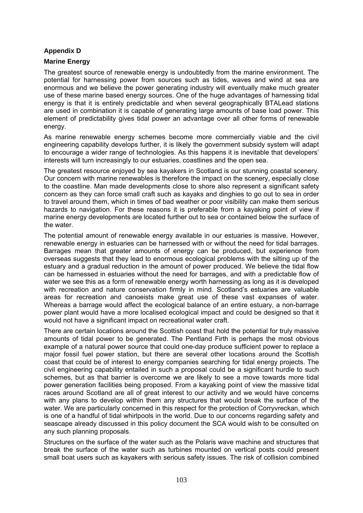#### **Appendix D**

### **Marine Energy**

The greatest source of renewable energy is undoubtedly from the marine environment. The potential for harnessing power from sources such as tides, waves and wind at sea are enormous and we believe the power generating industry will eventually make much greater use of these marine based energy sources. One of the huge advantages of harnessing tidal energy is that it is entirely predictable and when several geographically BTALead stations are used in combination it is capable of generating large amounts of base load power. This element of predictability gives tidal power an advantage over all other forms of renewable energy.

As marine renewable energy schemes become more commercially viable and the civil engineering capability develops further, it is likely the government subsidy system will adapt to encourage a wider range of technologies. As this happens it is inevitable that developers' interests will turn increasingly to our estuaries, coastlines and the open sea.

The greatest resource enjoyed by sea kayakers in Scotland is our stunning coastal scenery. Our concern with marine renewables is therefore the impact on the scenery, especially close to the coastline. Man made developments close to shore also represent a significant safety concern as they can force small craft such as kayaks and dinghies to go out to sea in order to travel around them, which in times of bad weather or poor visibility can make them serious hazards to navigation. For these reasons it is preferable from a kayaking point of view if marine energy developments are located further out to sea or contained below the surface of the water.

The potential amount of renewable energy available in our estuaries is massive. However, renewable energy in estuaries can be harnessed with or without the need for tidal barrages. Barrages mean that greater amounts of energy can be produced, but experience from overseas suggests that they lead to enormous ecological problems with the silting up of the estuary and a gradual reduction in the amount of power produced. We believe the tidal flow can be harnessed in estuaries without the need for barrages, and with a predictable flow of water we see this as a form of renewable energy worth harnessing as long as it is developed with recreation and nature conservation firmly in mind. Scotland's estuaries are valuable areas for recreation and canoeists make great use of these vast expanses of water. Whereas a barrage would affect the ecological balance of an entire estuary, a non-barrage power plant would have a more localised ecological impact and could be designed so that it would not have a significant impact on recreational water craft.

There are certain locations around the Scottish coast that hold the potential for truly massive amounts of tidal power to be generated. The Pentland Firth is perhaps the most obvious example of a natural power source that could one-day produce sufficient power to replace a major fossil fuel power station, but there are several other locations around the Scottish coast that could be of interest to energy companies searching for tidal energy projects. The civil engineering capability entailed in such a proposal could be a significant hurdle to such schemes, but as that barrier is overcome we are likely to see a move towards more tidal power generation facilities being proposed. From a kayaking point of view the massive tidal races around Scotland are all of great interest to our activity and we would have concerns with any plans to develop within them any structures that would break the surface of the water. We are particularly concerned in this respect for the protection of Corryvreckan, which is one of a handful of tidal whirlpools in the world. Due to our concerns regarding safety and seascape already discussed in this policy document the SCA would wish to be consulted on any such planning proposals.

Structures on the surface of the water such as the Polaris wave machine and structures that break the surface of the water such as turbines mounted on vertical posts could present small boat users such as kayakers with serious safety issues. The risk of collision combined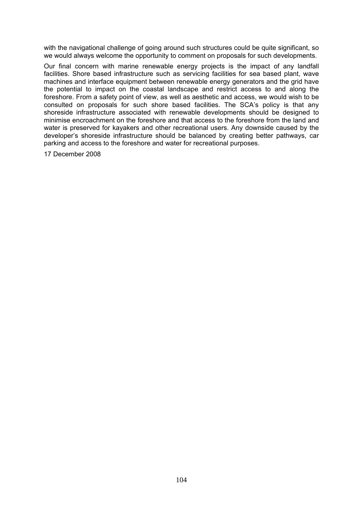with the navigational challenge of going around such structures could be quite significant, so we would always welcome the opportunity to comment on proposals for such developments.

Our final concern with marine renewable energy projects is the impact of any landfall facilities. Shore based infrastructure such as servicing facilities for sea based plant, wave machines and interface equipment between renewable energy generators and the grid have the potential to impact on the coastal landscape and restrict access to and along the foreshore. From a safety point of view, as well as aesthetic and access, we would wish to be consulted on proposals for such shore based facilities. The SCA's policy is that any shoreside infrastructure associated with renewable developments should be designed to minimise encroachment on the foreshore and that access to the foreshore from the land and water is preserved for kayakers and other recreational users. Any downside caused by the developer's shoreside infrastructure should be balanced by creating better pathways, car parking and access to the foreshore and water for recreational purposes.

17 December 2008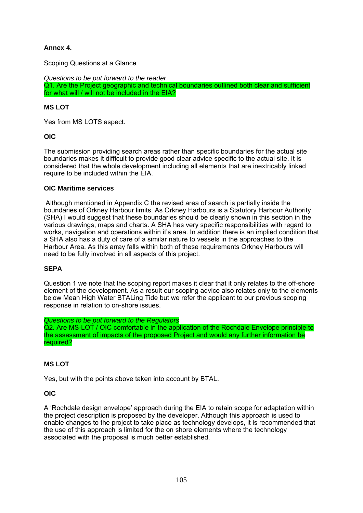# **Annex 4.**

Scoping Questions at a Glance

*Questions to be put forward to the reader*  Q1. Are the Project geographic and technical boundaries outlined both clear and sufficient for what will / will not be included in the EIA?

#### **MS LOT**

Yes from MS LOTS aspect.

#### **OIC**

The submission providing search areas rather than specific boundaries for the actual site boundaries makes it difficult to provide good clear advice specific to the actual site. It is considered that the whole development including all elements that are inextricably linked require to be included within the EIA.

#### **OIC Maritime services**

 Although mentioned in Appendix C the revised area of search is partially inside the boundaries of Orkney Harbour limits. As Orkney Harbours is a Statutory Harbour Authority (SHA) I would suggest that these boundaries should be clearly shown in this section in the various drawings, maps and charts. A SHA has very specific responsibilities with regard to works, navigation and operations within it's area. In addition there is an implied condition that a SHA also has a duty of care of a similar nature to vessels in the approaches to the Harbour Area. As this array falls within both of these requirements Orkney Harbours will need to be fully involved in all aspects of this project.

#### **SEPA**

Question 1 we note that the scoping report makes it clear that it only relates to the off-shore element of the development. As a result our scoping advice also relates only to the elements below Mean High Water BTALing Tide but we refer the applicant to our previous scoping response in relation to on-shore issues.

*Questions to be put forward to the Regulators* 

Q2. Are MS-LOT / OIC comfortable in the application of the Rochdale Envelope principle to the assessment of impacts of the proposed Project and would any further information be required?

#### **MS LOT**

Yes, but with the points above taken into account by BTAL.

#### **OIC**

A 'Rochdale design envelope' approach during the EIA to retain scope for adaptation within the project description is proposed by the developer. Although this approach is used to enable changes to the project to take place as technology develops, it is recommended that the use of this approach is limited for the on shore elements where the technology associated with the proposal is much better established.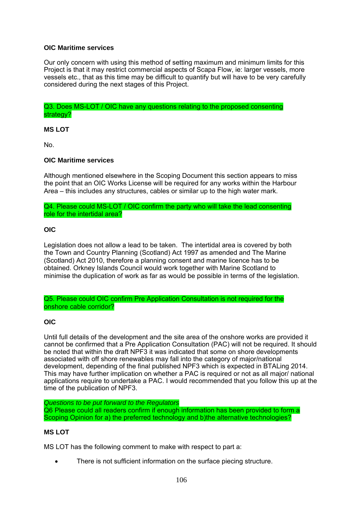#### **OIC Maritime services**

Our only concern with using this method of setting maximum and minimum limits for this Project is that it may restrict commercial aspects of Scapa Flow, ie: larger vessels, more vessels etc., that as this time may be difficult to quantify but will have to be very carefully considered during the next stages of this Project.

Q3. Does MS-LOT / OIC have any questions relating to the proposed consenting strategy?

**MS LOT** 

No.

#### **OIC Maritime services**

Although mentioned elsewhere in the Scoping Document this section appears to miss the point that an OIC Works License will be required for any works within the Harbour Area – this includes any structures, cables or similar up to the high water mark.

Q4. Please could MS-LOT / OIC confirm the party who will take the lead consenting role for the intertidal area?

#### **OIC**

Legislation does not allow a lead to be taken. The intertidal area is covered by both the Town and Country Planning (Scotland) Act 1997 as amended and The Marine (Scotland) Act 2010, therefore a planning consent and marine licence has to be obtained. Orkney Islands Council would work together with Marine Scotland to minimise the duplication of work as far as would be possible in terms of the legislation.

Q5. Please could OIC confirm Pre Application Consultation is not required for the onshore cable corridor?

#### **OIC**

Until full details of the development and the site area of the onshore works are provided it cannot be confirmed that a Pre Application Consultation (PAC) will not be required. It should be noted that within the draft NPF3 it was indicated that some on shore developments associated with off shore renewables may fall into the category of major/national development, depending of the final published NPF3 which is expected in BTALing 2014. This may have further implication on whether a PAC is required or not as all major/ national applications require to undertake a PAC. I would recommended that you follow this up at the time of the publication of NPF3.

*Questions to be put forward to the Regulators*  Q6 Please could all readers confirm if enough information has been provided to form a Scoping Opinion for a) the preferred technology and b)the alternative technologies?

#### **MS LOT**

MS LOT has the following comment to make with respect to part a:

There is not sufficient information on the surface piecing structure.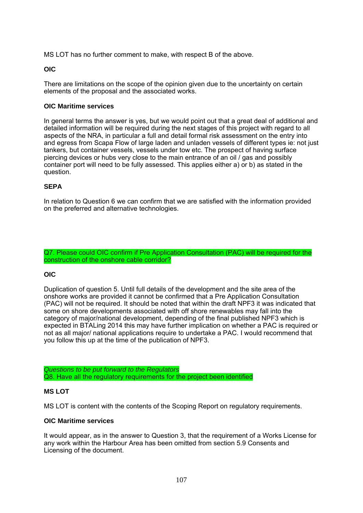MS LOT has no further comment to make, with respect B of the above.

#### **OIC**

There are limitations on the scope of the opinion given due to the uncertainty on certain elements of the proposal and the associated works.

#### **OIC Maritime services**

In general terms the answer is yes, but we would point out that a great deal of additional and detailed information will be required during the next stages of this project with regard to all aspects of the NRA, in particular a full and detail formal risk assessment on the entry into and egress from Scapa Flow of large laden and unladen vessels of different types ie: not just tankers, but container vessels, vessels under tow etc. The prospect of having surface piercing devices or hubs very close to the main entrance of an oil / gas and possibly container port will need to be fully assessed. This applies either a) or b) as stated in the question.

#### **SEPA**

In relation to Question 6 we can confirm that we are satisfied with the information provided on the preferred and alternative technologies.

Q7. Please could OIC confirm if Pre Application Consultation (PAC) will be required for the construction of the onshore cable corridor?

#### **OIC**

Duplication of question 5. Until full details of the development and the site area of the onshore works are provided it cannot be confirmed that a Pre Application Consultation (PAC) will not be required. It should be noted that within the draft NPF3 it was indicated that some on shore developments associated with off shore renewables may fall into the category of major/national development, depending of the final published NPF3 which is expected in BTALing 2014 this may have further implication on whether a PAC is required or not as all major/ national applications require to undertake a PAC. I would recommend that you follow this up at the time of the publication of NPF3.

*Questions to be put forward to the Regulators*  Q8. Have all the regulatory requirements for the project been identified

#### **MS LOT**

MS LOT is content with the contents of the Scoping Report on regulatory requirements.

#### **OIC Maritime services**

It would appear, as in the answer to Question 3, that the requirement of a Works License for any work within the Harbour Area has been omitted from section 5.9 Consents and Licensing of the document.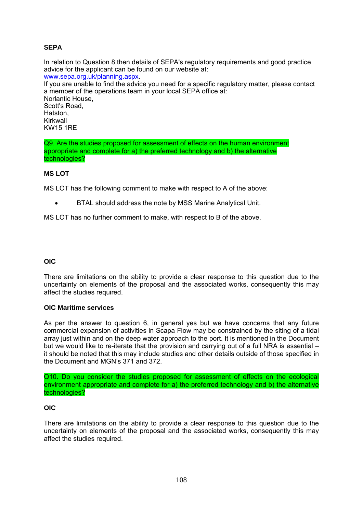# **SEPA**

In relation to Question 8 then details of SEPA's regulatory requirements and good practice advice for the applicant can be found on our website at: www.sepa.org.uk/planning.aspx. If you are unable to find the advice you need for a specific regulatory matter, please contact a member of the operations team in your local SEPA office at: Norlantic House, Scott's Road, **Hatston** Kirkwall KW15 1RE

Q9. Are the studies proposed for assessment of effects on the human environment appropriate and complete for a) the preferred technology and b) the alternative technologies?

#### **MS LOT**

MS LOT has the following comment to make with respect to A of the above:

BTAL should address the note by MSS Marine Analytical Unit.

MS LOT has no further comment to make, with respect to B of the above.

# **OIC**

There are limitations on the ability to provide a clear response to this question due to the uncertainty on elements of the proposal and the associated works, consequently this may affect the studies required.

#### **OIC Maritime services**

As per the answer to question 6, in general yes but we have concerns that any future commercial expansion of activities in Scapa Flow may be constrained by the siting of a tidal array just within and on the deep water approach to the port. It is mentioned in the Document but we would like to re-iterate that the provision and carrying out of a full NRA is essential – it should be noted that this may include studies and other details outside of those specified in the Document and MGN's 371 and 372.

Q10. Do you consider the studies proposed for assessment of effects on the ecological environment appropriate and complete for a) the preferred technology and b) the alternative technologies?

#### **OIC**

There are limitations on the ability to provide a clear response to this question due to the uncertainty on elements of the proposal and the associated works, consequently this may affect the studies required.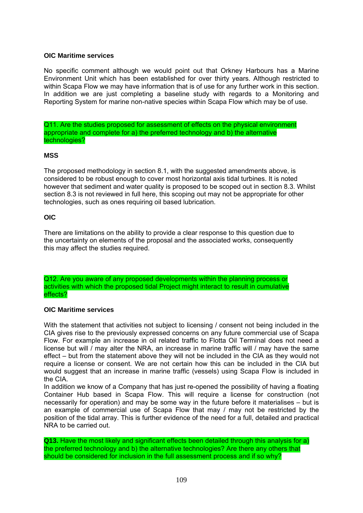# **OIC Maritime services**

No specific comment although we would point out that Orkney Harbours has a Marine Environment Unit which has been established for over thirty years. Although restricted to within Scapa Flow we may have information that is of use for any further work in this section. In addition we are just completing a baseline study with regards to a Monitoring and Reporting System for marine non-native species within Scapa Flow which may be of use.

Q11. Are the studies proposed for assessment of effects on the physical environment appropriate and complete for a) the preferred technology and b) the alternative technologies?

## **MSS**

The proposed methodology in section 8.1, with the suggested amendments above, is considered to be robust enough to cover most horizontal axis tidal turbines. It is noted however that sediment and water quality is proposed to be scoped out in section 8.3. Whilst section 8.3 is not reviewed in full here, this scoping out may not be appropriate for other technologies, such as ones requiring oil based lubrication.

## **OIC**

There are limitations on the ability to provide a clear response to this question due to the uncertainty on elements of the proposal and the associated works, consequently this may affect the studies required.

Q12. Are you aware of any proposed developments within the planning process or activities with which the proposed tidal Project might interact to result in cumulative effects?

## **OIC Maritime services**

With the statement that activities not subject to licensing / consent not being included in the CIA gives rise to the previously expressed concerns on any future commercial use of Scapa Flow. For example an increase in oil related traffic to Flotta Oil Terminal does not need a license but will / may alter the NRA, an increase in marine traffic will / may have the same effect – but from the statement above they will not be included in the CIA as they would not require a license or consent. We are not certain how this can be included in the CIA but would suggest that an increase in marine traffic (vessels) using Scapa Flow is included in the CIA.

In addition we know of a Company that has just re-opened the possibility of having a floating Container Hub based in Scapa Flow. This will require a license for construction (not necessarily for operation) and may be some way in the future before it materialises – but is an example of commercial use of Scapa Flow that may / may not be restricted by the position of the tidal array. This is further evidence of the need for a full, detailed and practical NRA to be carried out.

**Q13.** Have the most likely and significant effects been detailed through this analysis for a) the preferred technology and b) the alternative technologies? Are there any others that should be considered for inclusion in the full assessment process and if so why?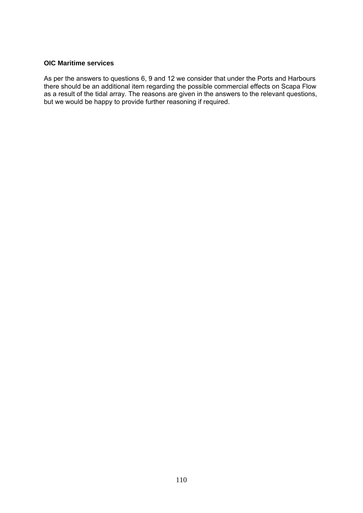#### **OIC Maritime services**

As per the answers to questions 6, 9 and 12 we consider that under the Ports and Harbours there should be an additional item regarding the possible commercial effects on Scapa Flow as a result of the tidal array. The reasons are given in the answers to the relevant questions, but we would be happy to provide further reasoning if required.